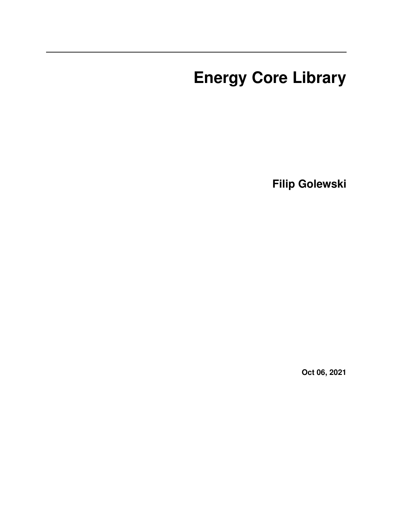# **Energy Core Library**

**Filip Golewski**

**Oct 06, 2021**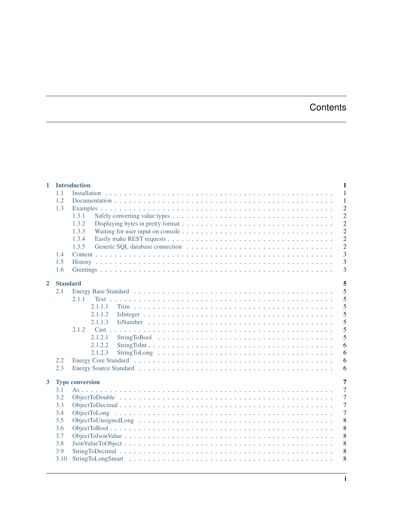# **Contents**

| $\mathbf{1}$ |                 | <b>Introduction</b><br>$\mathbf{1}$ |
|--------------|-----------------|-------------------------------------|
|              | 1.1             | $\overline{1}$                      |
|              | 1.2             | $\mathbf{1}$                        |
|              | 1.3             | $\overline{c}$                      |
|              |                 | $\overline{2}$<br>1.3.1             |
|              |                 | $\overline{2}$<br>1.3.2             |
|              |                 | $\overline{c}$<br>1.3.3             |
|              |                 | $\overline{2}$<br>1.3.4             |
|              |                 | $\overline{2}$<br>1.3.5             |
|              | 1.4             | $\overline{3}$                      |
|              | 1.5             | $\overline{3}$                      |
|              | 1.6             | $\overline{3}$                      |
|              |                 |                                     |
| $\mathbf{2}$ | <b>Standard</b> | 5                                   |
|              | 2.1             | 5                                   |
|              |                 | 5<br>2.1.1                          |
|              |                 | 5<br>2.1.1.1                        |
|              |                 | 5<br>2.1.1.2                        |
|              |                 | 5<br>2.1.1.3                        |
|              |                 | 5<br>2.1.2                          |
|              |                 | 5<br>2.1.2.1                        |
|              |                 | 6<br>2.1.2.2                        |
|              |                 | 6<br>2.1.2.3                        |
|              | 2.2             | 6                                   |
|              | 2.3             | 6                                   |
|              |                 |                                     |
| $\mathbf{3}$ |                 | 7<br><b>Type conversion</b>         |
|              | 3.1             | $\overline{7}$                      |
|              | 3.2             | $\overline{7}$                      |
|              | 3.3             | $\overline{7}$                      |
|              | 3.4             | $\overline{7}$                      |
|              | 3.5             | 8                                   |
|              | 3.6             | 8                                   |
|              | 3.7             | 8                                   |
|              | 3.8             | 8                                   |
|              | 3.9             | 8                                   |
|              | 3.10            | 8                                   |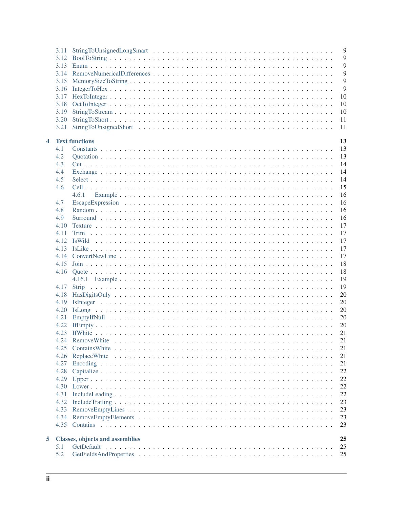|   | 3.11<br>3.12 | 9<br>9                                       |
|---|--------------|----------------------------------------------|
|   | 3.13         | 9                                            |
|   | 3.14         | 9                                            |
|   | 3.15         | 9                                            |
|   | 3.16         | 9                                            |
|   | 3.17         | 10                                           |
|   | 3.18         | 10                                           |
|   | 3.19         | 10                                           |
|   | 3.20         | 11                                           |
|   | 3.21         | 11                                           |
|   |              |                                              |
| 4 |              | <b>Text functions</b><br>13                  |
|   | 4.1          | 13                                           |
|   | 4.2          | 13                                           |
|   | 4.3          | 14                                           |
|   | 4.4          | 14                                           |
|   | 4.5          | 14                                           |
|   | 4.6          | 15                                           |
|   |              | 16<br>4.6.1                                  |
|   | 4.7          | 16                                           |
|   | 4.8          | 16                                           |
|   | 4.9          | 16                                           |
|   | 4.10         | 17                                           |
|   | 4.11         | 17                                           |
|   | 4.12         | 17                                           |
|   | 4.13         | 17                                           |
|   | 4.14         | 17                                           |
|   | 4.15         | 18                                           |
|   | 4.16         | 18                                           |
|   |              | 19                                           |
|   | 4.17         | 19<br><b>Strip</b>                           |
|   | 4.18         | 20                                           |
|   | 4.19         | 20                                           |
|   | 4.20         | 20                                           |
|   | 4.21         | 20                                           |
|   | 4.22         | 20                                           |
|   |              | 21                                           |
|   | 4.24         | 21                                           |
|   | 4.25         | 21                                           |
|   | 4.26         | 21                                           |
|   | 4.27         | 21                                           |
|   | 4.28         | 22                                           |
|   | 4.29         | 22                                           |
|   | 4.30         | 22                                           |
|   |              | 22                                           |
|   | 4.31         |                                              |
|   | 4.32         | 23                                           |
|   | 4.33         | 23                                           |
|   | 4.34         | 23                                           |
|   | 4.35         | 23                                           |
| 5 |              | 25<br><b>Classes, objects and assemblies</b> |
|   | 5.1          | 25                                           |
|   | 5.2          | 25                                           |
|   |              |                                              |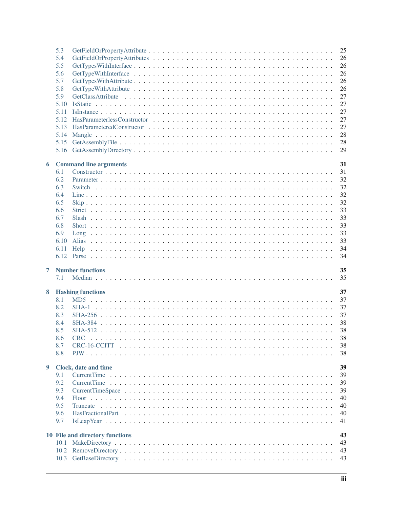|                | 5.3  |                                 | 25 |
|----------------|------|---------------------------------|----|
|                | 5.4  |                                 | 26 |
|                | 5.5  |                                 | 26 |
|                | 5.6  |                                 | 26 |
|                | 5.7  |                                 | 26 |
|                | 5.8  |                                 | 26 |
|                | 5.9  |                                 | 27 |
|                | 5.10 |                                 | 27 |
|                | 5.11 |                                 | 27 |
|                | 5.12 |                                 | 27 |
|                | 5.13 |                                 | 27 |
|                |      |                                 |    |
|                | 5.14 |                                 | 28 |
|                | 5.15 |                                 | 28 |
|                | 5.16 |                                 | 29 |
|                |      | <b>Command line arguments</b>   | 31 |
| 6              | 6.1  |                                 | 31 |
|                | 6.2  |                                 | 32 |
|                |      |                                 |    |
|                | 6.3  |                                 | 32 |
|                | 6.4  |                                 | 32 |
|                | 6.5  |                                 | 32 |
|                | 6.6  |                                 | 33 |
|                | 6.7  |                                 | 33 |
|                | 6.8  |                                 | 33 |
|                | 6.9  |                                 | 33 |
|                | 6.10 |                                 | 33 |
|                | 6.11 |                                 | 34 |
|                |      |                                 |    |
|                |      |                                 | 34 |
|                |      |                                 |    |
| $\overline{7}$ |      | <b>Number functions</b>         | 35 |
|                | 7.1  |                                 | 35 |
| 8              |      | <b>Hashing functions</b>        | 37 |
|                | 8.1  |                                 | 37 |
|                | 8.2  |                                 | 37 |
|                | 8.3  |                                 | 37 |
|                | 8.4  |                                 |    |
|                |      |                                 | 38 |
|                | 8.5  |                                 | 38 |
|                | 8.6  | <b>CRC</b>                      | 38 |
|                | 8.7  |                                 | 38 |
|                | 8.8  |                                 | 38 |
| 9              |      | Clock, date and time            | 39 |
|                | 9.1  |                                 | 39 |
|                | 9.2  |                                 | 39 |
|                | 9.3  |                                 |    |
|                | 9.4  |                                 | 39 |
|                |      |                                 | 40 |
|                | 9.5  |                                 | 40 |
|                | 9.6  |                                 | 40 |
|                | 9.7  |                                 | 41 |
|                |      | 10 File and directory functions | 43 |
|                | 10.1 |                                 | 43 |
|                | 10.2 |                                 | 43 |
|                | 10.3 |                                 | 43 |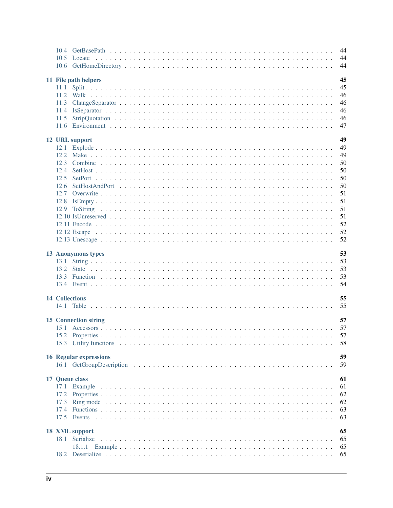|                               | 44<br>44<br>44 |
|-------------------------------|----------------|
| 11 File path helpers          | 45             |
|                               | 45             |
|                               | 46             |
|                               | 46             |
|                               | 46             |
|                               | 46             |
|                               | 47             |
|                               |                |
| 12 URL support                | 49             |
|                               | 49             |
|                               | 49             |
|                               | 50             |
|                               | 50             |
|                               | 50             |
|                               | 50             |
|                               | 51             |
|                               | 51             |
|                               | 51             |
|                               | 51             |
|                               | 52             |
|                               | 52             |
|                               | 52             |
| 13 Anonymous types            | 53             |
|                               | 53             |
|                               | 53             |
|                               | 53             |
|                               | 54             |
|                               |                |
| <b>14 Collections</b>         | 55             |
|                               | 55             |
|                               |                |
| <b>15 Connection string</b>   | 57             |
|                               | 57             |
|                               | 57             |
|                               | 58             |
| <b>16 Regular expressions</b> | 59             |
|                               | 59             |
|                               |                |
| 17 Queue class                | 61             |
| 17.1                          | 61             |
| 17.2                          | 62             |
| 17.3                          | 62             |
|                               | 63             |
|                               | 63             |
|                               |                |
| 18 XML support                | 65             |
| 18.1 Serialize                | 65             |
|                               | 65             |
|                               | 65             |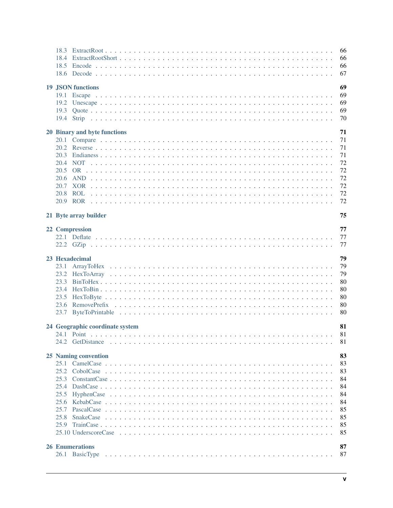|                |                                 | 66<br>66<br>66 |
|----------------|---------------------------------|----------------|
|                |                                 | 67             |
|                | <b>19 JSON functions</b>        | 69             |
|                |                                 | 69             |
| 19.2           |                                 | 69             |
|                |                                 | 69             |
|                |                                 | 70             |
|                | 20 Binary and byte functions    | 71             |
|                |                                 | 71             |
|                |                                 | 71             |
|                |                                 | 71             |
| 20.4           |                                 | 72             |
| 20.5           |                                 | 72             |
| 20.6           |                                 | 72             |
|                |                                 | 72             |
|                |                                 | 72             |
|                |                                 | 72             |
|                | 21 Byte array builder           | 75             |
| 22 Compression |                                 | 77             |
|                |                                 | 77             |
|                |                                 | 77             |
|                |                                 |                |
| 23 Hexadecimal |                                 | 79             |
| 23.1           |                                 | 79             |
|                |                                 | 79             |
|                |                                 | 80             |
|                |                                 | 80             |
|                |                                 | 80             |
|                |                                 | 80             |
|                |                                 | 80             |
|                | 24 Geographic coordinate system | 81             |
|                |                                 | 81             |
|                |                                 | 81             |
|                | 25 Naming convention            | 83             |
|                |                                 | 83             |
| 25.2           |                                 | 83             |
|                |                                 | 84             |
| 25.4           |                                 | 84             |
| 25.5           |                                 | 84             |
| 25.6           |                                 | 84             |
| 25.7           |                                 | 85             |
| 25.8           |                                 | 85             |
|                |                                 | 85             |
|                |                                 | 85             |
|                | <b>26 Enumerations</b>          | 87             |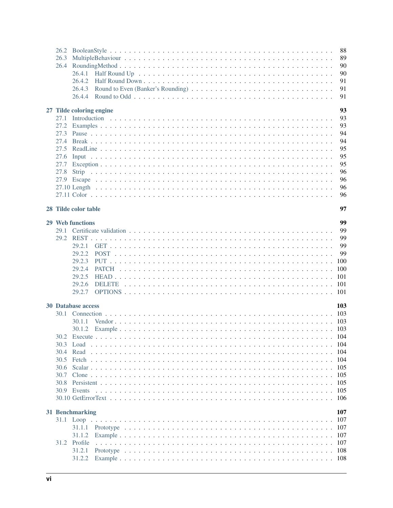| 26.2<br>26.3 |                          |  |  |  |  |  |  |  |  |  |  |  |  | 88<br>89   |
|--------------|--------------------------|--|--|--|--|--|--|--|--|--|--|--|--|------------|
| 26.4         |                          |  |  |  |  |  |  |  |  |  |  |  |  | 90         |
|              |                          |  |  |  |  |  |  |  |  |  |  |  |  | 90         |
|              |                          |  |  |  |  |  |  |  |  |  |  |  |  | 91         |
|              | 26.4.3                   |  |  |  |  |  |  |  |  |  |  |  |  | 91         |
|              |                          |  |  |  |  |  |  |  |  |  |  |  |  | 91         |
|              | 27 Tilde coloring engine |  |  |  |  |  |  |  |  |  |  |  |  | 93         |
| 27.1         |                          |  |  |  |  |  |  |  |  |  |  |  |  | 93         |
| 27.2         |                          |  |  |  |  |  |  |  |  |  |  |  |  | 93         |
| 27.3         |                          |  |  |  |  |  |  |  |  |  |  |  |  | 94         |
| 27.4         |                          |  |  |  |  |  |  |  |  |  |  |  |  | 94         |
| 27.5         |                          |  |  |  |  |  |  |  |  |  |  |  |  | 95         |
| 27.6         |                          |  |  |  |  |  |  |  |  |  |  |  |  | 95         |
| 27.7         |                          |  |  |  |  |  |  |  |  |  |  |  |  | 95         |
| 27.8         |                          |  |  |  |  |  |  |  |  |  |  |  |  | 96         |
|              |                          |  |  |  |  |  |  |  |  |  |  |  |  | 96         |
|              |                          |  |  |  |  |  |  |  |  |  |  |  |  | 96         |
|              |                          |  |  |  |  |  |  |  |  |  |  |  |  | 96         |
|              | 28 Tilde color table     |  |  |  |  |  |  |  |  |  |  |  |  | 97         |
|              | 29 Web functions         |  |  |  |  |  |  |  |  |  |  |  |  | 99         |
|              |                          |  |  |  |  |  |  |  |  |  |  |  |  | 99         |
|              |                          |  |  |  |  |  |  |  |  |  |  |  |  | 99         |
|              | 29.2.1                   |  |  |  |  |  |  |  |  |  |  |  |  | 99         |
|              | 29.2.2                   |  |  |  |  |  |  |  |  |  |  |  |  | 99         |
|              | 29.2.3                   |  |  |  |  |  |  |  |  |  |  |  |  |            |
|              | 29.2.4                   |  |  |  |  |  |  |  |  |  |  |  |  | 100        |
|              | 29.2.5                   |  |  |  |  |  |  |  |  |  |  |  |  | -101       |
|              | 29.2.6                   |  |  |  |  |  |  |  |  |  |  |  |  |            |
|              | 29.2.7                   |  |  |  |  |  |  |  |  |  |  |  |  |            |
|              | 30 Database access       |  |  |  |  |  |  |  |  |  |  |  |  | 103        |
| 30.1         |                          |  |  |  |  |  |  |  |  |  |  |  |  |            |
|              | 30.1.1                   |  |  |  |  |  |  |  |  |  |  |  |  |            |
|              |                          |  |  |  |  |  |  |  |  |  |  |  |  |            |
| 30.2         |                          |  |  |  |  |  |  |  |  |  |  |  |  |            |
| 30.3         |                          |  |  |  |  |  |  |  |  |  |  |  |  |            |
| 30.4<br>30.5 | Read                     |  |  |  |  |  |  |  |  |  |  |  |  | 104        |
| 30.6         |                          |  |  |  |  |  |  |  |  |  |  |  |  | 105        |
| 30.7         |                          |  |  |  |  |  |  |  |  |  |  |  |  | 105        |
| 30.8         |                          |  |  |  |  |  |  |  |  |  |  |  |  | 105        |
|              | 30.9 Events              |  |  |  |  |  |  |  |  |  |  |  |  | 105        |
|              |                          |  |  |  |  |  |  |  |  |  |  |  |  | 106        |
|              |                          |  |  |  |  |  |  |  |  |  |  |  |  |            |
|              | 31 Benchmarking          |  |  |  |  |  |  |  |  |  |  |  |  | 107<br>107 |
|              |                          |  |  |  |  |  |  |  |  |  |  |  |  | -107       |
|              | 31.1.2                   |  |  |  |  |  |  |  |  |  |  |  |  | 107        |
|              | 31.2 Profile             |  |  |  |  |  |  |  |  |  |  |  |  | 107        |
|              | 31.2.1                   |  |  |  |  |  |  |  |  |  |  |  |  | -108       |
|              |                          |  |  |  |  |  |  |  |  |  |  |  |  |            |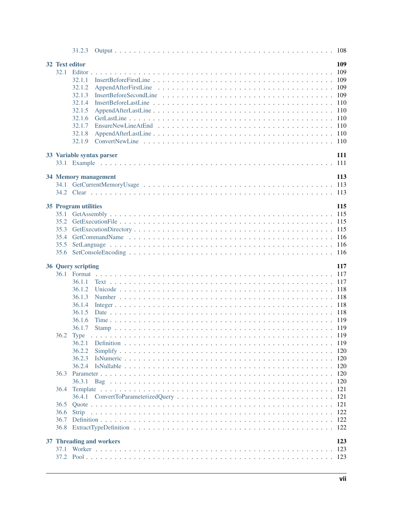|      | 32 Text editor              |  |  |  |  |  |  |  |  |  |  |  |  |  |  |  | 109        |
|------|-----------------------------|--|--|--|--|--|--|--|--|--|--|--|--|--|--|--|------------|
|      |                             |  |  |  |  |  |  |  |  |  |  |  |  |  |  |  | 109        |
|      | 32.1.1                      |  |  |  |  |  |  |  |  |  |  |  |  |  |  |  | 109        |
|      | 32.1.2                      |  |  |  |  |  |  |  |  |  |  |  |  |  |  |  | 109        |
|      | 32.1.3                      |  |  |  |  |  |  |  |  |  |  |  |  |  |  |  | 109        |
|      | 32.1.4                      |  |  |  |  |  |  |  |  |  |  |  |  |  |  |  |            |
|      | 32.1.5                      |  |  |  |  |  |  |  |  |  |  |  |  |  |  |  |            |
|      | 32.1.6                      |  |  |  |  |  |  |  |  |  |  |  |  |  |  |  | 110        |
|      | 32.1.7                      |  |  |  |  |  |  |  |  |  |  |  |  |  |  |  |            |
|      | 32.1.8                      |  |  |  |  |  |  |  |  |  |  |  |  |  |  |  |            |
|      | 32.1.9                      |  |  |  |  |  |  |  |  |  |  |  |  |  |  |  |            |
|      |                             |  |  |  |  |  |  |  |  |  |  |  |  |  |  |  |            |
|      | 33 Variable syntax parser   |  |  |  |  |  |  |  |  |  |  |  |  |  |  |  | 111        |
|      |                             |  |  |  |  |  |  |  |  |  |  |  |  |  |  |  |            |
|      |                             |  |  |  |  |  |  |  |  |  |  |  |  |  |  |  |            |
|      | 34 Memory management        |  |  |  |  |  |  |  |  |  |  |  |  |  |  |  | 113        |
|      |                             |  |  |  |  |  |  |  |  |  |  |  |  |  |  |  |            |
|      |                             |  |  |  |  |  |  |  |  |  |  |  |  |  |  |  |            |
|      |                             |  |  |  |  |  |  |  |  |  |  |  |  |  |  |  |            |
|      | <b>35 Program utilities</b> |  |  |  |  |  |  |  |  |  |  |  |  |  |  |  | 115        |
|      |                             |  |  |  |  |  |  |  |  |  |  |  |  |  |  |  |            |
|      |                             |  |  |  |  |  |  |  |  |  |  |  |  |  |  |  |            |
| 35.3 |                             |  |  |  |  |  |  |  |  |  |  |  |  |  |  |  |            |
|      |                             |  |  |  |  |  |  |  |  |  |  |  |  |  |  |  |            |
| 35.5 |                             |  |  |  |  |  |  |  |  |  |  |  |  |  |  |  |            |
|      |                             |  |  |  |  |  |  |  |  |  |  |  |  |  |  |  |            |
|      |                             |  |  |  |  |  |  |  |  |  |  |  |  |  |  |  |            |
|      |                             |  |  |  |  |  |  |  |  |  |  |  |  |  |  |  |            |
|      | 36 Query scripting          |  |  |  |  |  |  |  |  |  |  |  |  |  |  |  | 117        |
|      |                             |  |  |  |  |  |  |  |  |  |  |  |  |  |  |  |            |
|      | 36.1.1                      |  |  |  |  |  |  |  |  |  |  |  |  |  |  |  |            |
|      | 36.1.2                      |  |  |  |  |  |  |  |  |  |  |  |  |  |  |  |            |
|      | 36.1.3                      |  |  |  |  |  |  |  |  |  |  |  |  |  |  |  |            |
|      | 36.1.4                      |  |  |  |  |  |  |  |  |  |  |  |  |  |  |  |            |
|      | 36.1.5                      |  |  |  |  |  |  |  |  |  |  |  |  |  |  |  |            |
|      | 36.1.6                      |  |  |  |  |  |  |  |  |  |  |  |  |  |  |  |            |
|      | 36.1.7                      |  |  |  |  |  |  |  |  |  |  |  |  |  |  |  | 118<br>118 |
|      | 36.2 Type                   |  |  |  |  |  |  |  |  |  |  |  |  |  |  |  |            |
|      | 36.2.1                      |  |  |  |  |  |  |  |  |  |  |  |  |  |  |  | -119       |
|      | 36.2.2                      |  |  |  |  |  |  |  |  |  |  |  |  |  |  |  | -120       |
|      | 36.2.3                      |  |  |  |  |  |  |  |  |  |  |  |  |  |  |  | -120       |
|      | 36.2.4                      |  |  |  |  |  |  |  |  |  |  |  |  |  |  |  | -120       |
| 36.3 |                             |  |  |  |  |  |  |  |  |  |  |  |  |  |  |  | -120       |
|      | 36.3.1                      |  |  |  |  |  |  |  |  |  |  |  |  |  |  |  | 120        |
| 36.4 |                             |  |  |  |  |  |  |  |  |  |  |  |  |  |  |  | 121        |
|      |                             |  |  |  |  |  |  |  |  |  |  |  |  |  |  |  | 121        |
| 36.5 |                             |  |  |  |  |  |  |  |  |  |  |  |  |  |  |  |            |
| 36.6 |                             |  |  |  |  |  |  |  |  |  |  |  |  |  |  |  | -122       |
| 36.7 |                             |  |  |  |  |  |  |  |  |  |  |  |  |  |  |  | 121        |
| 36.8 |                             |  |  |  |  |  |  |  |  |  |  |  |  |  |  |  |            |
|      | 37 Threading and workers    |  |  |  |  |  |  |  |  |  |  |  |  |  |  |  | 123        |
| 37.1 |                             |  |  |  |  |  |  |  |  |  |  |  |  |  |  |  | 123        |
|      |                             |  |  |  |  |  |  |  |  |  |  |  |  |  |  |  |            |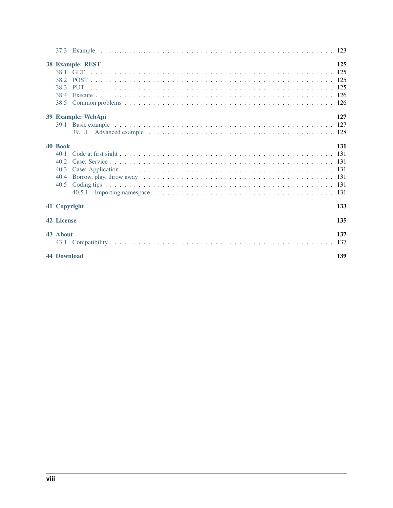|                    | 38 Example: REST   | 125 |
|--------------------|--------------------|-----|
| 38.1               |                    |     |
|                    |                    |     |
| 38.3               |                    |     |
| 38.4               |                    |     |
|                    |                    |     |
|                    | 39 Example: WebApi | 127 |
|                    |                    |     |
|                    |                    |     |
| 40 Book            |                    | 131 |
| 40.1               |                    |     |
| 40.2               |                    |     |
| 40.3               |                    |     |
| 40.4               |                    |     |
| 40.5               |                    |     |
|                    |                    |     |
| 41 Copyright       |                    | 133 |
| <b>42 License</b>  |                    | 135 |
| 43 About           |                    | 137 |
|                    |                    |     |
| <b>44 Download</b> |                    | 139 |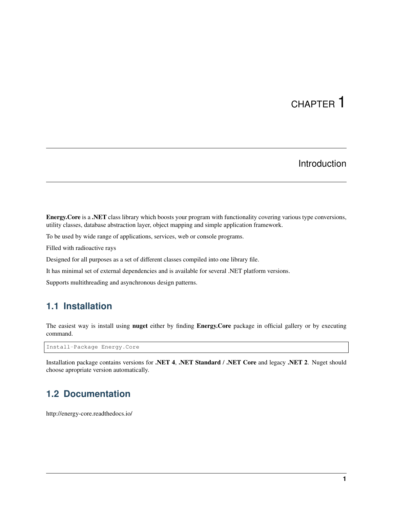# Introduction

<span id="page-10-0"></span>Energy.Core is a .NET class library which boosts your program with functionality covering various type conversions, utility classes, database abstraction layer, object mapping and simple application framework.

To be used by wide range of applications, services, web or console programs.

Filled with radioactive rays

Designed for all purposes as a set of different classes compiled into one library file.

It has minimal set of external dependencies and is available for several .NET platform versions.

Supports multithreading and asynchronous design patterns.

# <span id="page-10-1"></span>**1.1 Installation**

The easiest way is install using **nuget** either by finding Energy.Core package in official gallery or by executing command.

Install-Package Energy.Core

Installation package contains versions for .NET 4, .NET Standard / .NET Core and legacy .NET 2. Nuget should choose apropriate version automatically.

# <span id="page-10-2"></span>**1.2 Documentation**

http://energy-core.readthedocs.io/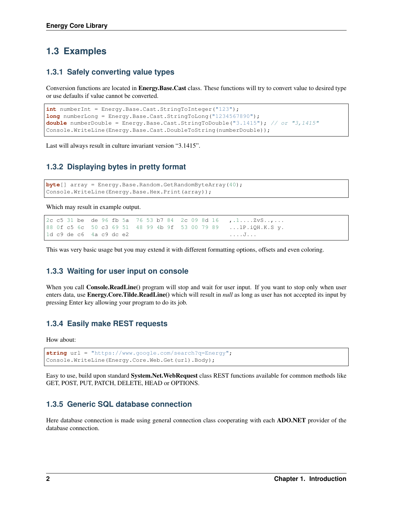# <span id="page-11-0"></span>**1.3 Examples**

#### <span id="page-11-1"></span>**1.3.1 Safely converting value types**

Conversion functions are located in Energy.Base.Cast class. These functions will try to convert value to desired type or use defaults if value cannot be converted.

```
int numberInt = Energy.Base.Cast.StringToInteger("123");
long numberLong = Energy.Base.Cast.StringToLong("1234567890");
double numberDouble = Energy.Base.Cast.StringToDouble("3.1415"); // or "3,1415"
Console.WriteLine(Energy.Base.Cast.DoubleToString(numberDouble));
```
Last will always result in culture invariant version "3.1415".

#### <span id="page-11-2"></span>**1.3.2 Displaying bytes in pretty format**

```
byte[] array = Energy.Base.Random.GetRandomByteArray(40);
Console.WriteLine(Energy.Base.Hex.Print(array));
```
Which may result in example output.

```
2c c5 31 be de 96 fb 5a 76 53 b7 84 2c 09 8d 16 , .1.... ZvS..,...
88 0f c5 6c 50 c3 69 51 48 99 4b 9f 53 00 79 89 ...lP.iQH.K.S y.
1d c9 de c6 4a c9 dc e2 ....J...
```
This was very basic usage but you may extend it with different formatting options, offsets and even coloring.

#### <span id="page-11-3"></span>**1.3.3 Waiting for user input on console**

When you call **Console.ReadLine**() program will stop and wait for user input. If you want to stop only when user enters data, use Energy.Core.Tilde.ReadLine() which will result in *null* as long as user has not accepted its input by pressing Enter key allowing your program to do its job.

#### <span id="page-11-4"></span>**1.3.4 Easily make REST requests**

How about:

```
string url = "https://www.google.com/search?q=Energy";
Console.WriteLine(Energy.Core.Web.Get(url).Body);
```
Easy to use, build upon standard System.Net.WebRequest class REST functions available for common methods like GET, POST, PUT, PATCH, DELETE, HEAD or OPTIONS.

#### <span id="page-11-5"></span>**1.3.5 Generic SQL database connection**

Here database connection is made using general connection class cooperating with each ADO.NET provider of the database connection.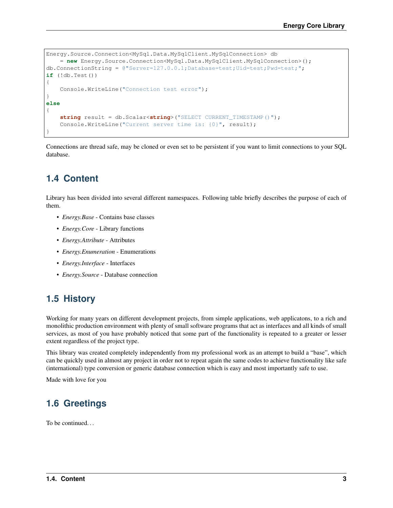```
Energy.Source.Connection<MySql.Data.MySqlClient.MySqlConnection> db
    = new Energy. Source. Connection<MySql. Data.MySqlClient.MySqlConnection>();
db.ConnectionString = Q''Server=127.0.0.1;Database=test;Uid=test;Pwd=test;";
if (!db.Test())
{
    Console.WriteLine("Connection test error");
}
else
{
    string result = db.Scalar<string>("SELECT CURRENT_TIMESTAMP()");
    Console.WriteLine("Current server time is: {0}", result);
}
```
Connections are thread safe, may be cloned or even set to be persistent if you want to limit connections to your SQL database.

# <span id="page-12-0"></span>**1.4 Content**

Library has been divided into several different namespaces. Following table briefly describes the purpose of each of them.

- *Energy.Base* Contains base classes
- *Energy.Core* Library functions
- *Energy.Attribute* Attributes
- *Energy.Enumeration* Enumerations
- *Energy.Interface* Interfaces
- *Energy.Source* Database connection

# <span id="page-12-1"></span>**1.5 History**

Working for many years on different development projects, from simple applications, web applicatons, to a rich and monolithic production environment with plenty of small software programs that act as interfaces and all kinds of small services, as most of you have probably noticed that some part of the functionality is repeated to a greater or lesser extent regardless of the project type.

This library was created completely independently from my professional work as an attempt to build a "base", which can be quickly used in almost any project in order not to repeat again the same codes to achieve functionality like safe (international) type conversion or generic database connection which is easy and most importantly safe to use.

Made with love for you

# <span id="page-12-2"></span>**1.6 Greetings**

To be continued. . .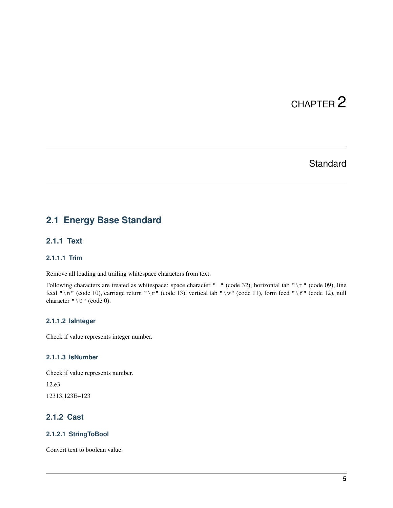# **Standard**

# <span id="page-14-1"></span><span id="page-14-0"></span>**2.1 Energy Base Standard**

#### <span id="page-14-2"></span>**2.1.1 Text**

#### <span id="page-14-3"></span>**2.1.1.1 Trim**

Remove all leading and trailing whitespace characters from text.

Following characters are treated as whitespace: space character " " (code 32), horizontal tab "\t" (code 09), line feed " $\mathcal{N}$ " (code 10), carriage return " $\mathcal{N}$ " (code 13), vertical tab " $\mathcal{N}$ " (code 11), form feed " $\mathcal{N}$ " (code 12), null character  $"\ \ 0"$  (code 0).

#### <span id="page-14-4"></span>**2.1.1.2 IsInteger**

Check if value represents integer number.

#### <span id="page-14-5"></span>**2.1.1.3 IsNumber**

Check if value represents number.

12.e3

12313,123E+123

#### <span id="page-14-6"></span>**2.1.2 Cast**

#### <span id="page-14-7"></span>**2.1.2.1 StringToBool**

Convert text to boolean value.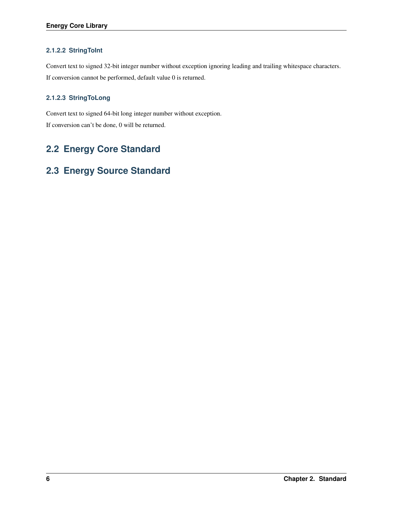#### <span id="page-15-0"></span>**2.1.2.2 StringToInt**

Convert text to signed 32-bit integer number without exception ignoring leading and trailing whitespace characters. If conversion cannot be performed, default value 0 is returned.

#### <span id="page-15-1"></span>**2.1.2.3 StringToLong**

Convert text to signed 64-bit long integer number without exception. If conversion can't be done, 0 will be returned.

# <span id="page-15-2"></span>**2.2 Energy Core Standard**

# <span id="page-15-3"></span>**2.3 Energy Source Standard**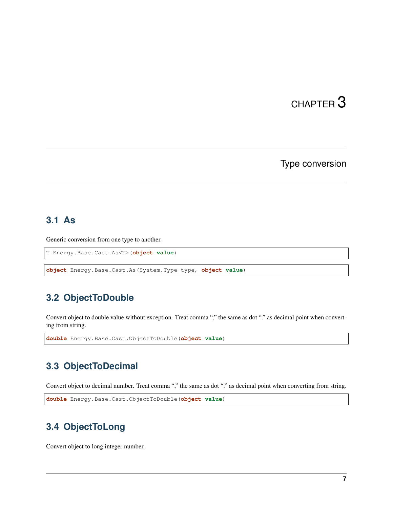Type conversion

### <span id="page-16-1"></span><span id="page-16-0"></span>**3.1 As**

Generic conversion from one type to another.

```
T Energy.Base.Cast.As<T>(object value)
```
**object** Energy.Base.Cast.As(System.Type type, **object value**)

# <span id="page-16-2"></span>**3.2 ObjectToDouble**

Convert object to double value without exception. Treat comma "," the same as dot "." as decimal point when converting from string.

```
double Energy.Base.Cast.ObjectToDouble(object value)
```
# <span id="page-16-3"></span>**3.3 ObjectToDecimal**

Convert object to decimal number. Treat comma "," the same as dot "." as decimal point when converting from string.

```
double Energy.Base.Cast.ObjectToDouble(object value)
```
# <span id="page-16-4"></span>**3.4 ObjectToLong**

Convert object to long integer number.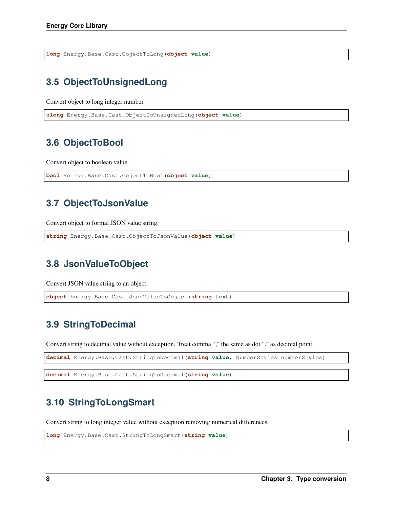**long** Energy.Base.Cast.ObjectToLong(**object value**)

# <span id="page-17-0"></span>**3.5 ObjectToUnsignedLong**

Convert object to long integer number.

**ulong** Energy.Base.Cast.ObjectToUnsignedLong(**object value**)

# <span id="page-17-1"></span>**3.6 ObjectToBool**

Convert object to boolean value.

```
bool Energy.Base.Cast.ObjectToBool(object value)
```
# <span id="page-17-2"></span>**3.7 ObjectToJsonValue**

Convert object to formal JSON value string.

```
string Energy.Base.Cast.ObjectToJsonValue(object value)
```
# <span id="page-17-3"></span>**3.8 JsonValueToObject**

Convert JSON value string to an object.

**object** Energy.Base.Cast.JsonValueToObject(**string** text)

# <span id="page-17-4"></span>**3.9 StringToDecimal**

Convert string to decimal value without exception. Treat comma "," the same as dot "." as decimal point.

**decimal** Energy.Base.Cast.StringToDecimal(**string value**, NumberStyles numberStyles)

**decimal** Energy.Base.Cast.StringToDecimal(**string value**)

# <span id="page-17-5"></span>**3.10 StringToLongSmart**

Convert string to long integer value without exception removing numerical differences.

**long** Energy.Base.Cast.StringToLongSmart(**string value**)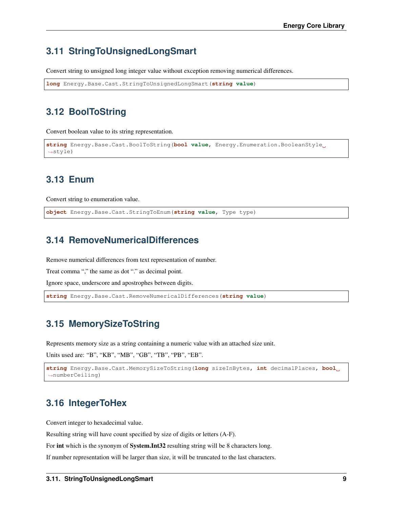# <span id="page-18-0"></span>**3.11 StringToUnsignedLongSmart**

Convert string to unsigned long integer value without exception removing numerical differences.

```
long Energy.Base.Cast.StringToUnsignedLongSmart(string value)
```
# <span id="page-18-1"></span>**3.12 BoolToString**

Convert boolean value to its string representation.

```
string Energy.Base.Cast.BoolToString(bool value, Energy.Enumeration.BooleanStyle
˓→style)
```
# <span id="page-18-2"></span>**3.13 Enum**

Convert string to enumeration value.

**object** Energy.Base.Cast.StringToEnum(**string value**, Type type)

# <span id="page-18-3"></span>**3.14 RemoveNumericalDifferences**

Remove numerical differences from text representation of number.

Treat comma "," the same as dot "." as decimal point.

Ignore space, underscore and apostrophes between digits.

**string** Energy.Base.Cast.RemoveNumericalDifferences(**string value**)

# <span id="page-18-4"></span>**3.15 MemorySizeToString**

Represents memory size as a string containing a numeric value with an attached size unit.

Units used are: "B", "KB", "MB", "GB", "TB", "PB", "EB".

```
string Energy.Base.Cast.MemorySizeToString(long sizeInBytes, int decimalPlaces, bool
˓→numberCeiling)
```
# <span id="page-18-5"></span>**3.16 IntegerToHex**

Convert integer to hexadecimal value.

Resulting string will have count specified by size of digits or letters (A-F).

For int which is the synonym of System.Int32 resulting string will be 8 characters long.

If number representation will be larger than size, it will be truncated to the last characters.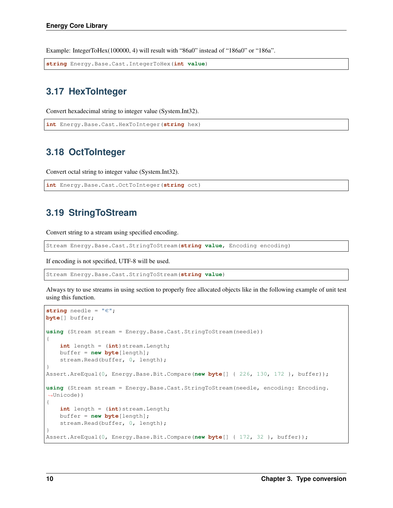Example: IntegerToHex(100000, 4) will result with "86a0" instead of "186a0" or "186a".

**string** Energy.Base.Cast.IntegerToHex(**int value**)

## <span id="page-19-0"></span>**3.17 HexToInteger**

Convert hexadecimal string to integer value (System.Int32).

```
int Energy.Base.Cast.HexToInteger(string hex)
```
### <span id="page-19-1"></span>**3.18 OctToInteger**

Convert octal string to integer value (System.Int32).

```
int Energy.Base.Cast.OctToInteger(string oct)
```
# <span id="page-19-2"></span>**3.19 StringToStream**

Convert string to a stream using specified encoding.

```
Stream Energy.Base.Cast.StringToStream(string value, Encoding encoding)
```
If encoding is not specified, UTF-8 will be used.

Stream Energy.Base.Cast.StringToStream(**string value**)

Always try to use streams in using section to properly free allocated objects like in the following example of unit test using this function.

```
string needle = "\in";
byte[] buffer;
using (Stream stream = Energy.Base.Cast.StringToStream(needle))
{
    int length = (int) stream. Length;
    buffer = new byte[length];
    stream.Read(buffer, 0, length);
}
Assert.AreEqual(0, Energy.Base.Bit.Compare(new byte[] { 226, 130, 172 }, buffer));
using (Stream stream = Energy.Base.Cast.StringToStream(needle, encoding: Encoding.
˓→Unicode))
{
    int length = (int) stream. Length;
    buffer = new byte[length];
    stream.Read(buffer, 0, length);
}
Assert.AreEqual(0, Energy.Base.Bit.Compare(new byte[] { 172, 32 }, buffer));
```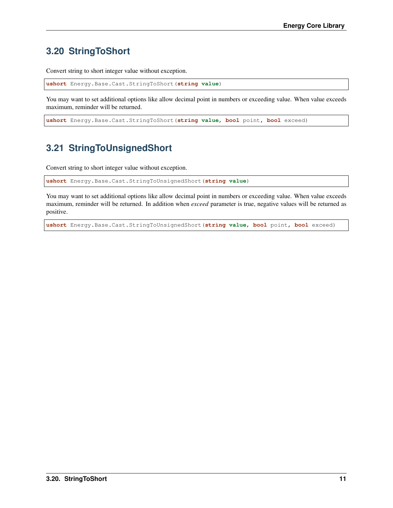# <span id="page-20-0"></span>**3.20 StringToShort**

Convert string to short integer value without exception.

**ushort** Energy.Base.Cast.StringToShort(**string value**)

You may want to set additional options like allow decimal point in numbers or exceeding value. When value exceeds maximum, reminder will be returned.

**ushort** Energy.Base.Cast.StringToShort(**string value**, **bool** point, **bool** exceed)

# <span id="page-20-1"></span>**3.21 StringToUnsignedShort**

Convert string to short integer value without exception.

**ushort** Energy.Base.Cast.StringToUnsignedShort(**string value**)

You may want to set additional options like allow decimal point in numbers or exceeding value. When value exceeds maximum, reminder will be returned. In addition when *exceed* parameter is true, negative values will be returned as positive.

**ushort** Energy.Base.Cast.StringToUnsignedShort(**string value**, **bool** point, **bool** exceed)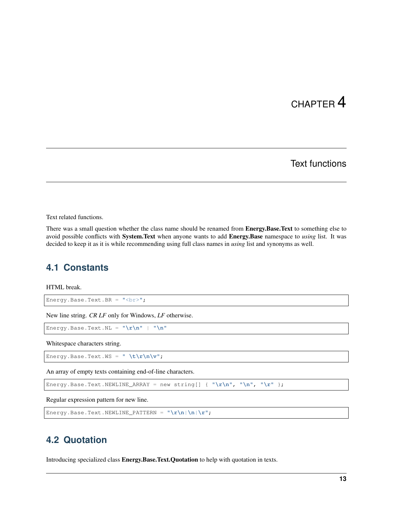# Text functions

<span id="page-22-0"></span>Text related functions.

There was a small question whether the class name should be renamed from Energy.Base.Text to something else to avoid possible conflicts with System.Text when anyone wants to add Energy.Base namespace to *using* list. It was decided to keep it as it is while recommending using full class names in *using* list and synonyms as well.

### <span id="page-22-1"></span>**4.1 Constants**

HTML break.

Energy.Base.Text.BR = "<br>";

New line string. *CR LF* only for Windows, *LF* otherwise.

Energy.Base.Text.NL = "**\r\n**" | "**\n**"

Whitespace characters string.

Energy.Base.Text.WS = " **\t\r\n\v**";

An array of empty texts containing end-of-line characters.

```
Energy.Base.Text.NEWLINE_ARRAY = new string[] { "\r\n", "\n", "\r" };
```
Regular expression pattern for new line.

```
Energy.Base.Text.NEWLINE_PATTERN = "\r\n|\n|\r";
```
### <span id="page-22-2"></span>**4.2 Quotation**

Introducing specialized class Energy.Base.Text.Quotation to help with quotation in texts.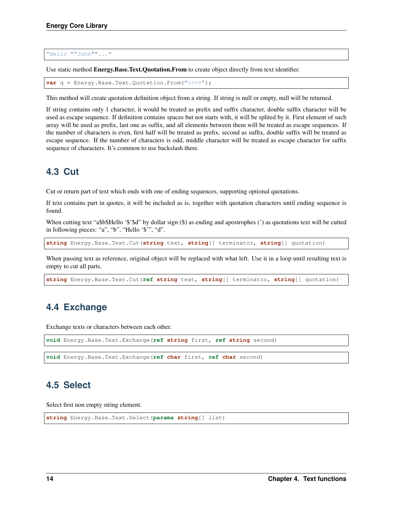"Hello ""John""..."

Use static method Energy.Base.Text.Quotation.From to create object directly from text identifier.

```
var q = Energy.Base.Text.Quotation.From("<<>>");
```
This method will create quotation definition object from a string. If string is null or empty, null will be returned.

If string contains only 1 character, it would be treated as prefix and suffix character, double suffix character will be used as escape sequence. If definition contains spaces but not starts with, it will be splited by it. First element of such array will be used as prefix, last one as suffix, and all elements between them will be treated as escape sequences. If the number of characters is even, first half will be treated as prefix, second as suffix, double suffix will be treated as escape sequence. If the number of characters is odd, middle character will be treated as escape character for suffix sequence of characters. It's common to use backslash there.

# <span id="page-23-0"></span>**4.3 Cut**

Cut or return part of text which ends with one of ending sequences, supporting optional quotations.

If text contains part in quotes, it will be included as is, together with quotation characters until ending sequence is found.

When cutting text "a\$b\$Hello '\$'\$d" by dollar sign (\$) as ending and apostrophes (') as quotations text will be cutted in following pieces: "a", "b", "Hello '\$'", "d".

**string** Energy.Base.Text.Cut(**string** text, **string**[] terminator, **string**[] quotation)

When passing text as reference, original object will be replaced with what left. Use it in a loop until resulting text is empty to cut all parts.

**string** Energy.Base.Text.Cut(**ref string** text, **string**[] terminator, **string**[] quotation)

### <span id="page-23-1"></span>**4.4 Exchange**

Exchange texts or characters between each other.

```
void Energy.Base.Text.Exchange(ref string first, ref string second)
void Energy.Base.Text.Exchange(ref char first, ref char second)
```
### <span id="page-23-2"></span>**4.5 Select**

Select first non empty string element.

```
string Energy.Base.Text.Select(params string[] list)
```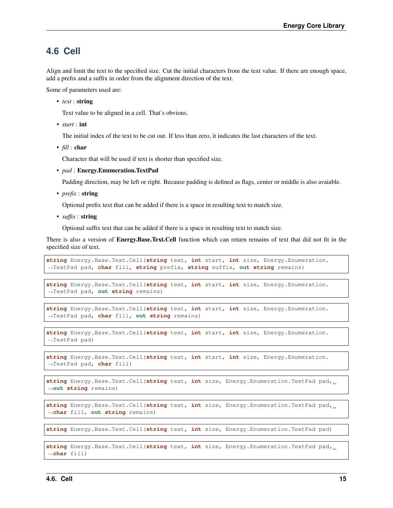#### <span id="page-24-0"></span>**4.6 Cell**

Align and limit the text to the specified size. Cut the initial characters from the text value. If there are enough space, add a prefix and a suffix in order from the alignment direction of the text.

Some of parameters used are:

• *text* : string

Text value to be aligned in a cell. That's obvious.

• *start* : int

The initial index of the text to be cut out. If less than zero, it indicates the last characters of the text.

• *fill* : char

Character that will be used if text is shorter than specified size.

• *pad* : Energy.Enumeration.TextPad

Padding direction, may be left or right. Because padding is defined as flags, center or middle is also avaiable.

• *prefix* : string

Optional prefix text that can be added if there is a space in resulting text to match size.

• *suffix* : string

Optional suffix text that can be added if there is a space in resulting text to match size.

There is also a version of **Energy.Base.Text.Cell** function which can return remains of text that did not fit in the specified size of text.

**string** Energy.Base.Text.Cell(**string** text, **int** start, **int** size, Energy.Enumeration. ˓<sup>→</sup>TextPad pad, **char** fill, **string** prefix, **string** suffix, **out string** remains)

**string** Energy.Base.Text.Cell(**string** text, **int** start, **int** size, Energy.Enumeration. ˓<sup>→</sup>TextPad pad, **out string** remains)

```
string Energy.Base.Text.Cell(string text, int start, int size, Energy.Enumeration.
˓→TextPad pad, char fill, out string remains)
```
**string** Energy.Base.Text.Cell(**string** text, **int** start, **int** size, Energy.Enumeration. ˓<sup>→</sup>TextPad pad)

```
string Energy.Base.Text.Cell(string text, int start, int size, Energy.Enumeration.
˓→TextPad pad, char fill)
```

```
string Energy.Base.Text.Cell(string text, int size, Energy.Enumeration.TextPad pad,
˓→out string remains)
```
**string** Energy.Base.Text.Cell(**string** text, **int** size, Energy.Enumeration.TextPad pad, ˓<sup>→</sup>**char** fill, **out string** remains)

**string** Energy.Base.Text.Cell(**string** text, **int** size, Energy.Enumeration.TextPad pad)

```
string Energy.Base.Text.Cell(string text, int size, Energy.Enumeration.TextPad pad,
˓→char fill)
```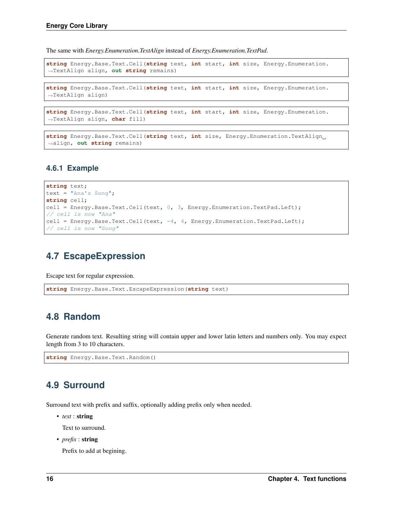The same with *Energy.Enumeration.TextAlign* instead of *Energy.Enumeration.TextPad*.

```
string Energy.Base.Text.Cell(string text, int start, int size, Energy.Enumeration.
˓→TextAlign align, out string remains)
```

```
string Energy.Base.Text.Cell(string text, int start, int size, Energy.Enumeration.
˓→TextAlign align)
```

```
string Energy.Base.Text.Cell(string text, int start, int size, Energy.Enumeration.
˓→TextAlign align, char fill)
```

```
string Energy.Base.Text.Cell(string text, int size, Energy.Enumeration.TextAlign
˓→align, out string remains)
```
#### <span id="page-25-0"></span>**4.6.1 Example**

```
string text;
text = "Ana's Song";
string cell;
cell = Energy.Base.Text.Cell(text, 0, 3, Energy.Enumeration.TextPad.Left);
// cell is now "Ana"
cell = Energy.Base.Text.Cell(text, -4, 4, Energy.Enumeration.TextPad.Left);
// cell is now "Song"
```
# <span id="page-25-1"></span>**4.7 EscapeExpression**

Escape text for regular expression.

```
string Energy.Base.Text.EscapeExpression(string text)
```
### <span id="page-25-2"></span>**4.8 Random**

Generate random text. Resulting string will contain upper and lower latin letters and numbers only. You may expect length from 3 to 10 characters.

**string** Energy.Base.Text.Random()

### <span id="page-25-3"></span>**4.9 Surround**

Surround text with prefix and suffix, optionally adding prefix only when needed.

• *text* : string

Text to surround.

• *prefix* : **string** 

Prefix to add at begining.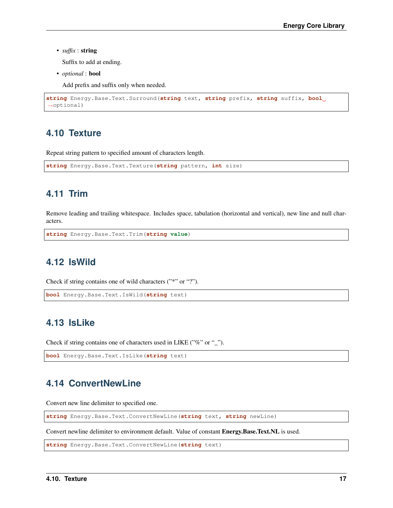• *suffix* : string

Suffix to add at ending.

• *optional* : bool

Add prefix and suffix only when needed.

```
string Energy.Base.Text.Surround(string text, string prefix, string suffix, bool
˓→optional)
```
#### <span id="page-26-0"></span>**4.10 Texture**

Repeat string pattern to specified amount of characters length.

**string** Energy.Base.Text.Texture(**string** pattern, **int** size)

# <span id="page-26-1"></span>**4.11 Trim**

Remove leading and trailing whitespace. Includes space, tabulation (horizontal and vertical), new line and null characters.

```
string Energy.Base.Text.Trim(string value)
```
# <span id="page-26-2"></span>**4.12 IsWild**

Check if string contains one of wild characters ("\*" or "?").

```
bool Energy.Base.Text.IsWild(string text)
```
# <span id="page-26-3"></span>**4.13 IsLike**

Check if string contains one of characters used in LIKE ("%" or "\_").

```
bool Energy.Base.Text.IsLike(string text)
```
# <span id="page-26-4"></span>**4.14 ConvertNewLine**

Convert new line delimiter to specified one.

**string** Energy.Base.Text.ConvertNewLine(**string** text, **string** newLine)

Convert newline delimiter to environment default. Value of constant Energy.Base.Text.NL is used.

**string** Energy.Base.Text.ConvertNewLine(**string** text)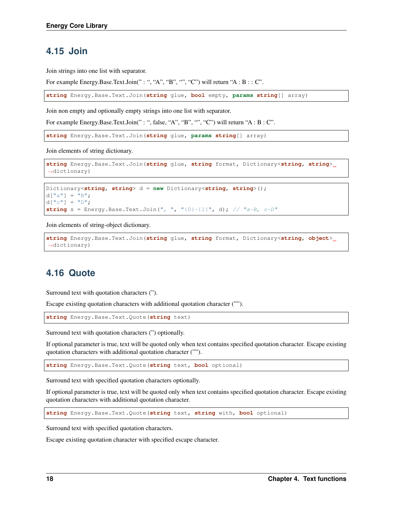### <span id="page-27-0"></span>**4.15 Join**

Join strings into one list with separator.

For example Energy.Base.Text.Join(": ", "A", "B", "", "C") will return "A :  $B$  : : C".

**string** Energy.Base.Text.Join(**string** glue, **bool** empty, **params string**[] array)

Join non empty and optionally empty strings into one list with separator.

For example Energy.Base.Text.Join(": ", false, "A", "B", "", "C") will return "A : B : C".

**string** Energy.Base.Text.Join(**string** glue, **params string**[] array)

Join elements of string dictionary.

```
string Energy.Base.Text.Join(string glue, string format, Dictionary<string, string>
˓→dictionary)
```

```
Dictionary<string, string> d = new Dictionary<string, string>();
d["a"] = "B";d[["c"] = "D";string s = Energy. Base. Text. Join (", ", "{0}-{1}", d); // "a-B, c-D"
```
Join elements of string-object dictionary.

```
string Energy.Base.Text.Join(string glue, string format, Dictionary<string, object>
˓→dictionary)
```
# <span id="page-27-1"></span>**4.16 Quote**

Surround text with quotation characters (").

Escape existing quotation characters with additional quotation character ("").

**string** Energy.Base.Text.Quote(**string** text)

Surround text with quotation characters (") optionally.

If optional parameter is true, text will be quoted only when text contains specified quotation character. Escape existing quotation characters with additional quotation character ("").

**string** Energy.Base.Text.Quote(**string** text, **bool** optional)

Surround text with specified quotation characters optionally.

If optional parameter is true, text will be quoted only when text contains specified quotation character. Escape existing quotation characters with additional quotation character.

**string** Energy.Base.Text.Quote(**string** text, **string** with, **bool** optional)

Surround text with specified quotation characters.

Escape existing quotation character with specified escape character.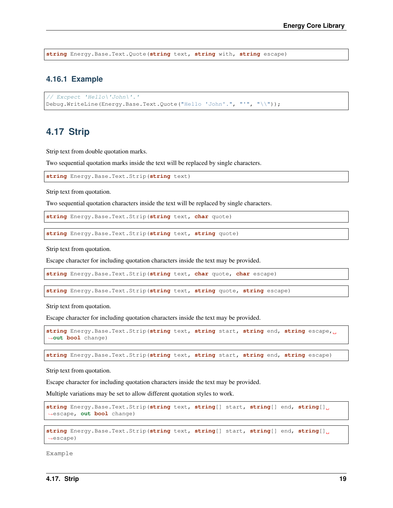**string** Energy.Base.Text.Quote(**string** text, **string** with, **string** escape)

#### <span id="page-28-0"></span>**4.16.1 Example**

```
// Excpect 'Hello\'John\'.'
Debug.WriteLine(Energy.Base.Text.Quote("Hello 'John'.", "'", "\\"));
```
## <span id="page-28-1"></span>**4.17 Strip**

Strip text from double quotation marks.

Two sequential quotation marks inside the text will be replaced by single characters.

```
string Energy.Base.Text.Strip(string text)
```
Strip text from quotation.

Two sequential quotation characters inside the text will be replaced by single characters.

**string** Energy.Base.Text.Strip(**string** text, **char** quote)

```
string Energy.Base.Text.Strip(string text, string quote)
```
Strip text from quotation.

Escape character for including quotation characters inside the text may be provided.

**string** Energy.Base.Text.Strip(**string** text, **char** quote, **char** escape)

**string** Energy.Base.Text.Strip(**string** text, **string** quote, **string** escape)

Strip text from quotation.

Escape character for including quotation characters inside the text may be provided.

```
string Energy.Base.Text.Strip(string text, string start, string end, string escape,
˓→out bool change)
```
**string** Energy.Base.Text.Strip(**string** text, **string** start, **string** end, **string** escape)

Strip text from quotation.

Escape character for including quotation characters inside the text may be provided.

Multiple variations may be set to allow different quotation styles to work.

```
string Energy.Base.Text.Strip(string text, string[] start, string[] end, string[]
˓→escape, out bool change)
```

```
string Energy.Base.Text.Strip(string text, string[] start, string[] end, string[]
˓→escape)
```
Example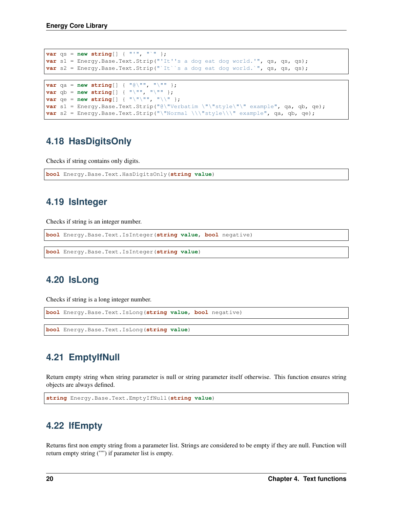```
var qs = new string[] { "'", "`" };
var s1 = Energy.Base.Text.Strip("'It''s a dog eat dog world.'", qs, qs, qs);
var s2 = Energy.Base.Text.Strip("`It''s a dog eat dog world.'", qs, qs, qs);
```

```
var qa = new string[] { "@\"", "\"" };
var qb = new string[] { "\"", "\"" };
var qe = new string[] { "\"\"", "\\" };
var s1 = Energy.Base.Text.Strip("@\"Verbatim \"\"style\"\" example", qa, qb, qe);
var s2 = Energy.Base.Text.Strip("\"Normal \\\"style\\\" example", qa, qb, qe);
```
# <span id="page-29-0"></span>**4.18 HasDigitsOnly**

Checks if string contains only digits.

```
bool Energy.Base.Text.HasDigitsOnly(string value)
```
# <span id="page-29-1"></span>**4.19 IsInteger**

Checks if string is an integer number.

```
bool Energy.Base.Text.IsInteger(string value, bool negative)
```

```
bool Energy.Base.Text.IsInteger(string value)
```
# <span id="page-29-2"></span>**4.20 IsLong**

Checks if string is a long integer number.

```
bool Energy.Base.Text.IsLong(string value, bool negative)
```
**bool** Energy.Base.Text.IsLong(**string value**)

# <span id="page-29-3"></span>**4.21 EmptyIfNull**

Return empty string when string parameter is null or string parameter itself otherwise. This function ensures string objects are always defined.

```
string Energy.Base.Text.EmptyIfNull(string value)
```
# <span id="page-29-4"></span>**4.22 IfEmpty**

Returns first non empty string from a parameter list. Strings are considered to be empty if they are null. Function will return empty string ("") if parameter list is empty.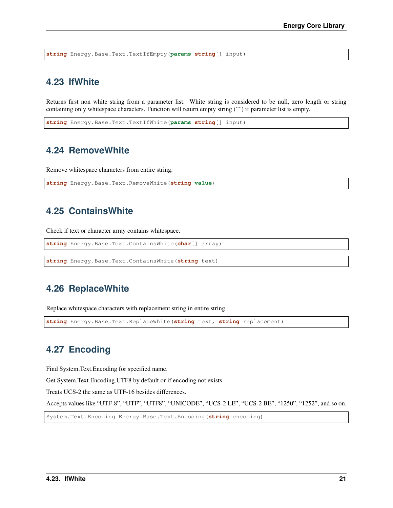**string** Energy.Base.Text.TextIfEmpty(**params string**[] input)

### <span id="page-30-0"></span>**4.23 IfWhite**

Returns first non white string from a parameter list. White string is considered to be null, zero length or string containing only whitespace characters. Function will return empty string ("") if parameter list is empty.

**string** Energy.Base.Text.TextIfWhite(**params string**[] input)

### <span id="page-30-1"></span>**4.24 RemoveWhite**

Remove whitespace characters from entire string.

```
string Energy.Base.Text.RemoveWhite(string value)
```
# <span id="page-30-2"></span>**4.25 ContainsWhite**

Check if text or character array contains whitespace.

```
string Energy.Base.Text.ContainsWhite(char[] array)
```
**string** Energy.Base.Text.ContainsWhite(**string** text)

### <span id="page-30-3"></span>**4.26 ReplaceWhite**

Replace whitespace characters with replacement string in entire string.

```
string Energy.Base.Text.ReplaceWhite(string text, string replacement)
```
## <span id="page-30-4"></span>**4.27 Encoding**

Find System.Text.Encoding for specified name.

Get System.Text.Encoding.UTF8 by default or if encoding not exists.

Treats UCS-2 the same as UTF-16 besides differences.

Accepts values like "UTF-8", "UTF", "UTF8", "UNICODE", "UCS-2 LE", "UCS-2 BE", "1250", "1252", and so on.

System.Text.Encoding Energy.Base.Text.Encoding(**string** encoding)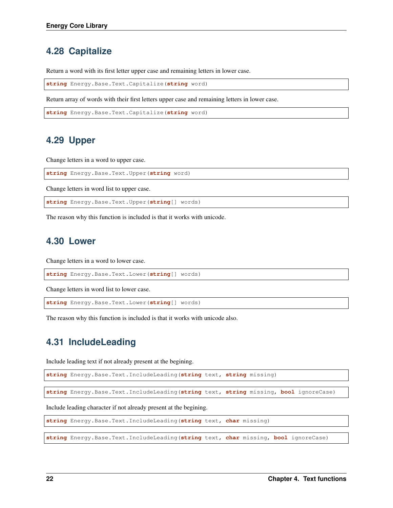# <span id="page-31-0"></span>**4.28 Capitalize**

Return a word with its first letter upper case and remaining letters in lower case.

**string** Energy.Base.Text.Capitalize(**string** word)

Return array of words with their first letters upper case and remaining letters in lower case.

```
string Energy.Base.Text.Capitalize(string word)
```
#### <span id="page-31-1"></span>**4.29 Upper**

Change letters in a word to upper case.

**string** Energy.Base.Text.Upper(**string** word)

Change letters in word list to upper case.

**string** Energy.Base.Text.Upper(**string**[] words)

The reason why this function is included is that it works with unicode.

#### <span id="page-31-2"></span>**4.30 Lower**

Change letters in a word to lower case.

**string** Energy.Base.Text.Lower(**string**[] words)

Change letters in word list to lower case.

**string** Energy.Base.Text.Lower(**string**[] words)

The reason why this function is included is that it works with unicode also.

#### <span id="page-31-3"></span>**4.31 IncludeLeading**

Include leading text if not already present at the begining.

```
string Energy.Base.Text.IncludeLeading(string text, string missing)
```
**string** Energy.Base.Text.IncludeLeading(**string** text, **string** missing, **bool** ignoreCase)

Include leading character if not already present at the begining.

```
string Energy.Base.Text.IncludeLeading(string text, char missing)
```
**string** Energy.Base.Text.IncludeLeading(**string** text, **char** missing, **bool** ignoreCase)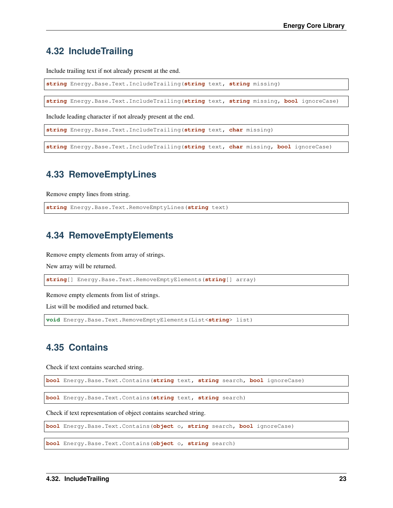# <span id="page-32-0"></span>**4.32 IncludeTrailing**

Include trailing text if not already present at the end.

**string** Energy.Base.Text.IncludeTrailing(**string** text, **string** missing)

**string** Energy.Base.Text.IncludeTrailing(**string** text, **string** missing, **bool** ignoreCase)

Include leading character if not already present at the end.

**string** Energy.Base.Text.IncludeTrailing(**string** text, **char** missing)

**string** Energy.Base.Text.IncludeTrailing(**string** text, **char** missing, **bool** ignoreCase)

#### <span id="page-32-1"></span>**4.33 RemoveEmptyLines**

Remove empty lines from string.

**string** Energy.Base.Text.RemoveEmptyLines(**string** text)

#### <span id="page-32-2"></span>**4.34 RemoveEmptyElements**

Remove empty elements from array of strings.

New array will be returned.

**string**[] Energy.Base.Text.RemoveEmptyElements(**string**[] array)

Remove empty elements from list of strings.

List will be modified and returned back.

**void** Energy.Base.Text.RemoveEmptyElements(List<**string**> list)

#### <span id="page-32-3"></span>**4.35 Contains**

Check if text contains searched string.

**bool** Energy.Base.Text.Contains(**string** text, **string** search, **bool** ignoreCase)

**bool** Energy.Base.Text.Contains(**string** text, **string** search)

Check if text representation of object contains searched string.

**bool** Energy.Base.Text.Contains(**object** o, **string** search, **bool** ignoreCase)

**bool** Energy.Base.Text.Contains(**object** o, **string** search)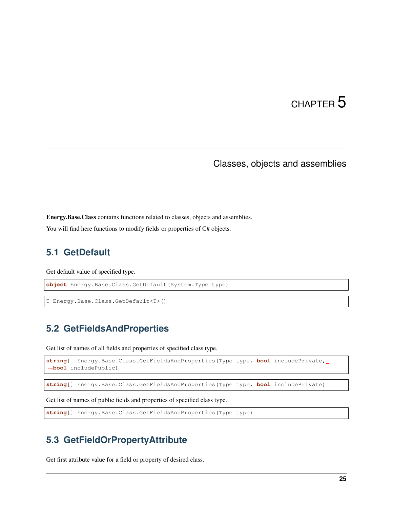# Classes, objects and assemblies

<span id="page-34-0"></span>Energy.Base.Class contains functions related to classes, objects and assemblies.

You will find here functions to modify fields or properties of  $C#$  objects.

### <span id="page-34-1"></span>**5.1 GetDefault**

Get default value of specified type.

**object** Energy.Base.Class.GetDefault(System.Type type)

```
T Energy.Base.Class.GetDefault<T>()
```
# <span id="page-34-2"></span>**5.2 GetFieldsAndProperties**

Get list of names of all fields and properties of specified class type.

```
string[] Energy.Base.Class.GetFieldsAndProperties(Type type, bool includePrivate,
˓→bool includePublic)
```

```
string[] Energy.Base.Class.GetFieldsAndProperties(Type type, bool includePrivate)
```
Get list of names of public fields and properties of specified class type.

```
string[] Energy.Base.Class.GetFieldsAndProperties(Type type)
```
### <span id="page-34-3"></span>**5.3 GetFieldOrPropertyAttribute**

Get first attribute value for a field or property of desired class.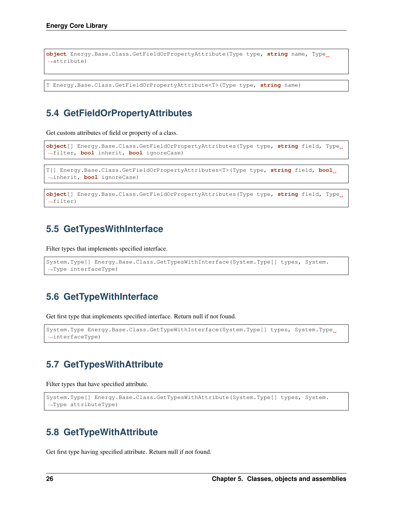```
object Energy.Base.Class.GetFieldOrPropertyAttribute(Type type, string name, Type
˓→attribute)
```
T Energy.Base.Class.GetFieldOrPropertyAttribute<T>(Type type, **string** name)

# <span id="page-35-0"></span>**5.4 GetFieldOrPropertyAttributes**

Get custom attributes of field or property of a class.

```
object[] Energy.Base.Class.GetFieldOrPropertyAttributes(Type type, string field, Type
˓→filter, bool inherit, bool ignoreCase)
```

```
T[] Energy.Base.Class.GetFieldOrPropertyAttributes<T>(Type type, string field, bool
˓→inherit, bool ignoreCase)
```

```
object[] Energy.Base.Class.GetFieldOrPropertyAttributes(Type type, string field, Type
˓→filter)
```
# <span id="page-35-1"></span>**5.5 GetTypesWithInterface**

Filter types that implements specified interface.

```
System.Type[] Energy.Base.Class.GetTypesWithInterface(System.Type[] types, System.
˓→Type interfaceType)
```
# <span id="page-35-2"></span>**5.6 GetTypeWithInterface**

Get first type that implements specified interface. Return null if not found.

```
System.Type Energy.Base.Class.GetTypeWithInterface(System.Type[] types, System.Type
˓→interfaceType)
```
# <span id="page-35-3"></span>**5.7 GetTypesWithAttribute**

Filter types that have specified attribute.

```
System.Type[] Energy.Base.Class.GetTypesWithAttribute(System.Type[] types, System.
˓→Type attributeType)
```
### <span id="page-35-4"></span>**5.8 GetTypeWithAttribute**

Get first type having specified attribute. Return null if not found.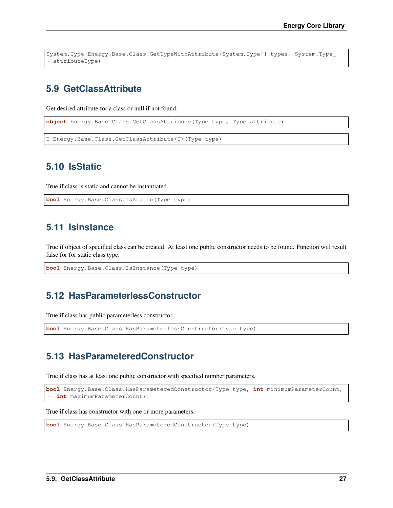```
System.Type Energy.Base.Class.GetTypeWithAttribute(System.Type[] types, System.Type
˓→attributeType)
```
## **5.9 GetClassAttribute**

Get desired attribute for a class or null if not found.

**object** Energy.Base.Class.GetClassAttribute(Type type, Type attribute)

T Energy.Base.Class.GetClassAttribute<T>(Type type)

### **5.10 IsStatic**

True if class is static and cannot be instantiated.

**bool** Energy.Base.Class.IsStatic(Type type)

### **5.11 IsInstance**

True if object of specified class can be created. At least one public constructor needs to be found. Function will result false for for static class type.

```
bool Energy.Base.Class.IsInstance(Type type)
```
### **5.12 HasParameterlessConstructor**

True if class has public parameterless constructor.

```
bool Energy.Base.Class.HasParameterlessConstructor(Type type)
```
#### **5.13 HasParameteredConstructor**

True if class has at least one public constructor with specified number parameters.

```
bool Energy.Base.Class.HasParameteredConstructor(Type type, int minimumParameterCount,
˓→ int maximumParameterCount)
```
True if class has constructor with one or more parameters.

```
bool Energy.Base.Class.HasParameteredConstructor(Type type)
```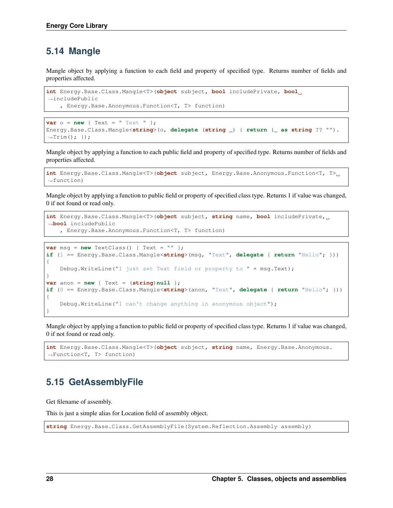### **5.14 Mangle**

Mangle object by applying a function to each field and property of specified type. Returns number of fields and properties affected.

```
int Energy.Base.Class.Mangle<T>(object subject, bool includePrivate, bool
˓→includePublic
    , Energy.Base.Anonymous.Function<T, T> function)
```

```
var o = new \{ Text = " Text " };Energy.Base.Class.Mangle<string>(o, delegate (string _) { return (_ as string ?? "").
\rightarrowTrim(); });
```
Mangle object by applying a function to each public field and property of specified type. Returns number of fields and properties affected.

```
int Energy.Base.Class.Mangle<T>(object subject, Energy.Base.Anonymous.Function<T, T>
˓→function)
```
Mangle object by applying a function to public field or property of specified class type. Returns 1 if value was changed, 0 if not found or read only.

```
int Energy.Base.Class.Mangle<T>(object subject, string name, bool includePrivate,
˓→bool includePublic
   , Energy.Base.Anonymous.Function<T, T> function)
```

```
var msq = new TextClass() { Text = " " ];
if (1 == Energy.Base.Class.Mangle<string>(msg, "Text", delegate { return "Hello"; }))
{
    Debug.WriteLine("I just set Text field or property to " + msg.Text);
}
var anon = new { Text = (string) null };
if (0 == Energy.Base.Class.Mangle<string>(anon, "Text", delegate { return "Hello"; }))
{
    Debug.WriteLine("I can't change anything in anonymous object");
}
```
Mangle object by applying a function to public field or property of specified class type. Returns 1 if value was changed, 0 if not found or read only.

```
int Energy.Base.Class.Mangle<T>(object subject, string name, Energy.Base.Anonymous.
˓→Function<T, T> function)
```
### **5.15 GetAssemblyFile**

Get filename of assembly.

This is just a simple alias for Location field of assembly object.

**string** Energy.Base.Class.GetAssemblyFile(System.Reflection.Assembly assembly)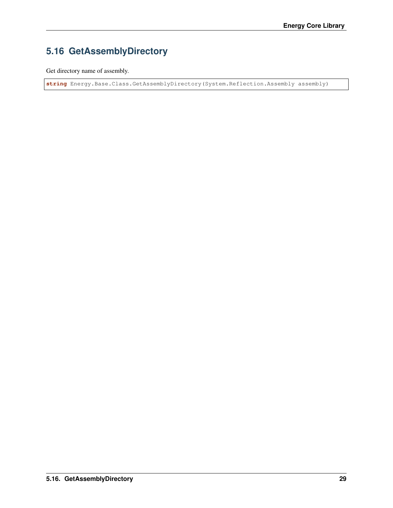## **5.16 GetAssemblyDirectory**

Get directory name of assembly.

**string** Energy.Base.Class.GetAssemblyDirectory(System.Reflection.Assembly assembly)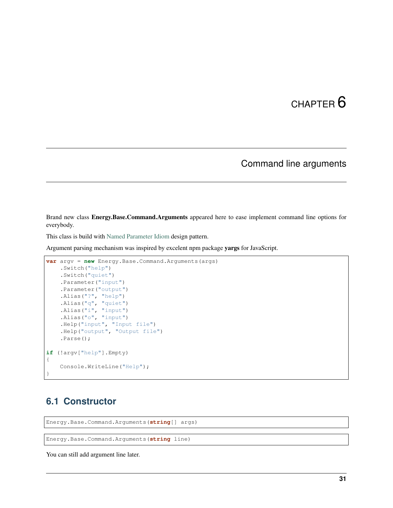### Command line arguments

Brand new class Energy.Base.Command.Arguments appeared here to ease implement command line options for everybody.

This class is build with [Named Parameter Idiom](http://www.cs.technion.ac.il/users/yechiel/c++-faq/named-parameter-idiom.html) design pattern.

Argument parsing mechanism was inspired by excelent npm package yargs for JavaScript.

```
var argv = new Energy.Base.Command.Arguments(args)
    .Switch("help")
    .Switch("quiet")
    .Parameter("input")
    .Parameter("output")
    .Alias("?", "help")
    .Alias("q", "quiet")
    . Alias \begin{pmatrix} 1 & 1 \\ 1 & 0 \end{pmatrix} "input")
    .Alias("o", "input")
    .Help("input", "Input file")
    .Help("output", "Output file")
    .Parse();
if (!argv["help"].Empty)
{
    Console.WriteLine("Help");
}
```
### **6.1 Constructor**

Energy.Base.Command.Arguments(**string**[] args)

Energy.Base.Command.Arguments(**string** line)

You can still add argument line later.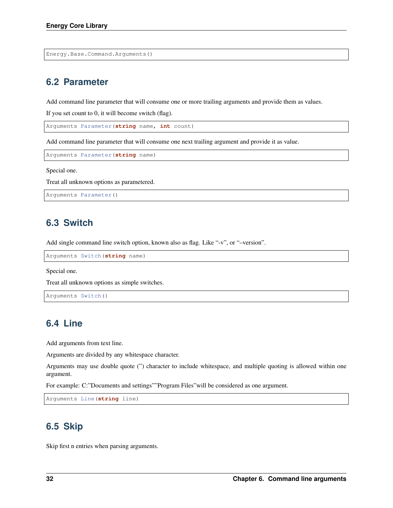Energy.Base.Command.Arguments()

### **6.2 Parameter**

Add command line parameter that will consume one or more trailing arguments and provide them as values.

If you set count to 0, it will become switch (flag).

Arguments Parameter(**string** name, **int** count)

Add command line parameter that will consume one next trailing argument and provide it as value.

Arguments Parameter(**string** name)

Special one.

Treat all unknown options as parametered.

```
Arguments Parameter()
```
### **6.3 Switch**

Add single command line switch option, known also as flag. Like "-v", or "–version".

```
Arguments Switch(string name)
```
Special one.

Treat all unknown options as simple switches.

```
Arguments Switch()
```
### **6.4 Line**

Add arguments from text line.

Arguments are divided by any whitespace character.

Arguments may use double quote (") character to include whitespace, and multiple quoting is allowed within one argument.

For example: C:"Documents and settings""Program Files"will be considered as one argument.

```
Arguments Line(string line)
```
### **6.5 Skip**

Skip first n entries when parsing arguments.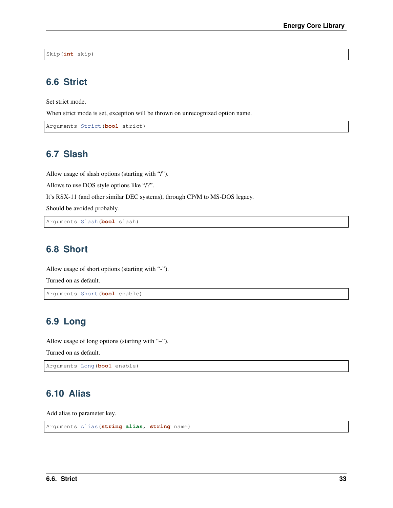Skip(**int** skip)

### **6.6 Strict**

Set strict mode.

When strict mode is set, exception will be thrown on unrecognized option name.

```
Arguments Strict(bool strict)
```
### **6.7 Slash**

Allow usage of slash options (starting with "/").

Allows to use DOS style options like "/?".

It's RSX-11 (and other similar DEC systems), through CP/M to MS-DOS legacy.

Should be avoided probably.

Arguments Slash(**bool** slash)

## **6.8 Short**

Allow usage of short options (starting with "-").

Turned on as default.

```
Arguments Short(bool enable)
```
### **6.9 Long**

Allow usage of long options (starting with "–").

Turned on as default.

Arguments Long(**bool** enable)

### **6.10 Alias**

Add alias to parameter key.

```
Arguments Alias(string alias, string name)
```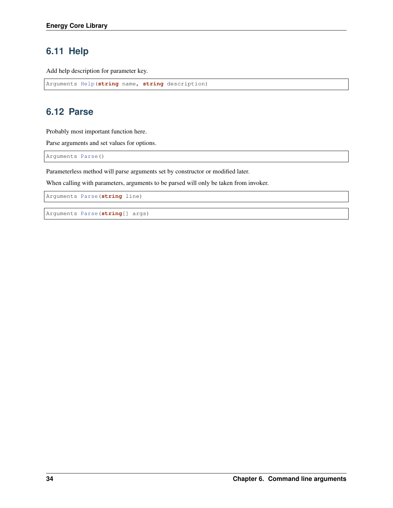## **6.11 Help**

Add help description for parameter key.

```
Arguments Help(string name, string description)
```
## **6.12 Parse**

Probably most important function here.

Parse arguments and set values for options.

Arguments Parse()

Parameterless method will parse arguments set by constructor or modified later.

When calling with parameters, arguments to be parsed will only be taken from invoker.

Arguments Parse(**string** line)

Arguments Parse(**string**[] args)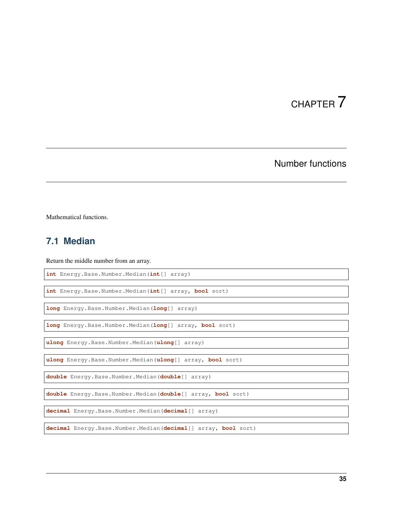## Number functions

Mathematical functions.

## **7.1 Median**

Return the middle number from an array.

**int** Energy.Base.Number.Median(**int**[] array)

**int** Energy.Base.Number.Median(**int**[] array, **bool** sort)

**long** Energy.Base.Number.Median(**long**[] array)

**long** Energy.Base.Number.Median(**long**[] array, **bool** sort)

**ulong** Energy.Base.Number.Median(**ulong**[] array)

**ulong** Energy.Base.Number.Median(**ulong**[] array, **bool** sort)

**double** Energy.Base.Number.Median(**double**[] array)

**double** Energy.Base.Number.Median(**double**[] array, **bool** sort)

**decimal** Energy.Base.Number.Median(**decimal**[] array)

**decimal** Energy.Base.Number.Median(**decimal**[] array, **bool** sort)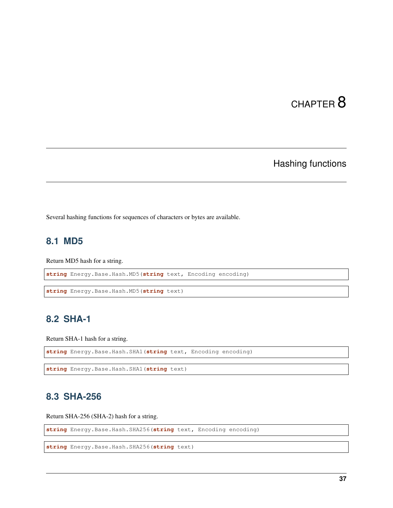## Hashing functions

Several hashing functions for sequences of characters or bytes are available.

## **8.1 MD5**

Return MD5 hash for a string.

**string** Energy.Base.Hash.MD5(**string** text, Encoding encoding)

```
string Energy.Base.Hash.MD5(string text)
```
### **8.2 SHA-1**

Return SHA-1 hash for a string.

```
string Energy.Base.Hash.SHA1(string text, Encoding encoding)
```

```
string Energy.Base.Hash.SHA1(string text)
```
## **8.3 SHA-256**

Return SHA-256 (SHA-2) hash for a string.

**string** Energy.Base.Hash.SHA256(**string** text, Encoding encoding)

```
string Energy.Base.Hash.SHA256(string text)
```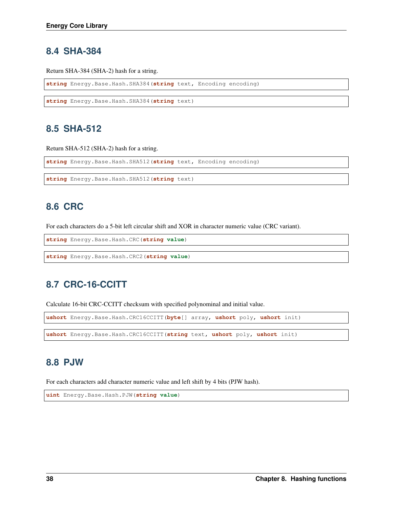#### **8.4 SHA-384**

Return SHA-384 (SHA-2) hash for a string.

**string** Energy.Base.Hash.SHA384(**string** text, Encoding encoding)

```
string Energy.Base.Hash.SHA384(string text)
```
### **8.5 SHA-512**

Return SHA-512 (SHA-2) hash for a string.

**string** Energy.Base.Hash.SHA512(**string** text, Encoding encoding)

```
string Energy.Base.Hash.SHA512(string text)
```
## **8.6 CRC**

For each characters do a 5-bit left circular shift and XOR in character numeric value (CRC variant).

```
string Energy.Base.Hash.CRC(string value)
```
**string** Energy.Base.Hash.CRC2(**string value**)

### **8.7 CRC-16-CCITT**

Calculate 16-bit CRC-CCITT checksum with specified polynominal and initial value.

```
ushort Energy.Base.Hash.CRC16CCITT(byte[] array, ushort poly, ushort init)
```
**ushort** Energy.Base.Hash.CRC16CCITT(**string** text, **ushort** poly, **ushort** init)

### **8.8 PJW**

For each characters add character numeric value and left shift by 4 bits (PJW hash).

**uint** Energy.Base.Hash.PJW(**string value**)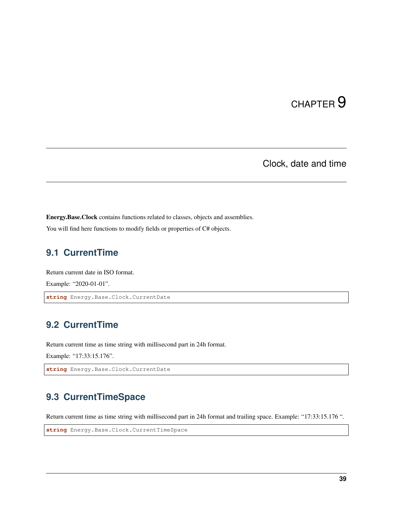## CHAPTER<sup>9</sup>

Clock, date and time

Energy.Base.Clock contains functions related to classes, objects and assemblies.

You will find here functions to modify fields or properties of  $C#$  objects.

## **9.1 CurrentTime**

Return current date in ISO format. Example: "2020-01-01".

**string** Energy.Base.Clock.CurrentDate

## **9.2 CurrentTime**

Return current time as time string with millisecond part in 24h format.

Example: "17:33:15.176".

**string** Energy.Base.Clock.CurrentDate

## **9.3 CurrentTimeSpace**

Return current time as time string with millisecond part in 24h format and trailing space. Example: "17:33:15.176 ".

**string** Energy.Base.Clock.CurrentTimeSpace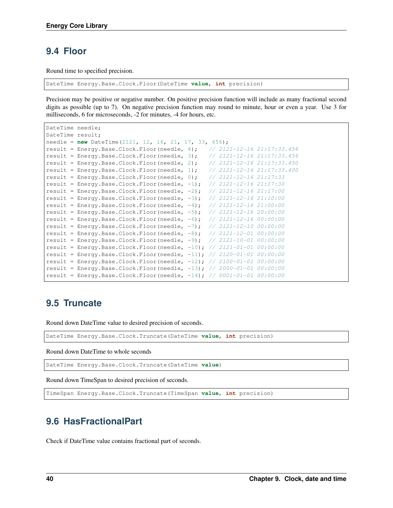### **9.4 Floor**

Round time to specified precision.

DateTime Energy.Base.Clock.Floor(DateTime **value**, **int** precision)

Precision may be positive or negative number. On positive precision function will include as many fractional second digits as possible (up to 7). On negative precision function may round to minute, hour or even a year. Use 3 for milliseconds, 6 for microseconds, -2 for minutes, -4 for hours, etc.

```
DateTime needle;
DateTime result;
needle = new DateTime(2121, 12, 16, 21, 17, 33, 456);
result = Energy.Base.Clock.Floor(needle, 4); \frac{1}{2} // 2121-12-16 21:17:33.456
result = Energy.Base.Clock.Floor(needle, 3); // 2121-12-16 21:17:33.456
result = Energy.Base.Clock.Floor(needle, 2); // 2121-12-16 21:17:33.450
result = Energy.Base.Clock.Floor(needle, 1); // 2121-12-16 21:17:33.400result = Energy.Base.Clock.Floor(needle, 0); \frac{\sqrt{2121-12-16}}{21:17:33}result = Energy.Base.Clock.Floor(needle, -1); // 2121-12-16 21:17:30
result = Energy.Base.Clock.Floor(needle, -2); // 2121-12-16 21:17:00
result = Energy.Base.Clock.Floor(needle, -3); // 2121-12-16 21:10:00
result = Energy.Base.Clock.Floor(needle, -4); // 2121-12-16 21:00:00result = Energy.Base.Clock.Floor(needle, -5); // 2121-12-16 20:00:00
result = Energy.Base.Clock.Floor(needle, -6); // 2121-12-16 00:00:00
result = Energy.Base.Clock.Floor(needle, -7); // 2121-12-10 00:00:00
result = Energy.Base.Clock.Floor(needle, -8); \frac{1}{2} // 2121-12-01 00:00:00
result = Energy.Base.Clock.Floor(needle, -9); // 2121-10-01 00:00:00
result = Energy.Base.Clock.Floor(needle, -10); // 2121-01-01 00:00:00
result = Energy.Base.Clock.Floor(needle, -11); // 2120-01-01 00:00:00result = Energy.Base.Clock.Floor(needle, -12); // 2100-01-01 00:00:00
result = Energy.Base.Clock.Floor(needle, -13); // 2000-01-01 00:00:00
result = Energy.Base.Clock.Floor(needle, -14); // 0001-01-01 00:00:00
```
### **9.5 Truncate**

Round down DateTime value to desired precision of seconds.

DateTime Energy.Base.Clock.Truncate(DateTime **value**, **int** precision)

Round down DateTime to whole seconds

DateTime Energy.Base.Clock.Truncate(DateTime **value**)

Round down TimeSpan to desired precision of seconds.

TimeSpan Energy.Base.Clock.Truncate(TimeSpan **value**, **int** precision)

## **9.6 HasFractionalPart**

Check if DateTime value contains fractional part of seconds.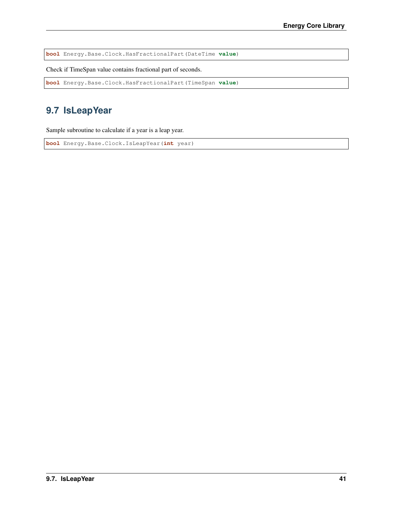**bool** Energy.Base.Clock.HasFractionalPart(DateTime **value**)

Check if TimeSpan value contains fractional part of seconds.

**bool** Energy.Base.Clock.HasFractionalPart(TimeSpan **value**)

## **9.7 IsLeapYear**

Sample subroutine to calculate if a year is a leap year.

**bool** Energy.Base.Clock.IsLeapYear(**int** year)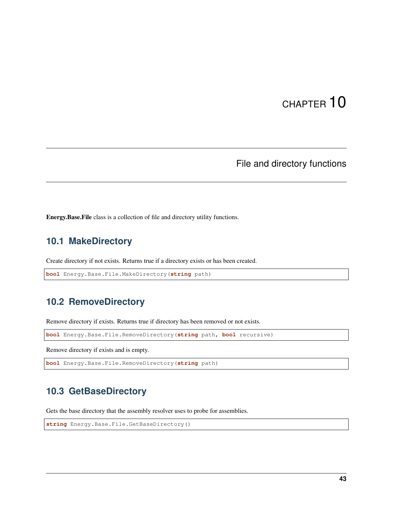## File and directory functions

Energy.Base.File class is a collection of file and directory utility functions.

## **10.1 MakeDirectory**

Create directory if not exists. Returns true if a directory exists or has been created.

**bool** Energy.Base.File.MakeDirectory(**string** path)

### **10.2 RemoveDirectory**

Remove directory if exists. Returns true if directory has been removed or not exists.

**bool** Energy.Base.File.RemoveDirectory(**string** path, **bool** recursive)

Remove directory if exists and is empty.

**bool** Energy.Base.File.RemoveDirectory(**string** path)

### **10.3 GetBaseDirectory**

Gets the base directory that the assembly resolver uses to probe for assemblies.

```
string Energy.Base.File.GetBaseDirectory()
```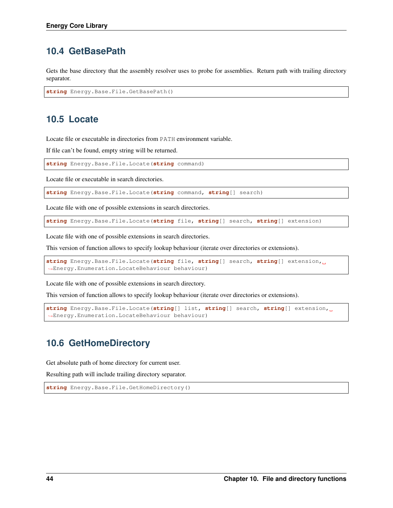## **10.4 GetBasePath**

Gets the base directory that the assembly resolver uses to probe for assemblies. Return path with trailing directory separator.

**string** Energy.Base.File.GetBasePath()

## **10.5 Locate**

Locate file or executable in directories from PATH environment variable.

If file can't be found, empty string will be returned.

**string** Energy.Base.File.Locate(**string** command)

Locate file or executable in search directories.

**string** Energy.Base.File.Locate(**string** command, **string**[] search)

Locate file with one of possible extensions in search directories.

```
string Energy.Base.File.Locate(string file, string[] search, string[] extension)
```
Locate file with one of possible extensions in search directories.

This version of function allows to specify lookup behaviour (iterate over directories or extensions).

```
string Energy.Base.File.Locate(string file, string[] search, string[] extension,
˓→Energy.Enumeration.LocateBehaviour behaviour)
```
Locate file with one of possible extensions in search directory.

This version of function allows to specify lookup behaviour (iterate over directories or extensions).

```
string Energy.Base.File.Locate(string[] list, string[] search, string[] extension,
˓→Energy.Enumeration.LocateBehaviour behaviour)
```
## **10.6 GetHomeDirectory**

Get absolute path of home directory for current user.

Resulting path will include trailing directory separator.

```
string Energy.Base.File.GetHomeDirectory()
```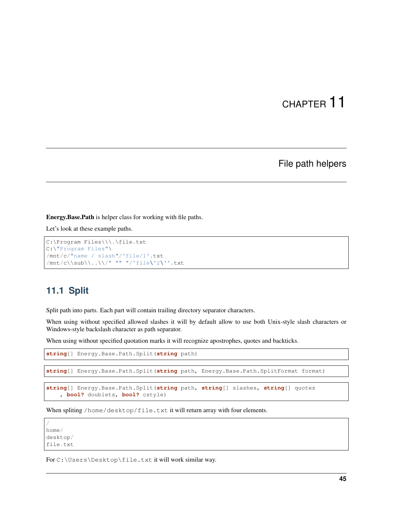File path helpers

Energy.Base.Path is helper class for working with file paths.

Let's look at these example paths.

```
C:\Program Files\\\.\file.txt
C:\"Program Files"\
/mnt/c/"name / slash"/'file/1'.txt
/mnt/c\\sub\\..\\/" "" "/'file\'2\''.txt
```
## **11.1 Split**

Split path into parts. Each part will contain trailing directory separator characters.

When using without specified allowed slashes it will by default allow to use both Unix-style slash characters or Windows-style backslash character as path separator.

When using without specified quotation marks it will recognize apostrophes, quotes and backticks.

**string**[] Energy.Base.Path.Split(**string** path)

**string**[] Energy.Base.Path.Split(**string** path, Energy.Base.Path.SplitFormat format)

```
string[] Energy.Base.Path.Split(string path, string[] slashes, string[] quotes
    , bool? doublets, bool? cstyle)
```
When spliting /home/desktop/file.txt it will return array with four elements.

/ home/ desktop/ file.txt

For C:\Users\Desktop\file.txt it will work similar way.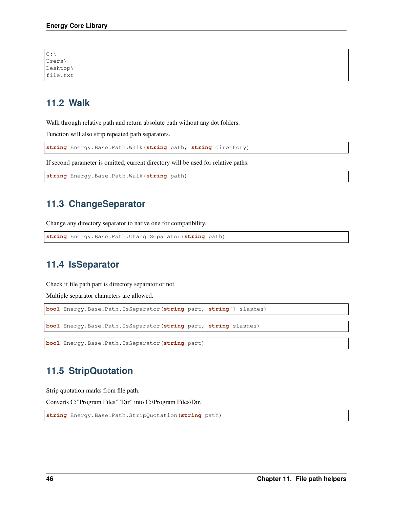| C:                   |  |  |
|----------------------|--|--|
| Users\               |  |  |
| Desktop\<br>file.txt |  |  |
|                      |  |  |

## **11.2 Walk**

Walk through relative path and return absolute path without any dot folders.

Function will also strip repeated path separators.

**string** Energy.Base.Path.Walk(**string** path, **string** directory)

If second parameter is omitted, current directory will be used for relative paths.

```
string Energy.Base.Path.Walk(string path)
```
### **11.3 ChangeSeparator**

Change any directory separator to native one for compatibility.

```
string Energy.Base.Path.ChangeSeparator(string path)
```
### **11.4 IsSeparator**

Check if file path part is directory separator or not.

Multiple separator characters are allowed.

```
bool Energy.Base.Path.IsSeparator(string part, string[] slashes)
```
**bool** Energy.Base.Path.IsSeparator(**string** part, **string** slashes)

```
bool Energy.Base.Path.IsSeparator(string part)
```
## **11.5 StripQuotation**

Strip quotation marks from file path.

Converts C:"Program Files""Dir" into C:\Program Files\Dir.

```
string Energy.Base.Path.StripQuotation(string path)
```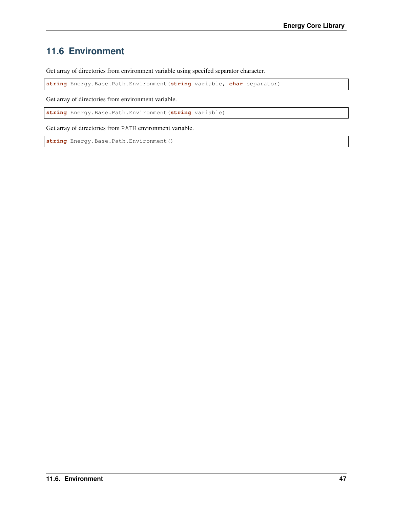## **11.6 Environment**

Get array of directories from environment variable using specifed separator character.

**string** Energy.Base.Path.Environment(**string** variable, **char** separator)

Get array of directories from environment variable.

**string** Energy.Base.Path.Environment(**string** variable)

Get array of directories from PATH environment variable.

**string** Energy.Base.Path.Environment()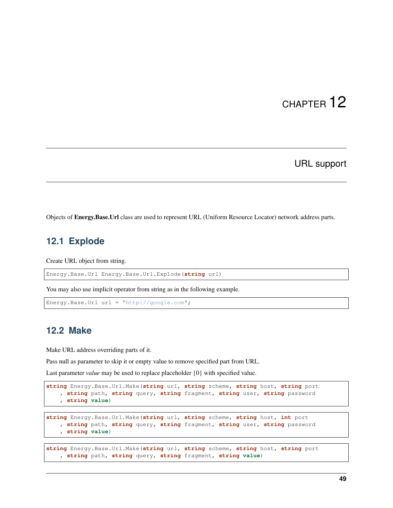URL support

Objects of Energy.Base.Url class are used to represent URL (Uniform Resource Locator) network address parts.

## **12.1 Explode**

Create URL object from string.

Energy.Base.Url Energy.Base.Url.Explode(**string** url)

You may also use implicit operator from string as in the following example.

```
Energy.Base.Url url = "http://google.com";
```
#### **12.2 Make**

Make URL address overriding parts of it.

Pass null as parameter to skip it or empty value to remove specified part from URL.

Last parameter *value* may be used to replace placeholder {0} with specified value.

```
string Energy.Base.Url.Make(string url, string scheme, string host, string port
   , string path, string query, string fragment, string user, string password
   , string value)
```

```
string Energy.Base.Url.Make(string url, string scheme, string host, int port
   , string path, string query, string fragment, string user, string password
    , string value)
```

```
string Energy.Base.Url.Make(string url, string scheme, string host, string port
    , string path, string query, string fragment, string value)
```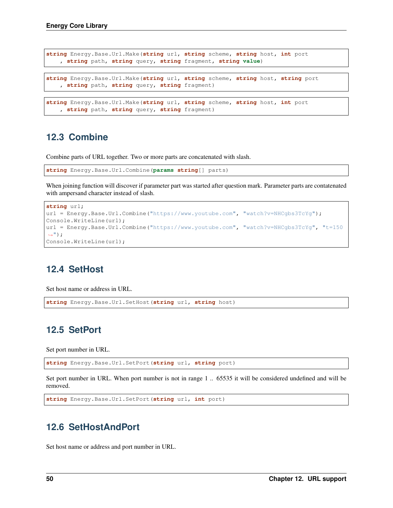```
string Energy.Base.Url.Make(string url, string scheme, string host, int port
   , string path, string query, string fragment, string value)
string Energy.Base.Url.Make(string url, string scheme, string host, string port
   , string path, string query, string fragment)
string Energy.Base.Url.Make(string url, string scheme, string host, int port
   , string path, string query, string fragment)
```
### **12.3 Combine**

Combine parts of URL together. Two or more parts are concatenated with slash.

```
string Energy.Base.Url.Combine(params string[] parts)
```
When joining function will discover if parameter part was started after question mark. Parameter parts are contatenated with ampersand character instead of slash.

```
string url;
url = Energy.Base.Url.Combine("https://www.youtube.com", "watch?v=NHCgbs3TcYg");
Console.WriteLine(url);
url = Energy.Base.Url.Combine("https://www.youtube.com", "watch?v=NHCgbs3TcYg", "t=150
\leftrightarrow");
Console.WriteLine(url);
```
### **12.4 SetHost**

Set host name or address in URL.

**string** Energy.Base.Url.SetHost(**string** url, **string** host)

## **12.5 SetPort**

Set port number in URL.

**string** Energy.Base.Url.SetPort(**string** url, **string** port)

Set port number in URL. When port number is not in range 1 .. 65535 it will be considered undefined and will be removed.

```
string Energy.Base.Url.SetPort(string url, int port)
```
### **12.6 SetHostAndPort**

Set host name or address and port number in URL.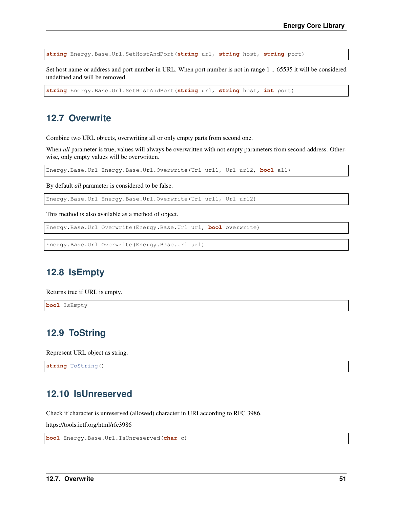**string** Energy.Base.Url.SetHostAndPort(**string** url, **string** host, **string** port)

Set host name or address and port number in URL. When port number is not in range 1 .. 65535 it will be considered undefined and will be removed.

**string** Energy.Base.Url.SetHostAndPort(**string** url, **string** host, **int** port)

### **12.7 Overwrite**

Combine two URL objects, overwriting all or only empty parts from second one.

When *all* parameter is true, values will always be overwritten with not empty parameters from second address. Otherwise, only empty values will be overwritten.

Energy.Base.Url Energy.Base.Url.Overwrite(Url url1, Url url2, **bool** all)

By default *all* parameter is considered to be false.

Energy.Base.Url Energy.Base.Url.Overwrite(Url url1, Url url2)

This method is also available as a method of object.

Energy.Base.Url Overwrite(Energy.Base.Url url, **bool** overwrite)

Energy.Base.Url Overwrite(Energy.Base.Url url)

## **12.8 IsEmpty**

Returns true if URL is empty.

**bool** IsEmpty

### **12.9 ToString**

Represent URL object as string.

**string** ToString()

### **12.10 IsUnreserved**

Check if character is unreserved (allowed) character in URI according to RFC 3986.

https://tools.ietf.org/html/rfc3986

**bool** Energy.Base.Url.IsUnreserved(**char** c)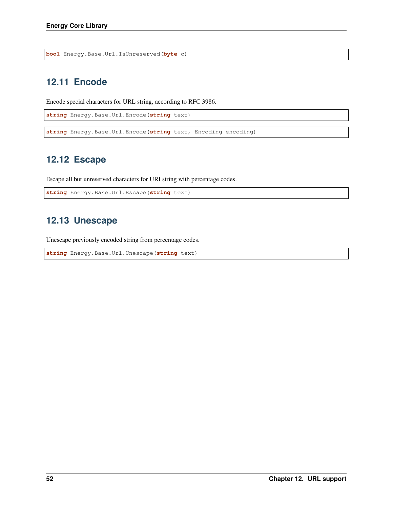**bool** Energy.Base.Url.IsUnreserved(**byte** c)

## **12.11 Encode**

Encode special characters for URL string, according to RFC 3986.

```
string Energy.Base.Url.Encode(string text)
```
**string** Energy.Base.Url.Encode(**string** text, Encoding encoding)

## **12.12 Escape**

Escape all but unreserved characters for URI string with percentage codes.

```
string Energy.Base.Url.Escape(string text)
```
## **12.13 Unescape**

Unescape previously encoded string from percentage codes.

```
string Energy.Base.Url.Unescape(string text)
```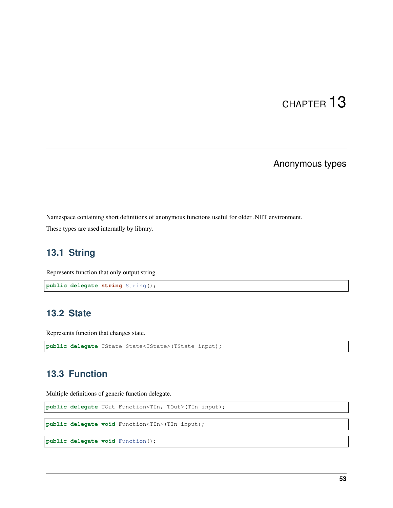### Anonymous types

Namespace containing short definitions of anonymous functions useful for older .NET environment.

These types are used internally by library.

### **13.1 String**

Represents function that only output string.

```
public delegate string String();
```
### **13.2 State**

Represents function that changes state.

```
public delegate TState State<TState>(TState input);
```
### **13.3 Function**

Multiple definitions of generic function delegate.

**public delegate** TOut Function<TIn, TOut>(TIn input);

**public delegate void** Function<TIn>(TIn input);

**public delegate void** Function();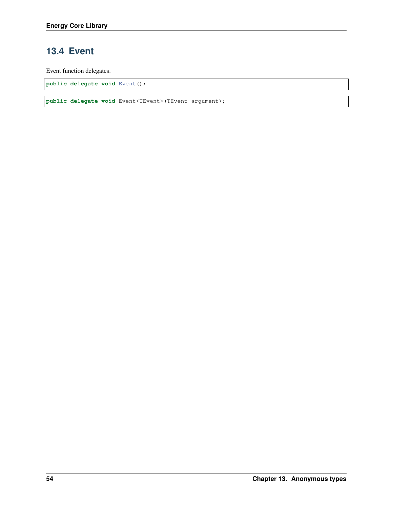## **13.4 Event**

Event function delegates.

**public delegate void** Event();

**public delegate void** Event<TEvent>(TEvent argument);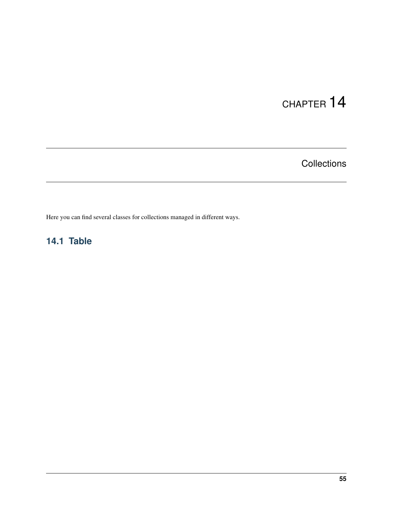**Collections** 

Here you can find several classes for collections managed in different ways.

## **14.1 Table**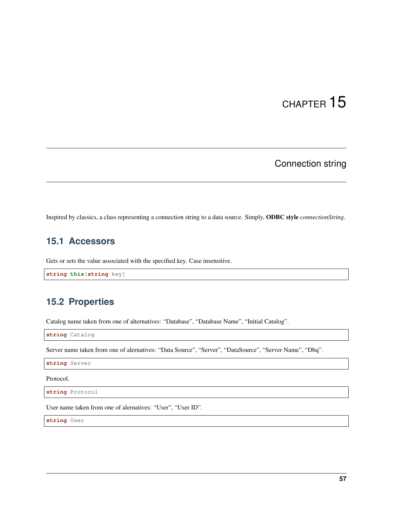## Connection string

Inspired by classics, a class representing a connection string to a data source. Simply, ODBC style *connectionString*.

## **15.1 Accessors**

Gets or sets the value associated with the specified key. Case insensitive.

**string this**[**string** key]

## **15.2 Properties**

Catalog name taken from one of alternatives: "Database", "Database Name", "Initial Catalog".

**string** Catalog

Server name taken from one of alernatives: "Data Source", "Server", "DataSource", "Server Name", "Dbq".

**string** Server

Protocol.

**string** Protocol

User name taken from one of alernatives: "User", "User ID".

**string** User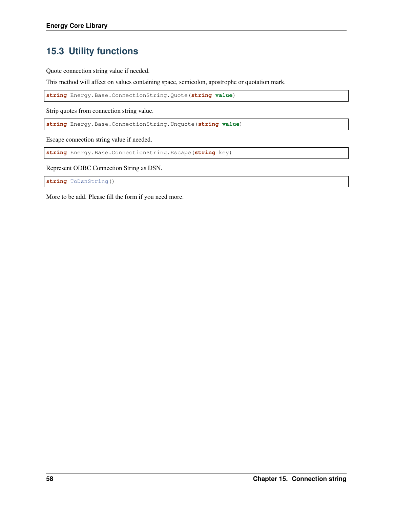## **15.3 Utility functions**

Quote connection string value if needed.

This method will affect on values containing space, semicolon, apostrophe or quotation mark.

**string** Energy.Base.ConnectionString.Quote(**string value**)

Strip quotes from connection string value.

**string** Energy.Base.ConnectionString.Unquote(**string value**)

Escape connection string value if needed.

**string** Energy.Base.ConnectionString.Escape(**string** key)

Represent ODBC Connection String as DSN.

**string** ToDsnString()

More to be add. Please fill the form if you need more.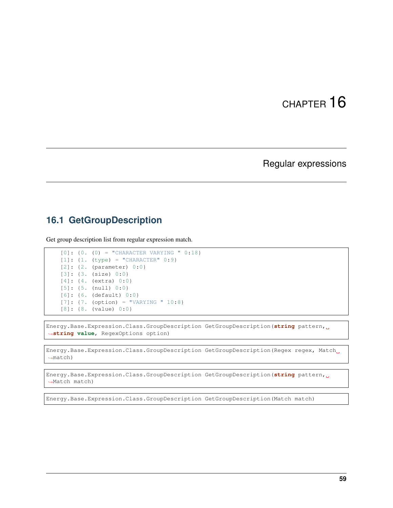### Regular expressions

### **16.1 GetGroupDescription**

Get group description list from regular expression match.

```
[0]: \{0. (0) = "CHAPTER CCFER VARYING " 0:18\}[1]: {1. (type) = "CHARACTER" 0:9}
[2]: {2. (parameter) 0:0}
[3]: {3. (size) 0:0}
[4]: {4. (extra) 0:0}
[5]: {5. (null) 0:0}
[6]: {6. (default) 0:0}
[7]: {7. (option) = "VARYING " 10:8}
[8]: {8. (value) 0:0}
```
Energy.Base.Expression.Class.GroupDescription GetGroupDescription(**string** pattern, ˓<sup>→</sup>**string value**, RegexOptions option)

Energy.Base.Expression.Class.GroupDescription GetGroupDescription(Regex regex, Match ˓<sup>→</sup>match)

Energy.Base.Expression.Class.GroupDescription GetGroupDescription(**string** pattern, ˓<sup>→</sup>Match match)

Energy.Base.Expression.Class.GroupDescription GetGroupDescription(Match match)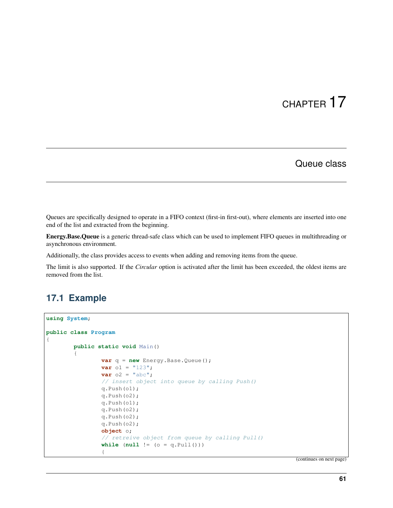### Queue class

Queues are specifically designed to operate in a FIFO context (first-in first-out), where elements are inserted into one end of the list and extracted from the beginning.

Energy.Base.Queue is a generic thread-safe class which can be used to implement FIFO queues in multithreading or asynchronous environment.

Additionally, the class provides access to events when adding and removing items from the queue.

The limit is also supported. If the *Circular* option is activated after the limit has been exceeded, the oldest items are removed from the list.

### **17.1 Example**

```
using System;
public class Program
{
        public static void Main()
        {
                var q = new Energy.Base.Queue();
                var o1 = "123";
                var o2 = "abc";// insert object into queue by calling Push()
                q.Push(o1);
                q.Push(o2);
                q.Push(o1);
                q.Push(o2);
                q.Push(o2);
                q.Push(o2);
                object o;
                // retreive object from queue by calling Pull()
                while (null != (o = q.Pull()))
                {
```
(continues on next page)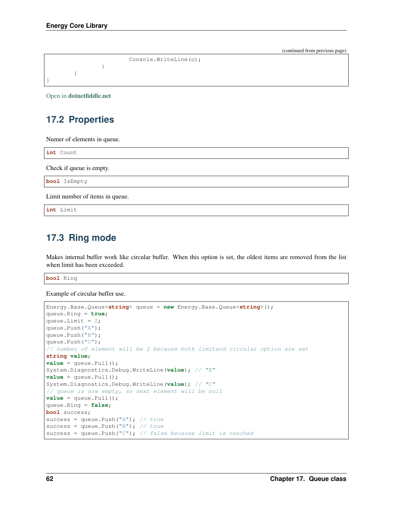```
(continued from previous page)
```

```
Console.WriteLine(o);
                  }
         }
}
```
Open in [dotnetfiddle.net](https://dotnetfiddle.net/27IIYM)

## **17.2 Properties**

Numer of elements in queue.

**int** Count

Check if queue is empty.

**bool** IsEmpty

Limit number of items in queue.

**int** Limit

## **17.3 Ring mode**

Makes internal buffer work like circular buffer. When this option is set, the oldest items are removed from the list when limit has been exceeded.

**bool** Ring

Example of circular buffer use.

```
Energy.Base.Queue<string> queue = new Energy.Base.Queue<string>();
queue.Ring = true;
queue.Limit = 2;
queue.Push("A");
queue.Push("B");
queue.Push("C");
// number of element will be 2 because both limitand circular option are set
string value;
value = queue.Pull();
System.Diagnostics.Debug.WriteLine(value); // "B"
value = queue.Pull();
System.Diagnostics.Debug.WriteLine(value); // "C"
// queue is now empty, so next element will be null
value = queue.Pull();queue.Ring = false;
bool success;
success = queue.Push("A"); // true
success = queue. Push ("B"); // truesuccess = queue. Push ("C"); // false because limit is reached
```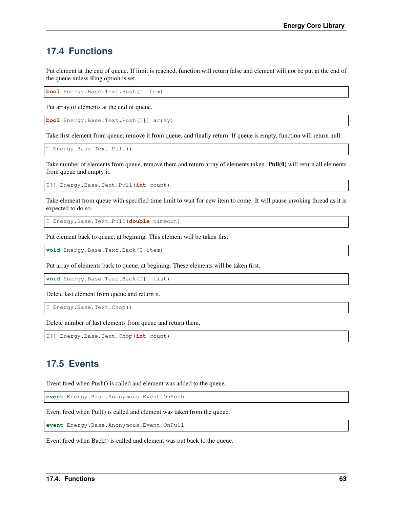### **17.4 Functions**

Put element at the end of queue. If limit is reached, function will return false and element will not be put at the end of the queue unless Ring option is set.

**bool** Energy.Base.Text.Push(T item)

Put array of elements at the end of queue.

**bool** Energy.Base.Text.Push(T[] array)

Take first element from queue, remove it from queue, and finally return. If queue is empty, function will return null.

T Energy.Base.Text.Pull()

Take number of elements from queue, remove them and return array of elements taken. Pull(0) will return all elements from queue and empty it.

T[] Energy.Base.Text.Pull(**int** count)

Take element from queue with specified time limit to wait for new item to come. It will pause invoking thread as it is expected to do so.

T Energy.Base.Text.Pull(**double** timeout)

Put element back to queue, at begining. This element will be taken first.

**void** Energy.Base.Text.Back(T item)

Put array of elements back to queue, at begining. These elements will be taken first.

**void** Energy.Base.Text.Back(T[] list)

Delete last element from queue and return it.

T Energy.Base.Text.Chop()

Delete number of last elements from queue and return them.

T[] Energy.Base.Text.Chop(**int** count)

### **17.5 Events**

Event fired when Push() is called and element was added to the queue.

**event** Energy.Base.Anonymous.Event OnPush

Event fired when Pull() is called and element was taken from the queue.

**event** Energy.Base.Anonymous.Event OnPull

Event fired when Back() is called and element was put back to the queue.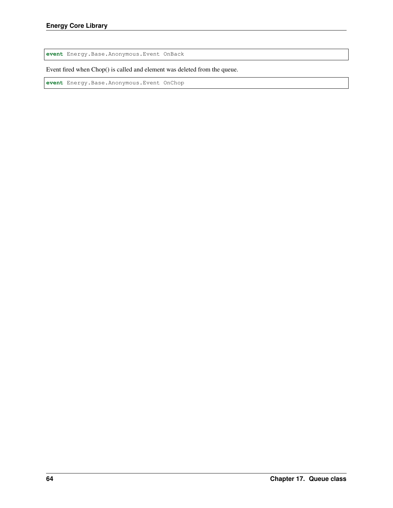**event** Energy.Base.Anonymous.Event OnBack

Event fired when Chop() is called and element was deleted from the queue.

**event** Energy.Base.Anonymous.Event OnChop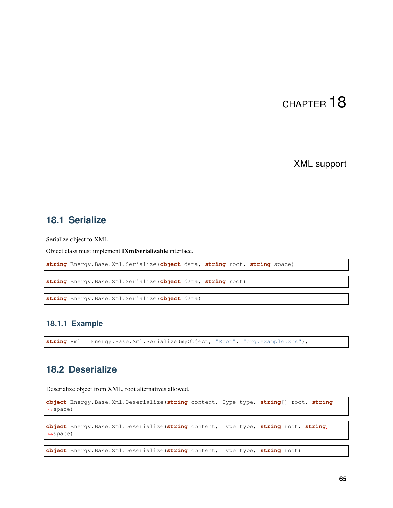XML support

### **18.1 Serialize**

Serialize object to XML.

Object class must implement IXmlSerializable interface.

**string** Energy.Base.Xml.Serialize(**object** data, **string** root, **string** space)

**string** Energy.Base.Xml.Serialize(**object** data, **string** root)

```
string Energy.Base.Xml.Serialize(object data)
```
#### **18.1.1 Example**

**string** xml = Energy.Base.Xml.Serialize(myObject, "Root", "org.example.xns");

#### **18.2 Deserialize**

Deserialize object from XML, root alternatives allowed.

```
object Energy.Base.Xml.Deserialize(string content, Type type, string[] root, string
˓→space)
```

```
object Energy.Base.Xml.Deserialize(string content, Type type, string root, string
˓→space)
```
**object** Energy.Base.Xml.Deserialize(**string** content, Type type, **string** root)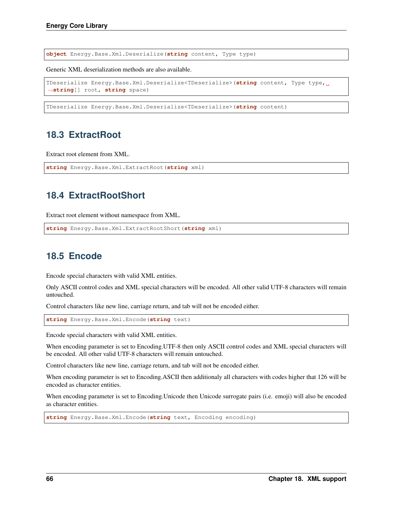**object** Energy.Base.Xml.Deserialize(**string** content, Type type)

Generic XML deserialization methods are also available.

```
TDeserialize Energy.Base.Xml.Deserialize<TDeserialize>(string content, Type type,
˓→string[] root, string space)
```
TDeserialize Energy.Base.Xml.Deserialize<TDeserialize>(**string** content)

### **18.3 ExtractRoot**

Extract root element from XML.

```
string Energy.Base.Xml.ExtractRoot(string xml)
```
## **18.4 ExtractRootShort**

Extract root element without namespace from XML.

```
string Energy.Base.Xml.ExtractRootShort(string xml)
```
## **18.5 Encode**

Encode special characters with valid XML entities.

Only ASCII control codes and XML special characters will be encoded. All other valid UTF-8 characters will remain untouched.

Control characters like new line, carriage return, and tab will not be encoded either.

**string** Energy.Base.Xml.Encode(**string** text)

Encode special characters with valid XML entities.

When encoding parameter is set to Encoding.UTF-8 then only ASCII control codes and XML special characters will be encoded. All other valid UTF-8 characters will remain untouched.

Control characters like new line, carriage return, and tab will not be encoded either.

When encoding parameter is set to Encoding.ASCII then additionaly all characters with codes higher that 126 will be encoded as character entities.

When encoding parameter is set to Encoding.Unicode then Unicode surrogate pairs (i.e. emoji) will also be encoded as character entities.

**string** Energy.Base.Xml.Encode(**string** text, Encoding encoding)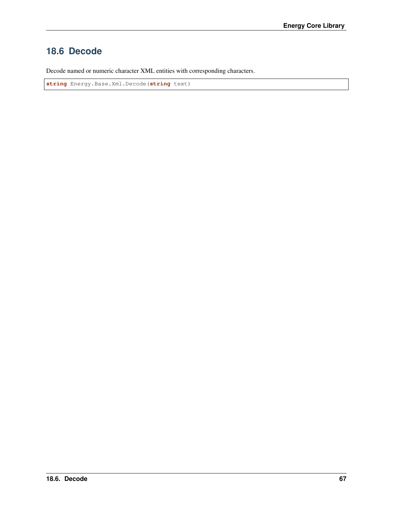## **18.6 Decode**

Decode named or numeric character XML entities with corresponding characters.

**string** Energy.Base.Xml.Decode(**string** text)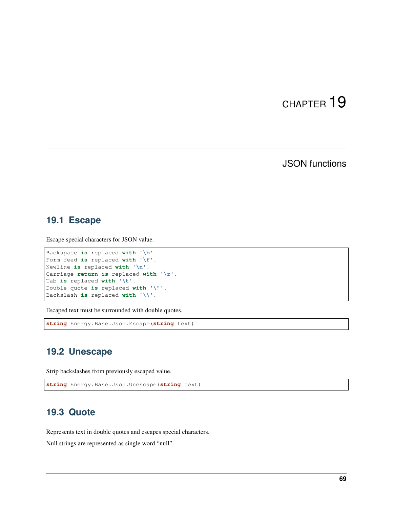## JSON functions

### **19.1 Escape**

Escape special characters for JSON value.

```
Backspace is replaced with '\b'.
Form feed is replaced with '\f'.
Newline is replaced with '\n'.
Carriage return is replaced with '\r'.
Tab is replaced with '\t'.
Double quote is replaced with '\"'.
Backslash is replaced with '\\'.
```
Escaped text must be surrounded with double quotes.

**string** Energy.Base.Json.Escape(**string** text)

### **19.2 Unescape**

Strip backslashes from previously escaped value.

```
string Energy.Base.Json.Unescape(string text)
```
### **19.3 Quote**

Represents text in double quotes and escapes special characters.

Null strings are represented as single word "null".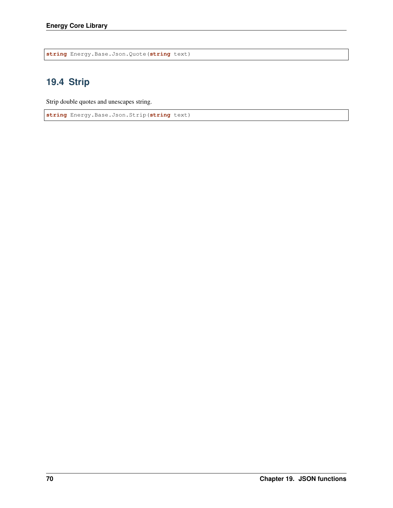**string** Energy.Base.Json.Quote(**string** text)

# **19.4 Strip**

Strip double quotes and unescapes string.

**string** Energy.Base.Json.Strip(**string** text)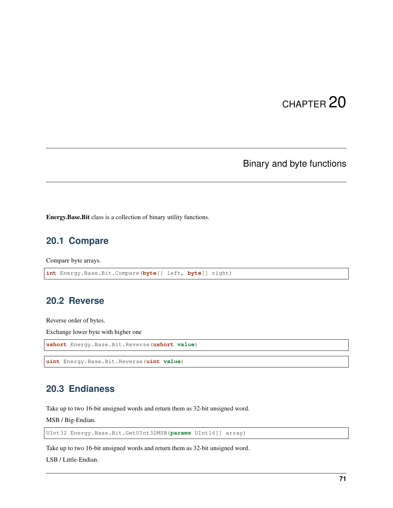# Binary and byte functions

Energy.Base.Bit class is a collection of binary utility functions.

## **20.1 Compare**

Compare byte arrays.

```
int Energy.Base.Bit.Compare(byte[] left, byte[] right)
```
### **20.2 Reverse**

Reverse order of bytes.

Exchange lower byte with higher one

```
ushort Energy.Base.Bit.Reverse(ushort value)
```

```
uint Energy.Base.Bit.Reverse(uint value)
```
## **20.3 Endianess**

Take up to two 16-bit unsigned words and return them as 32-bit unsigned word.

MSB / Big-Endian.

UInt32 Energy.Base.Bit.GetUInt32MSB(**params** UInt16[] array)

Take up to two 16-bit unsigned words and return them as 32-bit unsigned word.

LSB / Little-Endian.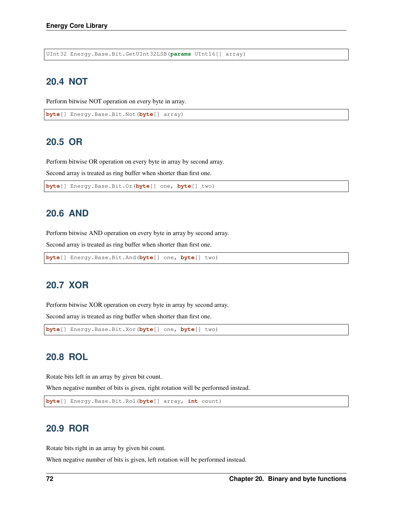UInt32 Energy.Base.Bit.GetUInt32LSB(**params** UInt16[] array)

### **20.4 NOT**

Perform bitwise NOT operation on every byte in array.

```
byte[] Energy.Base.Bit.Not(byte[] array)
```
### **20.5 OR**

Perform bitwise OR operation on every byte in array by second array.

Second array is treated as ring buffer when shorter than first one.

```
byte[] Energy.Base.Bit.Or(byte[] one, byte[] two)
```
### **20.6 AND**

Perform bitwise AND operation on every byte in array by second array.

Second array is treated as ring buffer when shorter than first one.

```
byte[] Energy.Base.Bit.And(byte[] one, byte[] two)
```
### **20.7 XOR**

Perform bitwise XOR operation on every byte in array by second array.

Second array is treated as ring buffer when shorter than first one.

```
byte[] Energy.Base.Bit.Xor(byte[] one, byte[] two)
```
### **20.8 ROL**

Rotate bits left in an array by given bit count.

When negative number of bits is given, right rotation will be performed instead.

```
byte[] Energy.Base.Bit.Rol(byte[] array, int count)
```
### **20.9 ROR**

Rotate bits right in an array by given bit count.

When negative number of bits is given, left rotation will be performed instead.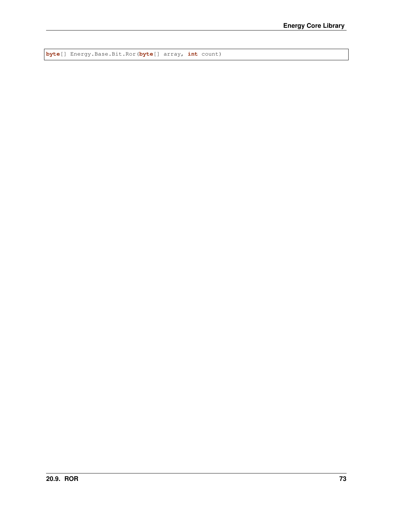**byte**[] Energy.Base.Bit.Ror(**byte**[] array, **int** count)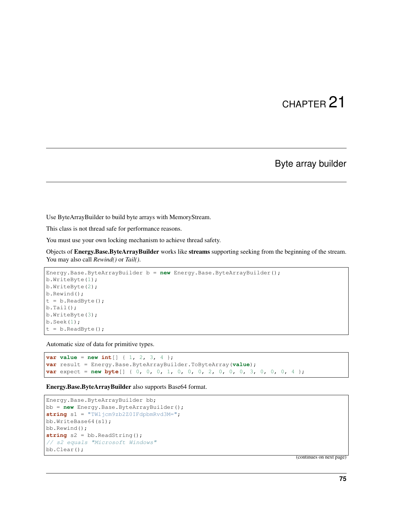### Byte array builder

Use ByteArrayBuilder to build byte arrays with MemoryStream.

This class is not thread safe for performance reasons.

You must use your own locking mechanism to achieve thread safety.

Objects of Energy.Base.ByteArrayBuilder works like streams supporting seeking from the beginning of the stream. You may also call *Rewind()* or *Tail()*.

```
Energy.Base.ByteArrayBuilder b = new Energy.Base.ByteArrayBuilder();
b.WriteByte(1);
b.WriteByte(2);
b.Rewind();
t = b.ReadByte();
b.Tail();
b.WriteByte(3);
b.Seek(1);
t = b.ReadByte();
```
Automatic size of data for primitive types.

```
var value = new int[] { 1, 2, 3, 4 };
var result = Energy.Base.ByteArrayBuilder.ToByteArray(value);
var expect = new byte[] { 0, 0, 0, 1, 0, 0, 0, 2, 0, 0, 0, 3, 0, 0, 0, 4 };
```
Energy.Base.ByteArrayBuilder also supports Base64 format.

```
Energy.Base.ByteArrayBuilder bb;
bb = new Energy.Base.ByteArrayBuilder();
string s1 = "TWljcm9zb2Z0IFdpbmRvd3M=";
bb.WriteBase64(s1);
bb.Rewind();
string s2 = bb.ReadString();
// s2 equals "Microsoft Windows"
bb.Clear();
```
(continues on next page)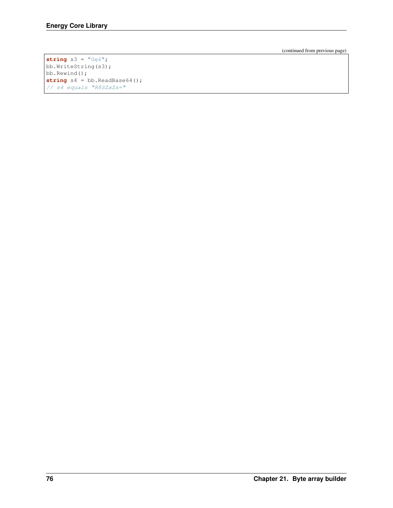(continued from previous page)

```
string s3 = "G e <i>s</i>";bb.WriteString(s3);
bb.Rewind();
string s4 = bb.ReadBase64();
// s4 equals "R8SZxZs="
```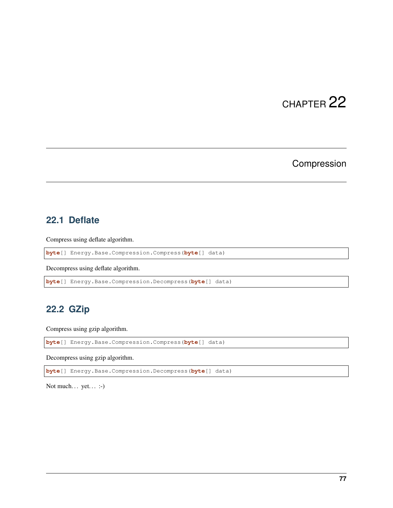# Compression

### **22.1 Deflate**

Compress using deflate algorithm.

**byte**[] Energy.Base.Compression.Compress(**byte**[] data)

Decompress using deflate algorithm.

```
byte[] Energy.Base.Compression.Decompress(byte[] data)
```
## **22.2 GZip**

Compress using gzip algorithm.

**byte**[] Energy.Base.Compression.Compress(**byte**[] data)

Decompress using gzip algorithm.

**byte**[] Energy.Base.Compression.Decompress(**byte**[] data)

Not much... yet... :-)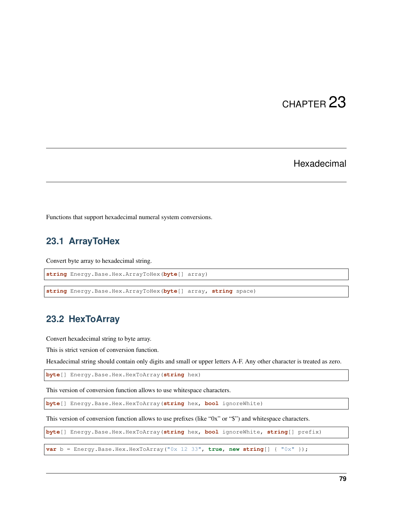### Hexadecimal

Functions that support hexadecimal numeral system conversions.

## **23.1 ArrayToHex**

Convert byte array to hexadecimal string.

**string** Energy.Base.Hex.ArrayToHex(**byte**[] array)

**string** Energy.Base.Hex.ArrayToHex(**byte**[] array, **string** space)

### **23.2 HexToArray**

Convert hexadecimal string to byte array.

This is strict version of conversion function.

Hexadecimal string should contain only digits and small or upper letters A-F. Any other character is treated as zero.

**byte**[] Energy.Base.Hex.HexToArray(**string** hex)

This version of conversion function allows to use whitespace characters.

**byte**[] Energy.Base.Hex.HexToArray(**string** hex, **bool** ignoreWhite)

This version of conversion function allows to use prefixes (like "0x" or "\$") and whitespace characters.

**byte**[] Energy.Base.Hex.HexToArray(**string** hex, **bool** ignoreWhite, **string**[] prefix)

**var** b = Energy.Base.Hex.HexToArray("0x 12 33", **true**, **new string**[] { "0x" });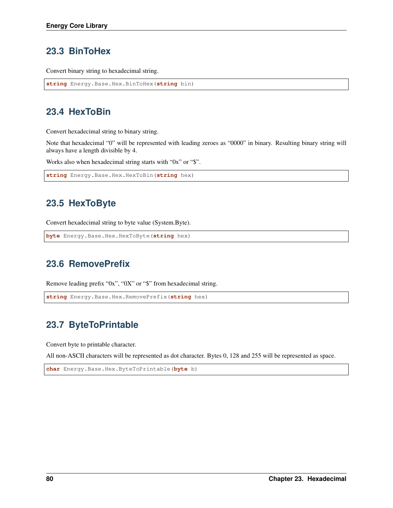## **23.3 BinToHex**

Convert binary string to hexadecimal string.

```
string Energy.Base.Hex.BinToHex(string bin)
```
## **23.4 HexToBin**

Convert hexadecimal string to binary string.

Note that hexadecimal "0" will be represented with leading zeroes as "0000" in binary. Resulting binary string will always have a length divisible by 4.

Works also when hexadecimal string starts with "0x" or "\$".

```
string Energy.Base.Hex.HexToBin(string hex)
```
## **23.5 HexToByte**

Convert hexadecimal string to byte value (System.Byte).

```
byte Energy.Base.Hex.HexToByte(string hex)
```
## **23.6 RemovePrefix**

Remove leading prefix "0x", "0X" or "\$" from hexadecimal string.

```
string Energy.Base.Hex.RemovePrefix(string hex)
```
# **23.7 ByteToPrintable**

Convert byte to printable character.

All non-ASCII characters will be represented as dot character. Bytes 0, 128 and 255 will be represented as space.

**char** Energy.Base.Hex.ByteToPrintable(**byte** b)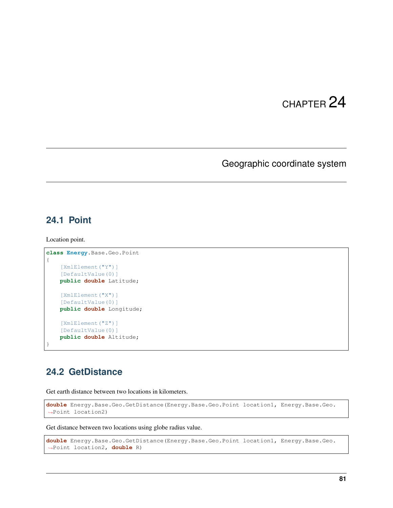## Geographic coordinate system

### **24.1 Point**

Location point.

```
class Energy.Base.Geo.Point
{
    [XmlElement("Y")]
    [DefaultValue(0)]
   public double Latitude;
   [XmlElement("X")]
    [DefaultValue(0)]
   public double Longitude;
    [XmlElement("Z")]
    [DefaultValue(0)]
   public double Altitude;
}
```
## **24.2 GetDistance**

Get earth distance between two locations in kilometers.

```
double Energy.Base.Geo.GetDistance(Energy.Base.Geo.Point location1, Energy.Base.Geo.
˓→Point location2)
```
Get distance between two locations using globe radius value.

```
double Energy.Base.Geo.GetDistance(Energy.Base.Geo.Point location1, Energy.Base.Geo.
˓→Point location2, double R)
```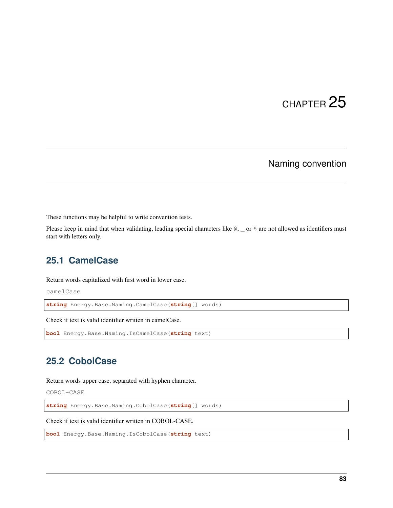## Naming convention

These functions may be helpful to write convention tests.

Please keep in mind that when validating, leading special characters like  $\mathcal{C}, \_\$ or  $\hat{S}$  are not allowed as identifiers must start with letters only.

### **25.1 CamelCase**

Return words capitalized with first word in lower case.

camelCase

**string** Energy.Base.Naming.CamelCase(**string**[] words)

Check if text is valid identifier written in camelCase.

```
bool Energy.Base.Naming.IsCamelCase(string text)
```
## **25.2 CobolCase**

Return words upper case, separated with hyphen character.

COBOL-CASE

**string** Energy.Base.Naming.CobolCase(**string**[] words)

Check if text is valid identifier written in COBOL-CASE.

**bool** Energy.Base.Naming.IsCobolCase(**string** text)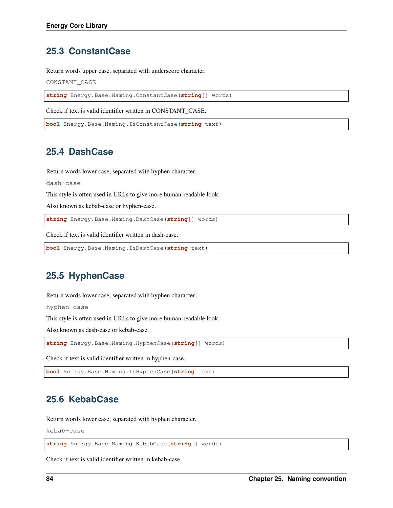### **25.3 ConstantCase**

Return words upper case, separated with underscore character.

CONSTANT\_CASE

**string** Energy.Base.Naming.ConstantCase(**string**[] words)

Check if text is valid identifier written in CONSTANT\_CASE.

```
bool Energy.Base.Naming.IsConstantCase(string text)
```
#### **25.4 DashCase**

Return words lower case, separated with hyphen character.

```
dash-case
```
This style is often used in URLs to give more human-readable look.

Also known as kebab-case or hyphen-case.

**string** Energy.Base.Naming.DashCase(**string**[] words)

Check if text is valid identifier written in dash-case.

```
bool Energy.Base.Naming.IsDashCase(string text)
```
## **25.5 HyphenCase**

Return words lower case, separated with hyphen character.

hyphen-case

This style is often used in URLs to give more human-readable look.

Also known as dash-case or kebab-case.

**string** Energy.Base.Naming.HyphenCase(**string**[] words)

Check if text is valid identifier written in hyphen-case.

**bool** Energy.Base.Naming.IsHyphenCase(**string** text)

## **25.6 KebabCase**

Return words lower case, separated with hyphen character.

kebab-case

**string** Energy.Base.Naming.KebabCase(**string**[] words)

Check if text is valid identifier written in kebab-case.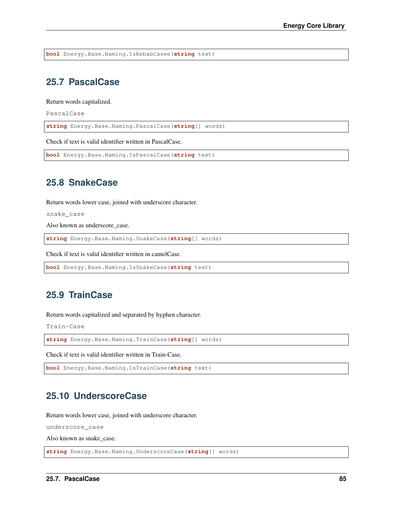**bool** Energy.Base.Naming.IsKebabCasee(**string** text)

### **25.7 PascalCase**

Return words capitalized.

PascalCase

**string** Energy.Base.Naming.PascalCase(**string**[] words)

Check if text is valid identifier written in PascalCase.

```
bool Energy.Base.Naming.IsPascalCase(string text)
```
### **25.8 SnakeCase**

Return words lower case, joined with underscore character.

snake\_case

Also known as underscore\_case.

**string** Energy.Base.Naming.SnakeCase(**string**[] words)

Check if text is valid identifier written in camelCase.

```
bool Energy.Base.Naming.IsSnakeCase(string text)
```
### **25.9 TrainCase**

Return words capitalized and separated by hyphen character.

Train-Case

**string** Energy.Base.Naming.TrainCase(**string**[] words)

Check if text is valid identifier written in Train-Case.

```
bool Energy.Base.Naming.IsTrainCase(string text)
```
### **25.10 UnderscoreCase**

Return words lower case, joined with underscore character.

underscore\_case

Also known as snake\_case.

**string** Energy.Base.Naming.UnderscoreCase(**string**[] words)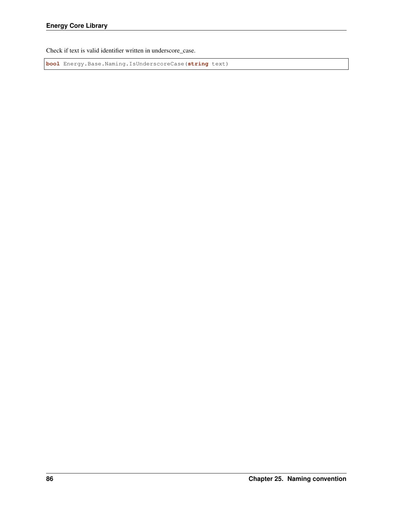Check if text is valid identifier written in underscore\_case.

**bool** Energy.Base.Naming.IsUnderscoreCase(**string** text)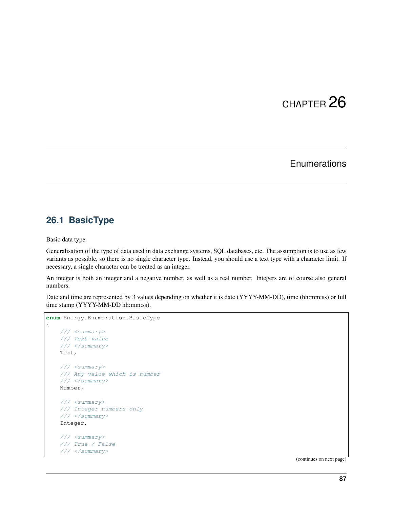## **Enumerations**

### **26.1 BasicType**

Basic data type.

Generalisation of the type of data used in data exchange systems, SQL databases, etc. The assumption is to use as few variants as possible, so there is no single character type. Instead, you should use a text type with a character limit. If necessary, a single character can be treated as an integer.

An integer is both an integer and a negative number, as well as a real number. Integers are of course also general numbers.

Date and time are represented by 3 values depending on whether it is date (YYYY-MM-DD), time (hh:mm:ss) or full time stamp (YYYY-MM-DD hh:mm:ss).

```
enum Energy.Enumeration.BasicType
{
    /// <summary>
   /// Text value
    /// </summary>
   Text,
    /// <summary>
   /// Any value which is number
   /// </summary>
   Number,
    /// <summary>
    /// Integer numbers only
    /// </summary>
    Integer,
    /// <summary>
    /// True / False
    /// </summary>
```
(continues on next page)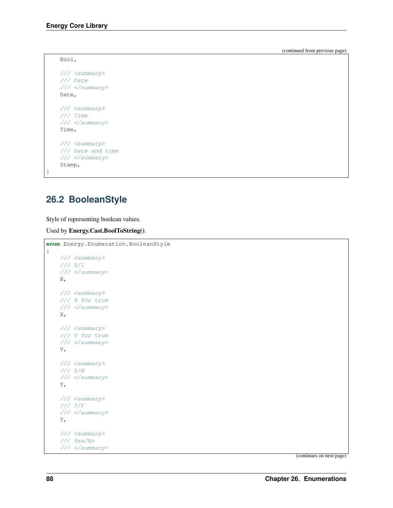(continued from previous page)

```
Bool,
/// <summary>
/// Date
/// </summary>
Date,
/// <summary>
/// Time
/// </summary>
Time,
/// <summary>
/// Date and time
/// </summary>
Stamp,
```
## **26.2 BooleanStyle**

}

Style of representing boolean values.

Used by Energy.Cast.BoolToString().

```
enum Energy.Enumeration.BooleanStyle
{
   /// <summary>
   /// 0/1
   /// </summary>
   B_{\ell}/// <summary>
   /// X for true
   /// </summary>
   X,
   /// <summary>
   /// V for true
   /// </summary>
   V,
   /// <summary>
   /// Y/N
   /// </summary>
   Y,
   /// <summary>
    /// T/F
    /// </summary>
   T,
   /// <summary>
    /// Yes/No
    /// </summary>
```
(continues on next page)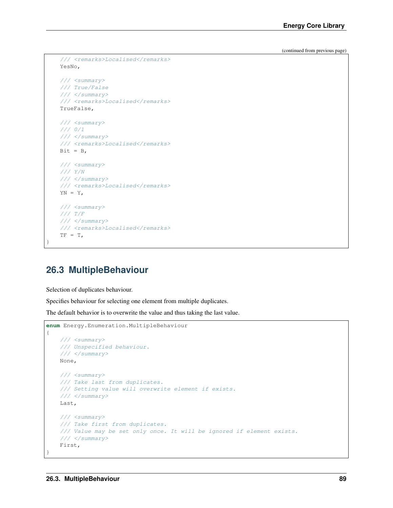(continued from previous page)

```
/// <remarks>Localised</remarks>
YesNo,
/// <summary>
/// True/False
/// </summary>
/// <remarks>Localised</remarks>
TrueFalse,
/// <summary>
/// 0/1
/// </summary>
/// <remarks>Localised</remarks>
Bit = B,
/// <summary>
/// Y/N
/// </summary>
/// <remarks>Localised</remarks>
YN = Y,
/// <summary>
/// T/F
/// </summary>
/// <remarks>Localised</remarks>
TF = T,
```
## **26.3 MultipleBehaviour**

Selection of duplicates behaviour.

}

Specifies behaviour for selecting one element from multiple duplicates.

The default behavior is to overwrite the value and thus taking the last value.

```
enum Energy.Enumeration.MultipleBehaviour
{
   /// <summary>
   /// Unspecified behaviour.
   /// </summary>
   None,
   /// <summary>
   /// Take last from duplicates.
   /// Setting value will overwrite element if exists.
   /// </summary>
   Last,
   /// <summary>
   /// Take first from duplicates.
   /// Value may be set only once. It will be ignored if element exists.
   /// </summary>
   First,
}
```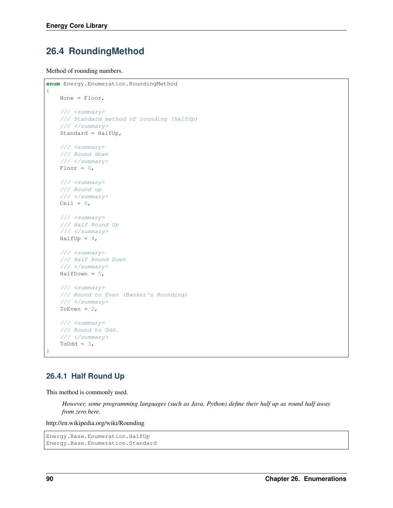## **26.4 RoundingMethod**

Method of rounding numbers.

```
enum Energy.Enumeration.RoundingMethod
{
   None = Floor,
   /// <summary>
   /// Standard method of rounding (HalfUp)
   /// </summary>
   Standard = HalfUp,
   /// <summary>
   /// Round down
   /// </summary>
   Floor = 0,/// <summary>
   /// Round up
   /// </summary>
   Ceil = 0,/// <summary>
   /// Half Round Up
   /// </summary>
   HalfUp = 4,
   /// <summary>
   /// Half Round Down
   /// </summary>
   HalfDown = 5,
   /// <summary>
   /// Round to Even (Banker's Rounding)
   /// </summary>
   ToEven = 2,
   /// <summary>
   /// Round to Odd.
   /// </summary>
   ToOdd = 3,
}
```
#### **26.4.1 Half Round Up**

This method is commonly used.

*However, some programming languages (such as Java, Python) define their half up as round half away from zero here.*

http://en.wikipedia.org/wiki/Rounding

```
Energy.Base.Enumeration.HalfUp
Energy.Base.Enumeration.Standard
```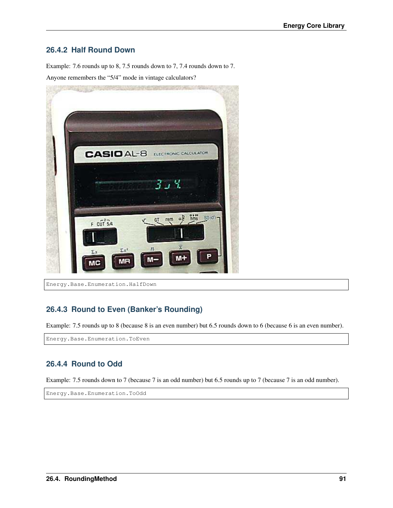#### **26.4.2 Half Round Down**

Example: 7.6 rounds up to 8, 7.5 rounds down to 7, 7.4 rounds down to 7. Anyone remembers the "5/4" mode in vintage calculators?



Energy.Base.Enumeration.HalfDown

#### **26.4.3 Round to Even (Banker's Rounding)**

Example: 7.5 rounds up to 8 (because 8 is an even number) but 6.5 rounds down to 6 (because 6 is an even number).

Energy.Base.Enumeration.ToEven

#### **26.4.4 Round to Odd**

Example: 7.5 rounds down to 7 (because 7 is an odd number) but 6.5 rounds up to 7 (because 7 is an odd number).

Energy.Base.Enumeration.ToOdd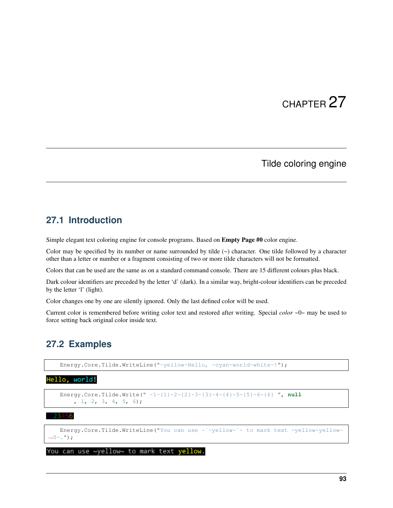### Tilde coloring engine

#### **27.1 Introduction**

Simple elegant text coloring engine for console programs. Based on Empty Page #0 color engine.

Color may be specified by its number or name surrounded by tilde  $(\sim)$  character. One tilde followed by a character other than a letter or number or a fragment consisting of two or more tilde characters will not be formatted.

Colors that can be used are the same as on a standard command console. There are 15 different colours plus black.

Dark colour identifiers are preceded by the letter 'd' (dark). In a similar way, bright-colour identifiers can be preceded by the letter 'l' (light).

Color changes one by one are silently ignored. Only the last defined color will be used.

Current color is remembered before writing color text and restored after writing. Special *color* ~0~ may be used to force setting back original color inside text.

### **27.2 Examples**

Energy.Core.Tilde.WriteLine("~yellow~Hello, ~cyan~world~white~!");

#### Hello, world!

```
Energy.Core.Tilde.Write(" \sim 1~{1}~2~{2}~3~{3}~4~{4}~5~{5}~6~{6} ", null
    , 1, 2, 3, 4, 5, 6);
```
3456

Energy.Core.Tilde.WriteLine("You can use ~`~yellow~`~ to mark text ~yellow~yellow~  $\rightarrow 0 \sim .$  ");

You can use ~yellow~ to mark text yellow.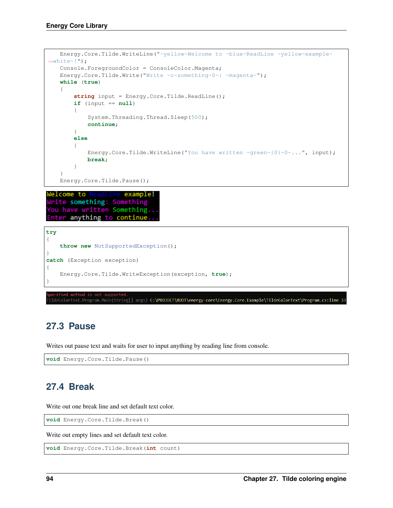```
Energy.Core.Tilde.WriteLine("~yellow~Welcome to ~blue~ReadLine ~yellow~example~
˓→white~!");
   Console.ForegroundColor = ConsoleColor.Magenta;
   Energy.Core.Tilde.Write("Write ~c~something~0~: ~magenta~");
   while (true)
    {
        string input = Energy.Core.Tilde.ReadLine();
        if (input == null)
        {
            System.Threading.Thread.Sleep(500);
            continue;
        }
        else
        {
            Energy.Core.Tilde.WriteLine("You have written ~green~{0}~0~...", input);
           break;
        }
    }
   Energy.Core.Tilde.Pause();
Welcome to ReadLine example!
Write something: Something
You have written Something..
Enter anything to continue..
try
{
   throw new NotSupportedException();
}
catch (Exception exception)
{
   Energy.Core.Tilde.WriteException(exception, true);
}
```
.<br>ildeColorText.Program.Main(String[] args) **C:\PROJECT\ROOT\energy-core\Energy.Core.Example\TildeColorText\Program.cs:line 33** 

## **27.3 Pause**

Writes out pause text and waits for user to input anything by reading line from console.

```
void Energy.Core.Tilde.Pause()
```
## **27.4 Break**

Write out one break line and set default text color.

**void** Energy.Core.Tilde.Break()

Write out empty lines and set default text color.

```
void Energy.Core.Tilde.Break(int count)
```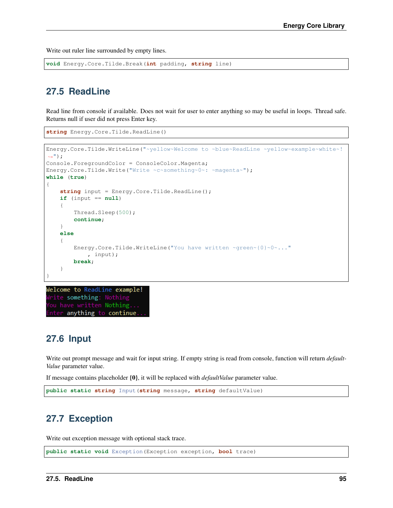Write out ruler line surrounded by empty lines.

**void** Energy.Core.Tilde.Break(**int** padding, **string** line)

## **27.5 ReadLine**

Read line from console if available. Does not wait for user to enter anything so may be useful in loops. Thread safe. Returns null if user did not press Enter key.

**string** Energy.Core.Tilde.ReadLine()

```
Energy.Core.Tilde.WriteLine("~yellow~Welcome to ~blue~ReadLine ~yellow~example~white~!
\leftrightarrow");
Console.ForegroundColor = ConsoleColor.Magenta;
Energy.Core.Tilde.Write("Write ~c~something~0~: ~magenta~");
while (true)
{
    string input = Energy.Core.Tilde.ReadLine();
    if (input == null)
    {
        Thread.Sleep(500);
        continue;
    }
    else
    {
        Energy.Core.Tilde.WriteLine("You have written ~green~{0}~0~..."
            , input);
        break;
    }
}
```
Welcome to ReadLine example! rite something: Nothing ou have written Nothing... nter anything to continue.

### **27.6 Input**

Write out prompt message and wait for input string. If empty string is read from console, function will return *default-Value* parameter value.

If message contains placeholder {0}, it will be replaced with *defaultValue* parameter value.

```
public static string Input(string message, string defaultValue)
```
## **27.7 Exception**

Write out exception message with optional stack trace.

```
public static void Exception(Exception exception, bool trace)
```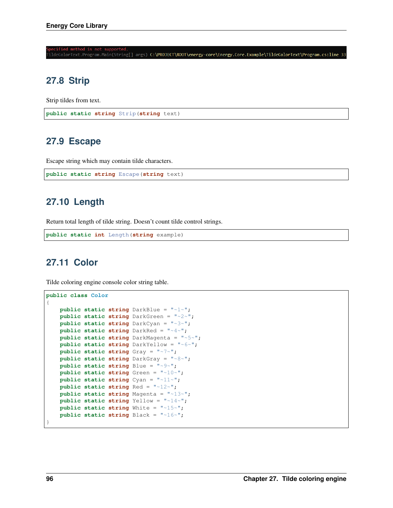:<br>ildeColorText.Program.Main(String[] args) C:\PROJECT\ROOT\energy-core\Energy.Core.Example\TildeColorText\Program.cs:line 3

## **27.8 Strip**

Strip tildes from text.

**public static string** Strip(**string** text)

## **27.9 Escape**

Escape string which may contain tilde characters.

```
public static string Escape(string text)
```
## **27.10 Length**

Return total length of tilde string. Doesn't count tilde control strings.

```
public static int Length(string example)
```
## **27.11 Color**

Tilde coloring engine console color string table.

```
public class Color
{
   public static string DarkBlue = "~1~";
   public static string DarkGreen = "~2~";
   public static string DarkCyan = "~3~";
   public static string DarkRed = "~4~";
   public static string DarkMagenta = "~5~";
   public static string DarkYellow = "~6~";
   public static string Gray = "~7~";
   public static string DarkGray = "~8~";
   public static string Blue = "~9~";
   public static string Green = "~10~";
   public static string Cyan = "~11~";
   public static string Red = "~12~";
   public static string Magenta = "~13~";
   public static string Yellow = "~14~";
   public static string White = "~15~";
   public static string Black = "~16~";
}
```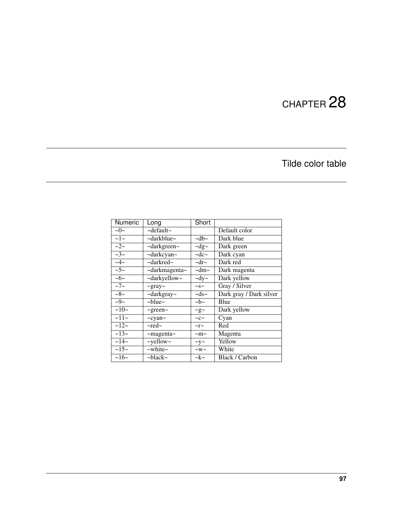# Tilde color table

| <b>Numeric</b>   | Long                      | Short             |                         |
|------------------|---------------------------|-------------------|-------------------------|
| $\sim0\sim$      | $\sim$ default $\sim$     |                   | Default color           |
| $\sim$ 1 $\sim$  | ~darkblue~                | $\sim$ db $\sim$  | Dark blue               |
| $-2-$            | ~darkgreen~               | $\sim$ dg $\sim$  | Dark green              |
| $\sim$ 3 $\sim$  | ~darkcyan~                | $\sim$ dc $\sim$  | Dark cyan               |
| $-4-$            | $\sim$ darkred $\sim$     | $-\mathrm{dr}$    | Dark red                |
| $\sim 5$ ~       | $\sim$ darkmagenta $\sim$ | $-\text{dm}$ ~    | Dark magenta            |
| $\sim 6$ ~       | ~darkyellow~              | $\sim$ dy $\sim$  | Dark yellow             |
| $\sim7$ ~        | $\sim$ gray $\sim$        | $\sim$ S $\sim$   | Gray / Silver           |
| $-8-$            | $\sim$ darkgray $\sim$    | $\sim ds$ ~       | Dark gray / Dark silver |
| $-9-$            | $\sim$ blue $\sim$        | $\sim b \sim$     | Blue                    |
| $\sim10-$        | $\sim$ green $\sim$       | $\sim g \sim$     | Dark yellow             |
| $\sim$ 11 $\sim$ | $\sim$ cyan $\sim$        | $-c$ ~            | Cyan                    |
| $\sim$ 12 $\sim$ | $\sim$ red $\sim$         | $\sim$ r $\sim$   | Red                     |
| $\sim$ 13 $\sim$ | $\sim$ magenta $\sim$     | $~\sim$ m $~\sim$ | Magenta                 |
| $\sim$ 14 $\sim$ | $\sim$ yellow $\sim$      | $\sim$ y $\sim$   | Yellow                  |
| $\sim$ 15 $\sim$ | $\sim$ white $\sim$       | $-w$ ~            | White                   |
| ~16~             | $\sim$ black $\sim$       | $-k$ ~            | Black / Carbon          |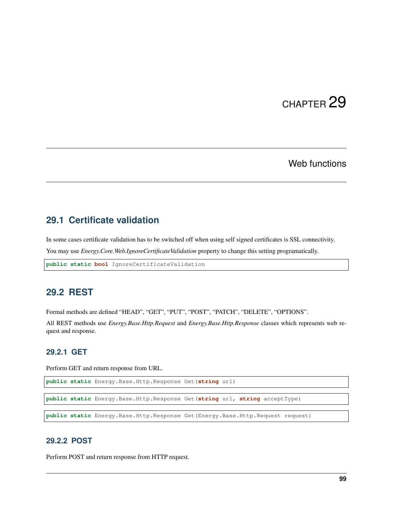## Web functions

## **29.1 Certificate validation**

In some cases certificate validation has to be switched off when using self signed certificates is SSL connectivity.

You may use *Energy.Core.Web.IgnoreCertificateValidation* property to change this setting programatically.

**public static bool** IgnoreCertificateValidation

## **29.2 REST**

Formal methods are defined "HEAD", "GET", "PUT", "POST", "PATCH", "DELETE", "OPTIONS".

All REST methods use *Energy.Base.Http.Request* and *Energy.Base.Http.Response* classes which represents web request and response.

### **29.2.1 GET**

Perform GET and return response from URL.

```
public static Energy.Base.Http.Response Get(string url)
public static Energy.Base.Http.Response Get(string url, string acceptType)
```
**public static** Energy.Base.Http.Response Get(Energy.Base.Http.Request request)

### **29.2.2 POST**

Perform POST and return response from HTTP request.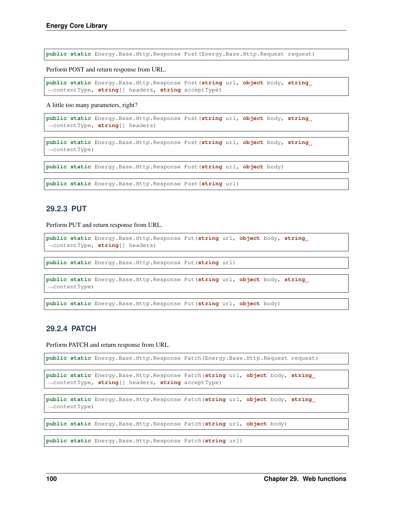**public static** Energy.Base.Http.Response Post(Energy.Base.Http.Request request)

Perform POST and return response from URL.

**public static** Energy.Base.Http.Response Post(**string** url, **object** body, **string** ˓<sup>→</sup>contentType, **string**[] headers, **string** acceptType)

A little too many parameters, right?

```
public static Energy.Base.Http.Response Post(string url, object body, string
˓→contentType, string[] headers)
```
**public static** Energy.Base.Http.Response Post(**string** url, **object** body, **string** ˓<sup>→</sup>contentType)

**public static** Energy.Base.Http.Response Post(**string** url, **object** body)

**public static** Energy.Base.Http.Response Post(**string** url)

#### **29.2.3 PUT**

Perform PUT and return response from URL.

```
public static Energy.Base.Http.Response Put(string url, object body, string
˓→contentType, string[] headers)
```
**public static** Energy.Base.Http.Response Put(**string** url)

```
public static Energy.Base.Http.Response Put(string url, object body, string
˓→contentType)
```
**public static** Energy.Base.Http.Response Put(**string** url, **object** body)

### **29.2.4 PATCH**

Perform PATCH and return response from URL.

```
public static Energy.Base.Http.Response Patch(Energy.Base.Http.Request request)
```

```
public static Energy.Base.Http.Response Patch(string url, object body, string
˓→contentType, string[] headers, string acceptType)
```
**public static** Energy.Base.Http.Response Patch(**string** url, **object** body, **string** ˓<sup>→</sup>contentType)

**public static** Energy.Base.Http.Response Patch(**string** url, **object** body)

**public static** Energy.Base.Http.Response Patch(**string** url)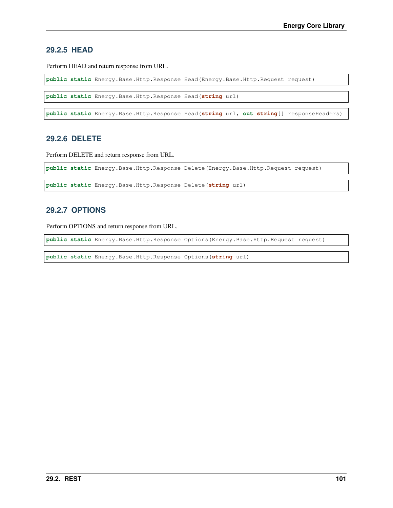### **29.2.5 HEAD**

Perform HEAD and return response from URL.

**public static** Energy.Base.Http.Response Head(Energy.Base.Http.Request request)

**public static** Energy.Base.Http.Response Head(**string** url)

**public static** Energy.Base.Http.Response Head(**string** url, **out string**[] responseHeaders)

### **29.2.6 DELETE**

Perform DELETE and return response from URL.

**public static** Energy.Base.Http.Response Delete(Energy.Base.Http.Request request)

**public static** Energy.Base.Http.Response Delete(**string** url)

#### **29.2.7 OPTIONS**

Perform OPTIONS and return response from URL.

**public static** Energy.Base.Http.Response Options(Energy.Base.Http.Request request)

**public static** Energy.Base.Http.Response Options(**string** url)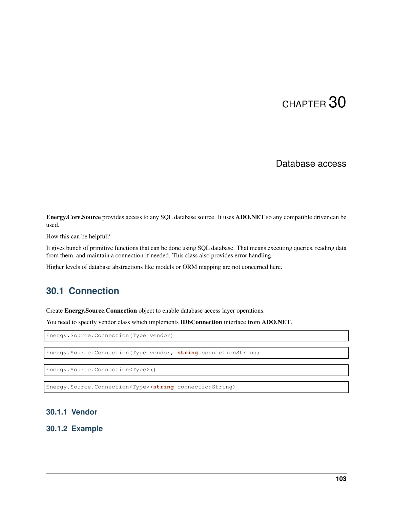## Database access

Energy.Core.Source provides access to any SQL database source. It uses ADO.NET so any compatible driver can be used.

How this can be helpful?

It gives bunch of primitive functions that can be done using SQL database. That means executing queries, reading data from them, and maintain a connection if needed. This class also provides error handling.

Higher levels of database abstractions like models or ORM mapping are not concerned here.

## **30.1 Connection**

Create Energy.Source.Connection object to enable database access layer operations.

You need to specify vendor class which implements **IDbConnection** interface from **ADO.NET**.

Energy.Source.Connection(Type vendor)

Energy.Source.Connection(Type vendor, **string** connectionString)

Energy.Source.Connection<Type>()

Energy.Source.Connection<Type>(**string** connectionString)

#### **30.1.1 Vendor**

**30.1.2 Example**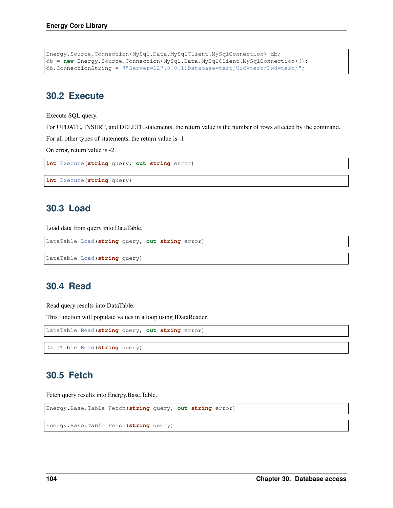```
Energy.Source.Connection<MySql.Data.MySqlClient.MySqlConnection> db;
db = new Energy.Source.Connection<MySql.Data.MySqlClient.MySqlConnection>();
db.ConnectionString = @"Server=127.0.0.1;Database=test;Uid=test;Pwd=test;";
```
## **30.2 Execute**

Execute SQL query.

For UPDATE, INSERT, and DELETE statements, the return value is the number of rows affected by the command.

For all other types of statements, the return value is -1.

On error, return value is -2.

**int** Execute(**string** query, **out string** error)

```
int Execute(string query)
```
## **30.3 Load**

Load data from query into DataTable.

```
DataTable Load(string query, out string error)
```
DataTable Load(**string** query)

## **30.4 Read**

Read query results into DataTable.

This function will populate values in a loop using IDataReader.

DataTable Read(**string** query, **out string** error)

DataTable Read(**string** query)

## **30.5 Fetch**

Fetch query results into Energy.Base.Table.

Energy.Base.Table Fetch(**string** query, **out string** error)

Energy.Base.Table Fetch(**string** query)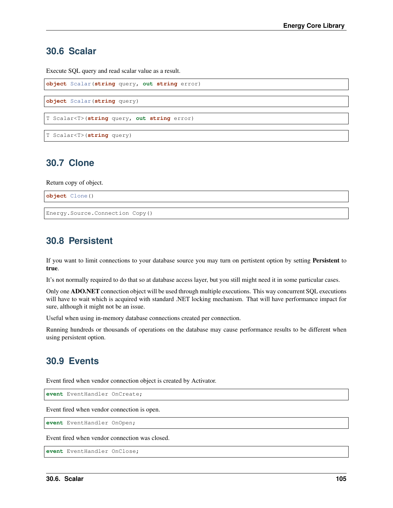## **30.6 Scalar**

Execute SQL query and read scalar value as a result.

```
object Scalar(string query, out string error)
object Scalar(string query)
T Scalar<T>(string query, out string error)
T Scalar<T>(string query)
```
## **30.7 Clone**

Return copy of object.

**object** Clone()

Energy.Source.Connection Copy()

## **30.8 Persistent**

If you want to limit connections to your database source you may turn on pertistent option by setting Persistent to true.

It's not normally required to do that so at database access layer, but you still might need it in some particular cases.

Only one ADO.NET connection object will be used through multiple executions. This way concurrent SQL executions will have to wait which is acquired with standard .NET locking mechanism. That will have performance impact for sure, although it might not be an issue.

Useful when using in-memory database connections created per connection.

Running hundreds or thousands of operations on the database may cause performance results to be different when using persistent option.

## **30.9 Events**

Event fired when vendor connection object is created by Activator.

**event** EventHandler OnCreate;

Event fired when vendor connection is open.

**event** EventHandler OnOpen;

Event fired when vendor connection was closed.

**event** EventHandler OnClose;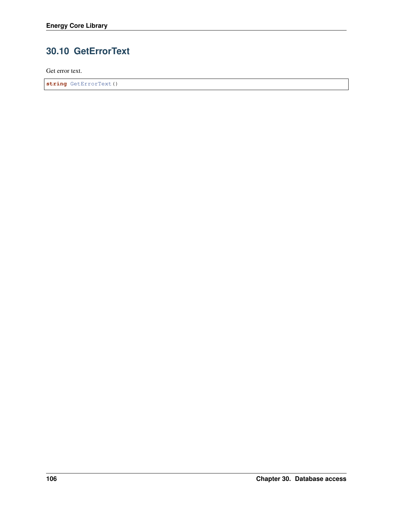# **30.10 GetErrorText**

Get error text.

**string** GetErrorText()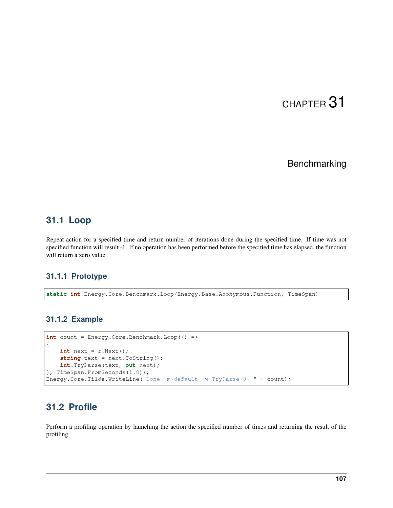# Benchmarking

## **31.1 Loop**

Repeat action for a specified time and return number of iterations done during the specified time. If time was not specified function will result -1. If no operation has been performed before the specified time has elapsed, the function will return a zero value.

## **31.1.1 Prototype**

**static int** Energy.Core.Benchmark.Loop(Energy.Base.Anonymous.Function, TimeSpan)

### **31.1.2 Example**

```
int count = Energy.Core.Benchmark.Loop(() =>
{
   int next = r.Next();
   string text = next.ToString();
   int.TryParse(text, out next);
}, TimeSpan.FromSeconds(1.0));
Energy.Core.Tilde.WriteLine("Done ~m~default ~w~TryParse~0~ " + count);
```
# **31.2 Profile**

Perform a profiling operation by launching the action the specified number of times and returning the result of the profiling.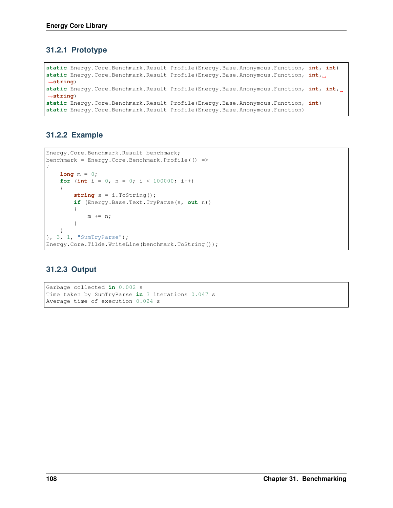## **31.2.1 Prototype**

```
static Energy.Core.Benchmark.Result Profile(Energy.Base.Anonymous.Function, int, int)
static Energy.Core.Benchmark.Result Profile(Energy.Base.Anonymous.Function, int,
˓→string)
static Energy.Core.Benchmark.Result Profile(Energy.Base.Anonymous.Function, int, int,
˓→string)
static Energy.Core.Benchmark.Result Profile(Energy.Base.Anonymous.Function, int)
static Energy.Core.Benchmark.Result Profile(Energy.Base.Anonymous.Function)
```
## **31.2.2 Example**

```
Energy.Core.Benchmark.Result benchmark;
benchmark = Energy.Core.Benchmark.Profile(() =>
{
    long m = 0;
   for (int i = 0, n = 0; i < 100000; i++)
    {
        string s = i.ToString();
        if (Energy.Base.Text.TryParse(s, out n))
        {
            m += n;
        }
    }
}, 3, 1, "SumTryParse");
Energy.Core.Tilde.WriteLine(benchmark.ToString());
```
## **31.2.3 Output**

```
Garbage collected in 0.002 s
Time taken by SumTryParse in 3 iterations 0.047 s
Average time of execution 0.024 s
```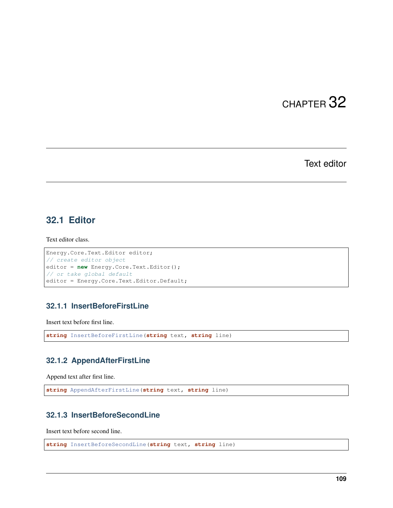Text editor

## **32.1 Editor**

Text editor class.

```
Energy.Core.Text.Editor editor;
// create editor object
editor = new Energy.Core.Text.Editor();
// or take global default
editor = Energy.Core.Text.Editor.Default;
```
## **32.1.1 InsertBeforeFirstLine**

Insert text before first line.

```
string InsertBeforeFirstLine(string text, string line)
```
#### **32.1.2 AppendAfterFirstLine**

Append text after first line.

```
string AppendAfterFirstLine(string text, string line)
```
## **32.1.3 InsertBeforeSecondLine**

Insert text before second line.

```
string InsertBeforeSecondLine(string text, string line)
```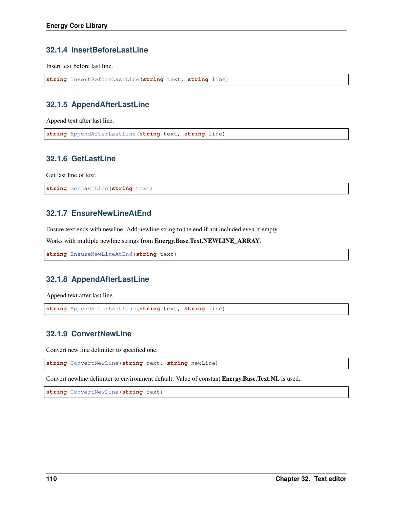### **32.1.4 InsertBeforeLastLine**

Insert text before last line.

```
string InsertBeforeLastLine(string text, string line)
```
### **32.1.5 AppendAfterLastLine**

Append text after last line.

```
string AppendAfterLastLine(string text, string line)
```
## **32.1.6 GetLastLine**

Get last line of text.

```
string GetLastLine(string text)
```
## **32.1.7 EnsureNewLineAtEnd**

Ensure text ends with newline. Add newline string to the end if not included even if empty.

Works with multiple newline strings from Energy.Base.Text.NEWLINE\_ARRAY.

```
string EnsureNewLineAtEnd(string text)
```
### **32.1.8 AppendAfterLastLine**

Append text after last line.

```
string AppendAfterLastLine(string text, string line)
```
### **32.1.9 ConvertNewLine**

Convert new line delimiter to specified one.

**string** ConvertNewLine(**string** text, **string** newLine)

Convert newline delimiter to environment default. Value of constant Energy.Base.Text.NL is used.

**string** ConvertNewLine(**string** text)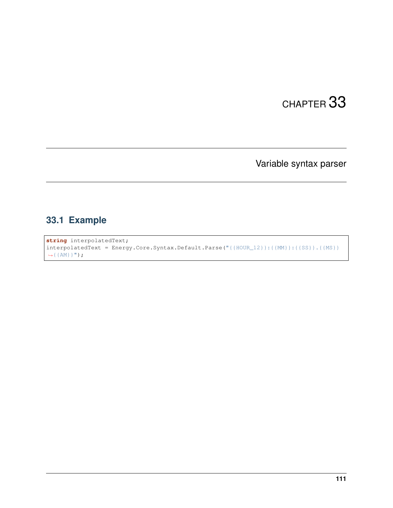Variable syntax parser

# **33.1 Example**

**string** interpolatedText; interpolatedText = Energy.Core.Syntax.Default.Parse("{{HOUR\_12}}:{{MM}}:{{SS}}.{{MS}}  $\rightarrow$  { {AM} } ") ;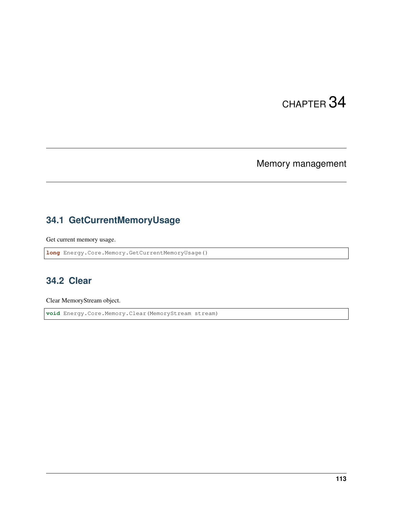# Memory management

# **34.1 GetCurrentMemoryUsage**

Get current memory usage.

**long** Energy.Core.Memory.GetCurrentMemoryUsage()

# **34.2 Clear**

Clear MemoryStream object.

**void** Energy.Core.Memory.Clear(MemoryStream stream)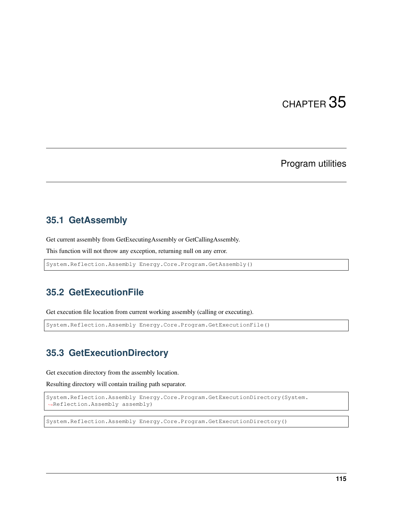## Program utilities

## **35.1 GetAssembly**

Get current assembly from GetExecutingAssembly or GetCallingAssembly.

This function will not throw any exception, returning null on any error.

System.Reflection.Assembly Energy.Core.Program.GetAssembly()

## **35.2 GetExecutionFile**

Get execution file location from current working assembly (calling or executing).

System.Reflection.Assembly Energy.Core.Program.GetExecutionFile()

## **35.3 GetExecutionDirectory**

Get execution directory from the assembly location.

Resulting directory will contain trailing path separator.

```
System.Reflection.Assembly Energy.Core.Program.GetExecutionDirectory(System.
˓→Reflection.Assembly assembly)
```
System.Reflection.Assembly Energy.Core.Program.GetExecutionDirectory()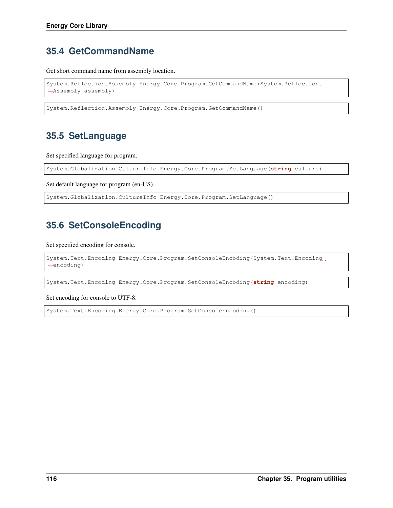# **35.4 GetCommandName**

Get short command name from assembly location.

```
System.Reflection.Assembly Energy.Core.Program.GetCommandName(System.Reflection.
˓→Assembly assembly)
```
System.Reflection.Assembly Energy.Core.Program.GetCommandName()

# **35.5 SetLanguage**

Set specified language for program.

System.Globalization.CultureInfo Energy.Core.Program.SetLanguage(**string** culture)

Set default language for program (en-US).

System.Globalization.CultureInfo Energy.Core.Program.SetLanguage()

# **35.6 SetConsoleEncoding**

Set specified encoding for console.

```
System.Text.Encoding Energy.Core.Program.SetConsoleEncoding(System.Text.Encoding
˓→encoding)
```
System.Text.Encoding Energy.Core.Program.SetConsoleEncoding(**string** encoding)

Set encoding for console to UTF-8.

System.Text.Encoding Energy.Core.Program.SetConsoleEncoding()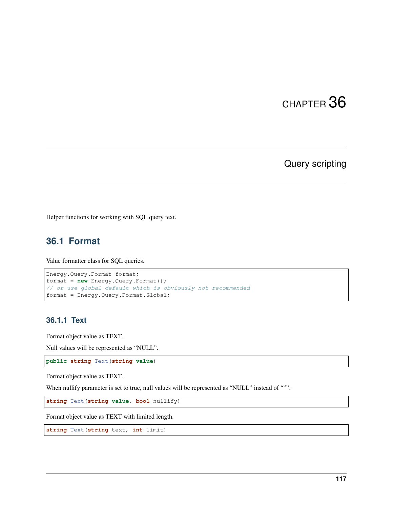Query scripting

Helper functions for working with SQL query text.

# **36.1 Format**

Value formatter class for SQL queries.

```
Energy.Query.Format format;
format = new Energy.Query.Format();
// or use global default which is obviously not recommended
format = Energy.Query.Format.Global;
```
#### **36.1.1 Text**

Format object value as TEXT.

Null values will be represented as "NULL".

**public string** Text(**string value**)

Format object value as TEXT.

When nullify parameter is set to true, null values will be represented as "NULL" instead of """.

**string** Text(**string value**, **bool** nullify)

Format object value as TEXT with limited length.

**string** Text(**string** text, **int** limit)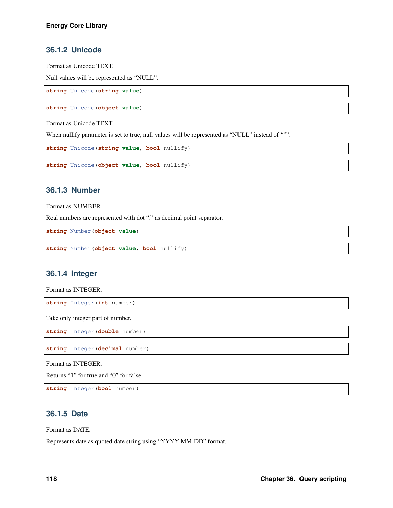### **36.1.2 Unicode**

Format as Unicode TEXT.

Null values will be represented as "NULL".

**string** Unicode(**string value**)

**string** Unicode(**object value**)

Format as Unicode TEXT.

When nullify parameter is set to true, null values will be represented as "NULL" instead of """.

```
string Unicode(string value, bool nullify)
```
**string** Unicode(**object value**, **bool** nullify)

#### **36.1.3 Number**

Format as NUMBER.

Real numbers are represented with dot "." as decimal point separator.

**string** Number(**object value**)

**string** Number(**object value**, **bool** nullify)

#### **36.1.4 Integer**

Format as INTEGER.

**string** Integer(**int** number)

Take only integer part of number.

**string** Integer(**double** number)

**string** Integer(**decimal** number)

Format as INTEGER.

Returns "1" for true and "0" for false.

**string** Integer(**bool** number)

#### **36.1.5 Date**

Format as DATE.

Represents date as quoted date string using "YYYY-MM-DD" format.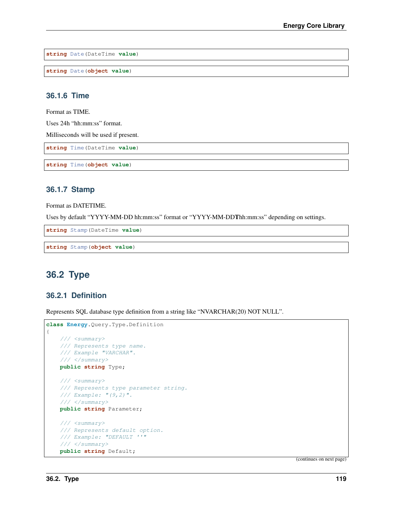**string** Date(DateTime **value**)

**string** Date(**object value**)

### **36.1.6 Time**

Format as TIME.

Uses 24h "hh:mm:ss" format.

Milliseconds will be used if present.

**string** Time(DateTime **value**)

**string** Time(**object value**)

#### **36.1.7 Stamp**

Format as DATETIME.

Uses by default "YYYY-MM-DD hh:mm:ss" format or "YYYY-MM-DDThh:mm:ss" depending on settings.

**string** Stamp(DateTime **value**)

**string** Stamp(**object value**)

## **36.2 Type**

#### **36.2.1 Definition**

Represents SQL database type definition from a string like "NVARCHAR(20) NOT NULL".

```
class Energy.Query.Type.Definition
{
   /// <summary>
   /// Represents type name.
   /// Example "VARCHAR".
   /// </summary>
   public string Type;
   /// <summary>
   /// Represents type parameter string.
   /// Example: "(9,2)".
   /// </summary>
   public string Parameter;
   /// <summary>
   /// Represents default option.
   /// Example: "DEFAULT ''"
   /// </summary>
   public string Default;
```
(continues on next page)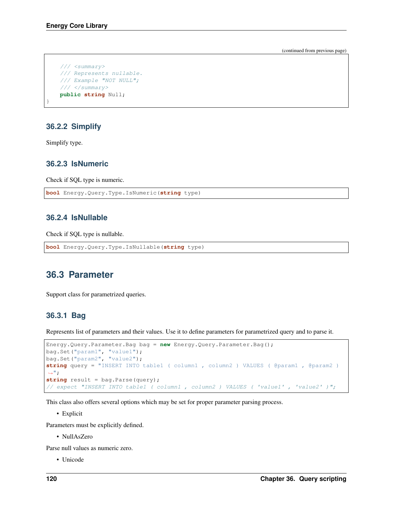(continued from previous page)

```
/// <summary>
/// Represents nullable.
/// Example "NOT NULL";
/// </summary>
public string Null;
```
### **36.2.2 Simplify**

Simplify type.

}

### **36.2.3 IsNumeric**

Check if SQL type is numeric.

```
bool Energy.Query.Type.IsNumeric(string type)
```
#### **36.2.4 IsNullable**

Check if SQL type is nullable.

```
bool Energy.Query.Type.IsNullable(string type)
```
## **36.3 Parameter**

Support class for parametrized queries.

#### **36.3.1 Bag**

Represents list of parameters and their values. Use it to define parameters for parametrized query and to parse it.

```
Energy.Query.Parameter.Bag bag = new Energy.Query.Parameter.Bag();
bag.Set("param1", "value1");
bag.Set("param2", "value2");
string query = "INSERT INTO table1 ( column1 , column2 ) VALUES ( @param1 , @param2 )
ightharpoonup";
string result = bag.Parse(query);
// expect "INSERT INTO table1 ( column1 , column2 ) VALUES ( 'value1' , 'value2' )";
```
This class also offers several options which may be set for proper parameter parsing process.

• Explicit

Parameters must be explicitly defined.

• NullAsZero

Parse null values as numeric zero.

• Unicode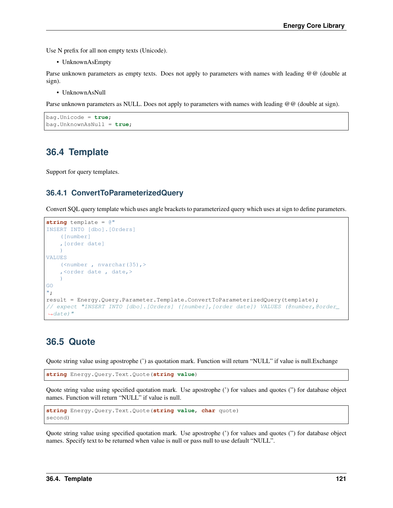Use N prefix for all non empty texts (Unicode).

• UnknownAsEmpty

Parse unknown parameters as empty texts. Does not apply to parameters with names with leading @@ (double at sign).

• UnknownAsNull

Parse unknown parameters as NULL. Does not apply to parameters with names with leading @@ (double at sign).

```
bag.Unicode = true;
bag.UnknownAsNull = true;
```
## **36.4 Template**

Support for query templates.

## **36.4.1 ConvertToParameterizedQuery**

Convert SQL query template which uses angle brackets to parameterized query which uses at sign to define parameters.

```
string template = @"
INSERT INTO [dbo].[Orders]
    ([number]
    ,[order date]
    )
VALUES
   (<number , nvarchar(35),>
    ,<order date , date,>
    )
GO
";
result = Energy.Query.Parameter.Template.ConvertToParameterizedQuery(template);
// expect "INSERT INTO [dbo].[Orders] ([number],[order date]) VALUES (@number,@order_
˓→date)"
```
## **36.5 Quote**

Quote string value using apostrophe (') as quotation mark. Function will return "NULL" if value is null.Exchange

**string** Energy.Query.Text.Quote(**string value**)

Quote string value using specified quotation mark. Use apostrophe (') for values and quotes (") for database object names. Function will return "NULL" if value is null.

```
string Energy.Query.Text.Quote(string value, char quote)
second)
```
Quote string value using specified quotation mark. Use apostrophe (') for values and quotes (") for database object names. Specify text to be returned when value is null or pass null to use default "NULL".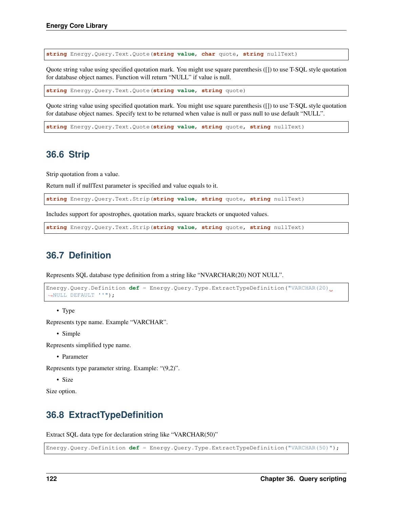**string** Energy.Query.Text.Quote(**string value**, **char** quote, **string** nullText)

Quote string value using specified quotation mark. You might use square parenthesis ([]) to use T-SQL style quotation for database object names. Function will return "NULL" if value is null.

**string** Energy.Query.Text.Quote(**string value**, **string** quote)

Quote string value using specified quotation mark. You might use square parenthesis ([]) to use T-SQL style quotation for database object names. Specify text to be returned when value is null or pass null to use default "NULL".

**string** Energy.Query.Text.Quote(**string value**, **string** quote, **string** nullText)

## **36.6 Strip**

Strip quotation from a value.

Return null if nullText parameter is specified and value equals to it.

**string** Energy.Query.Text.Strip(**string value**, **string** quote, **string** nullText)

Includes support for apostrophes, quotation marks, square brackets or unquoted values.

**string** Energy.Query.Text.Strip(**string value**, **string** quote, **string** nullText)

## **36.7 Definition**

Represents SQL database type definition from a string like "NVARCHAR(20) NOT NULL".

```
Energy.Query.Definition def = Energy.Query.Type.ExtractTypeDefinition("VARCHAR(20)
˓→NULL DEFAULT ''");
```
• Type

Represents type name. Example "VARCHAR".

• Simple

Represents simplified type name.

• Parameter

Represents type parameter string. Example: "(9,2)".

• Size

Size option.

## **36.8 ExtractTypeDefinition**

Extract SQL data type for declaration string like "VARCHAR(50)"

Energy.Query.Definition **def** = Energy.Query.Type.ExtractTypeDefinition("VARCHAR(50)");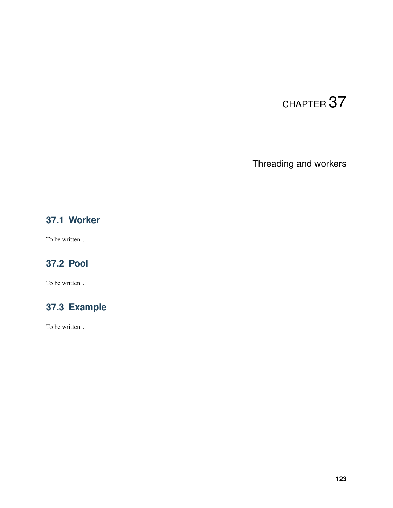Threading and workers

# **37.1 Worker**

To be written...

# **37.2 Pool**

To be written...

# **37.3 Example**

To be written. . .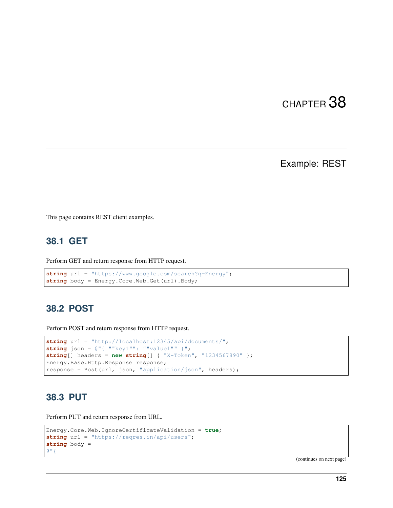Example: REST

This page contains REST client examples.

# **38.1 GET**

Perform GET and return response from HTTP request.

```
string url = "https://www.google.com/search?q=Energy";
string body = Energy.Core.Web.Get(url).Body;
```
# **38.2 POST**

Perform POST and return response from HTTP request.

```
string url = "http://localhost:12345/api/documents/";
string json = @"{ ""key1"": ""value1"" }";
string[] headers = new string[] { "X-Token", "1234567890" };
Energy.Base.Http.Response response;
response = Post(url, json, "application/json", headers);
```
## **38.3 PUT**

Perform PUT and return response from URL.

```
Energy.Core.Web.IgnoreCertificateValidation = true;
string url = "https://reqres.in/api/users";
string body =
@"{
```
(continues on next page)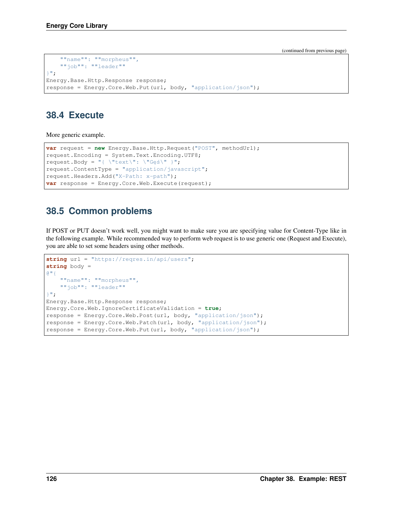(continued from previous page)

```
""name"": ""morpheus"",
    ""job"": ""leader""
}";
Energy.Base.Http.Response response;
response = Energy.Core.Web.Put(url, body, "application/json");
```
# **38.4 Execute**

More generic example.

```
var request = new Energy.Base.Http.Request("POST", methodUrl);
request.Encoding = System.Text.Encoding.UTF8;
request. Body = \sqrt{\text{text}} \cdot \sqrt{\text{G}}es\" }";
request.ContentType = "application/javascript";
request.Headers.Add("X-Path: x-path");
var response = Energy.Core.Web.Execute(request);
```
# **38.5 Common problems**

If POST or PUT doesn't work well, you might want to make sure you are specifying value for Content-Type like in the following example. While recommended way to perform web request is to use generic one (Request and Execute), you are able to set some headers using other methods.

```
string url = "https://reqres.in/api/users";
string body =
@"{
    ""name"": ""morpheus"",
    ""job"": ""leader""
}";
Energy.Base.Http.Response response;
Energy.Core.Web.IgnoreCertificateValidation = true;
response = Energy.Core.Web.Post(url, body, "application/json");
response = Energy.Core.Web.Patch(url, body, "application/json");
response = Energy.Core.Web.Put(url, body, "application/json");
```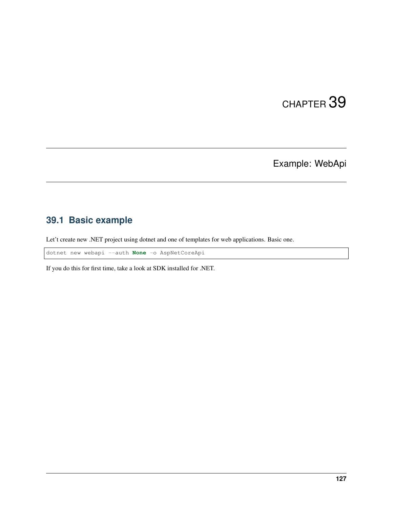Example: WebApi

# **39.1 Basic example**

Let't create new .NET project using dotnet and one of templates for web applications. Basic one.

dotnet new webapi --auth **None** -o AspNetCoreApi

If you do this for first time, take a look at SDK installed for .NET.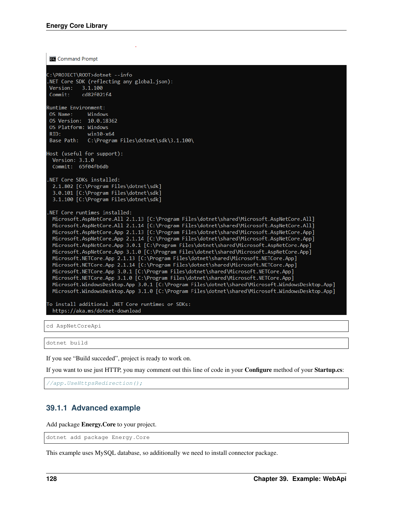**Command Prompt** ::\PROJECT\ROOT>dotnet --info NET Core SDK (reflecting any global.json): Version: 3.1.100 Commit: cd82f021f4 Runtime Environment: OS Name: Windows OS Version: 10.0.18362 OS Platform: Windows RID:  $win10-x64$ Base Path: C:\Program Files\dotnet\sdk\3.1.100\ Host (useful for support): Version: 3.1.0 Commit: 65f04fb6db NET Core SDKs installed: 2.1.802 [C:\Program Files\dotnet\sdk] 3.0.101 [C:\Program Files\dotnet\sdk] 3.1.100 [C:\Program Files\dotnet\sdk] NET Core runtimes installed: Microsoft.AspNetCore.All 2.1.13 [C:\Program Files\dotnet\shared\Microsoft.AspNetCore.All] Microsoft.AspNetCore.All 2.1.14 [C:\Program Files\dotnet\shared\Microsoft.AspNetCore.All] Microsoft.AspNetCore.App 2.1.13 [C:\Program Files\dotnet\shared\Microsoft.AspNetCore.App] Microsoft.AspNetCore.App 2.1.14 [C:\Program Files\dotnet\shared\Microsoft.AspNetCore.App] Microsoft.AspNetCore.App 3.0.1 [C:\Program Files\dotnet\shared\Microsoft.AspNetCore.App] Microsoft.AspNetCore.App 3.1.0 [C:\Program Files\dotnet\shared\Microsoft.AspNetCore.App] Microsoft.NETCore.App 2.1.13 [C:\Program Files\dotnet\shared\Microsoft.NETCore.App] Microsoft.NETCore.App 2.1.14 [C:\Program Files\dotnet\shared\Microsoft.NETCore.App] Microsoft.NETCore.App 3.0.1 [C:\Program Files\dotnet\shared\Microsoft.NETCore.App] Microsoft.NETCore.App 3.1.0 [C:\Program Files\dotnet\shared\Microsoft.NETCore.App] Microsoft.WindowsDesktop.App 3.0.1 [C:\Program Files\dotnet\shared\Microsoft.WindowsDesktop.App] Microsoft.WindowsDesktop.App 3.1.0 [C:\Program Files\dotnet\shared\Microsoft.WindowsDesktop.App] To install additional .NET Core runtimes or SDKs: https://aka.ms/dotnet-download

cd AspNetCoreApi

dotnet build

If you see "Build succeded", project is ready to work on.

If you want to use just HTTP, you may comment out this line of code in your Configure method of your Startup.cs:

//app.UseHttpsRedirection();

#### **39.1.1 Advanced example**

Add package Energy.Core to your project.

dotnet add package Energy.Core

This example uses MySQL database, so additionally we need to install connector package.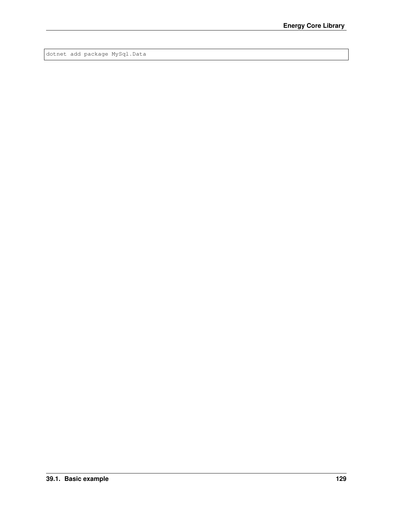dotnet add package MySql.Data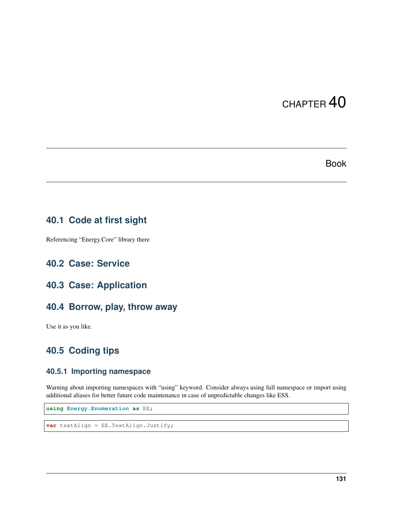## Book

# **40.1 Code at first sight**

Referencing "Energy.Core" library there

## **40.2 Case: Service**

## **40.3 Case: Application**

## **40.4 Borrow, play, throw away**

Use it as you like.

# **40.5 Coding tips**

#### **40.5.1 Importing namespace**

Warning about importing namespaces with "using" keyword. Consider always using full namespace or import using additional aliases for better future code maintenance in case of unpredictable changes like ESS.

**using Energy.Enumeration as** EE;

**var** textAlign = EE.TextAlign.Justify;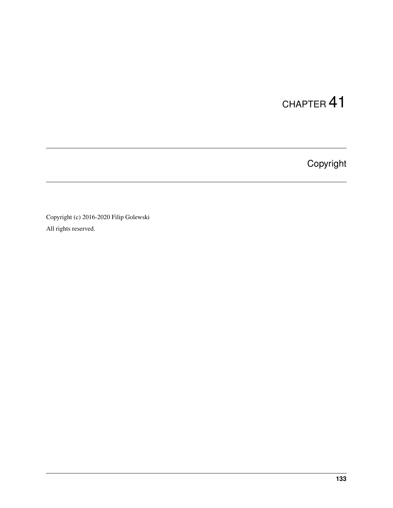Copyright

Copyright (c) 2016-2020 Filip Golewski All rights reserved.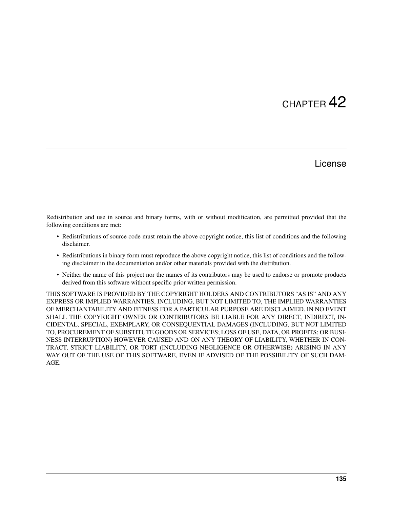## CHAPTER 42

#### License

Redistribution and use in source and binary forms, with or without modification, are permitted provided that the following conditions are met:

- Redistributions of source code must retain the above copyright notice, this list of conditions and the following disclaimer.
- Redistributions in binary form must reproduce the above copyright notice, this list of conditions and the following disclaimer in the documentation and/or other materials provided with the distribution.
- Neither the name of this project nor the names of its contributors may be used to endorse or promote products derived from this software without specific prior written permission.

THIS SOFTWARE IS PROVIDED BY THE COPYRIGHT HOLDERS AND CONTRIBUTORS "AS IS" AND ANY EXPRESS OR IMPLIED WARRANTIES, INCLUDING, BUT NOT LIMITED TO, THE IMPLIED WARRANTIES OF MERCHANTABILITY AND FITNESS FOR A PARTICULAR PURPOSE ARE DISCLAIMED. IN NO EVENT SHALL THE COPYRIGHT OWNER OR CONTRIBUTORS BE LIABLE FOR ANY DIRECT, INDIRECT, IN-CIDENTAL, SPECIAL, EXEMPLARY, OR CONSEQUENTIAL DAMAGES (INCLUDING, BUT NOT LIMITED TO, PROCUREMENT OF SUBSTITUTE GOODS OR SERVICES; LOSS OF USE, DATA, OR PROFITS; OR BUSI-NESS INTERRUPTION) HOWEVER CAUSED AND ON ANY THEORY OF LIABILITY, WHETHER IN CON-TRACT, STRICT LIABILITY, OR TORT (INCLUDING NEGLIGENCE OR OTHERWISE) ARISING IN ANY WAY OUT OF THE USE OF THIS SOFTWARE, EVEN IF ADVISED OF THE POSSIBILITY OF SUCH DAM-AGE.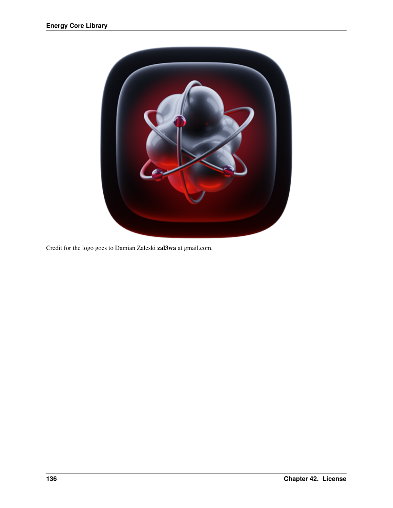

Credit for the logo goes to Damian Zaleski zal3wa at gmail.com.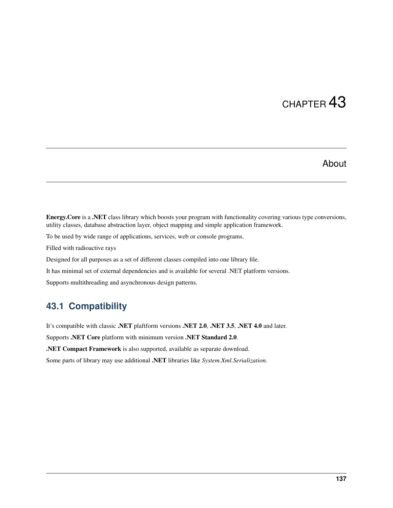# CHAPTER 43

### About

Energy.Core is a .NET class library which boosts your program with functionality covering various type conversions, utility classes, database abstraction layer, object mapping and simple application framework.

To be used by wide range of applications, services, web or console programs.

Filled with radioactive rays

Designed for all purposes as a set of different classes compiled into one library file.

It has minimal set of external dependencies and is available for several .NET platform versions.

Supports multithreading and asynchronous design patterns.

#### **43.1 Compatibility**

It's compatible with classic .NET plaftform versions .NET 2.0, .NET 3.5, .NET 4.0 and later.

Supports .NET Core platform with minimum version .NET Standard 2.0.

.NET Compact Framework is also supported, available as separate download.

Some parts of library may use additional .NET libraries like *System.Xml.Serialization*.